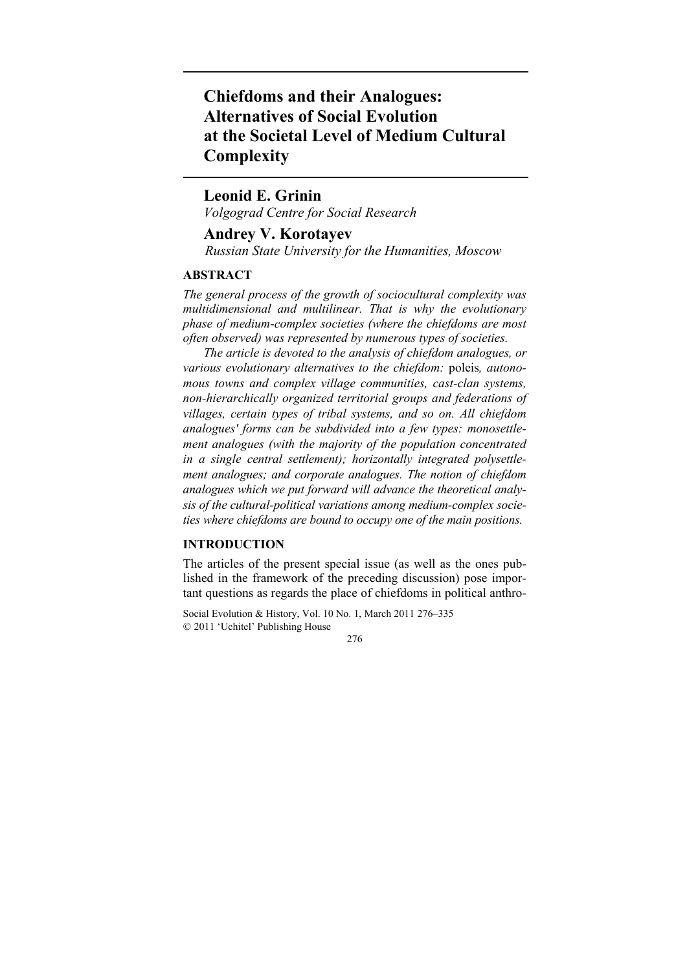# **Chiefdoms and their Analogues: Alternatives of Social Evolution at the Societal Level of Medium Cultural Complexity**

## **Leonid E. Grinin**

*Volgograd Centre for Social Research* 

## **Andrey V. Korotayev**

*Russian State University for the Humanities, Moscow*

## **ABSTRACT**

*The general process of the growth of sociocultural complexity was multidimensional and multilinear. That is why the evolutionary phase of medium-complex societies (where the chiefdoms are most often observed) was represented by numerous types of societies.*

*The article is devoted to the analysis of chiefdom analogues, or various evolutionary alternatives to the chiefdom:* poleis*, autonomous towns and complex village communities, cast-clan systems, non-hierarchically organized territorial groups and federations of villages, certain types of tribal systems, and so on. All chiefdom analogues' forms can be subdivided into a few types: monosettlement analogues (with the majority of the population concentrated in a single central settlement); horizontally integrated polysettlement analogues; and corporate analogues. The notion of chiefdom analogues which we put forward will advance the theoretical analysis of the cultural-political variations among medium-complex societies where chiefdoms are bound to occupy one of the main positions.* 

### **INTRODUCTION**

The articles of the present special issue (as well as the ones published in the framework of the preceding discussion) pose important questions as regards the place of chiefdoms in political anthro-

Social Evolution & History, Vol. 10 No. 1, March 2011 276–335 2011 'Uchitel' Publishing House

276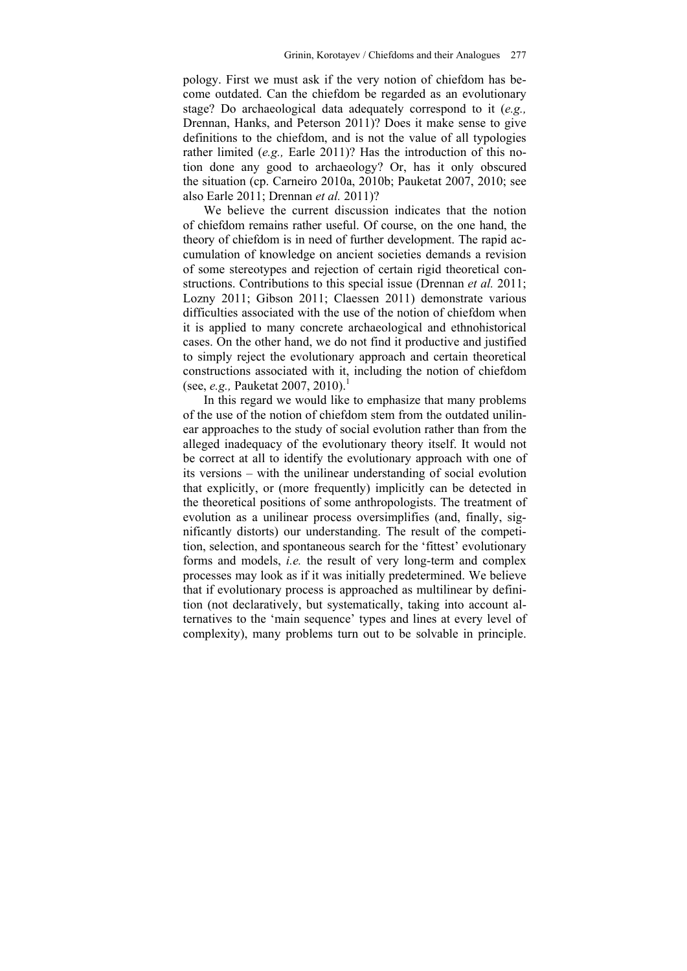pology. First we must ask if the very notion of chiefdom has become outdated. Can the chiefdom be regarded as an evolutionary stage? Do archaeological data adequately correspond to it (*e.g.,* Drennan, Hanks, and Peterson 2011)? Does it make sense to give definitions to the chiefdom, and is not the value of all typologies rather limited (*e.g.,* Earle 2011)? Has the introduction of this notion done any good to archaeology? Or, has it only obscured the situation (cp. Carneiro 2010a, 2010b; Pauketat 2007, 2010; see also Earle 2011; Drennan *et al.* 2011)?

We believe the current discussion indicates that the notion of chiefdom remains rather useful. Of course, on the one hand, the theory of chiefdom is in need of further development. The rapid accumulation of knowledge on ancient societies demands a revision of some stereotypes and rejection of certain rigid theoretical constructions. Contributions to this special issue (Drennan *et al.* 2011; Lozny 2011; Gibson 2011; Claessen 2011) demonstrate various difficulties associated with the use of the notion of chiefdom when it is applied to many concrete archaeological and ethnohistorical cases. On the other hand, we do not find it productive and justified to simply reject the evolutionary approach and certain theoretical constructions associated with it, including the notion of chiefdom (see, *e.g.*, Pauketat 2007, 2010).

In this regard we would like to emphasize that many problems of the use of the notion of chiefdom stem from the outdated unilinear approaches to the study of social evolution rather than from the alleged inadequacy of the evolutionary theory itself. It would not be correct at all to identify the evolutionary approach with one of its versions – with the unilinear understanding of social evolution that explicitly, or (more frequently) implicitly can be detected in the theoretical positions of some anthropologists. The treatment of evolution as a unilinear process oversimplifies (and, finally, significantly distorts) our understanding. The result of the competition, selection, and spontaneous search for the 'fittest' evolutionary forms and models, *i.e.* the result of very long-term and complex processes may look as if it was initially predetermined. We believe that if evolutionary process is approached as multilinear by definition (not declaratively, but systematically, taking into account alternatives to the 'main sequence' types and lines at every level of complexity), many problems turn out to be solvable in principle.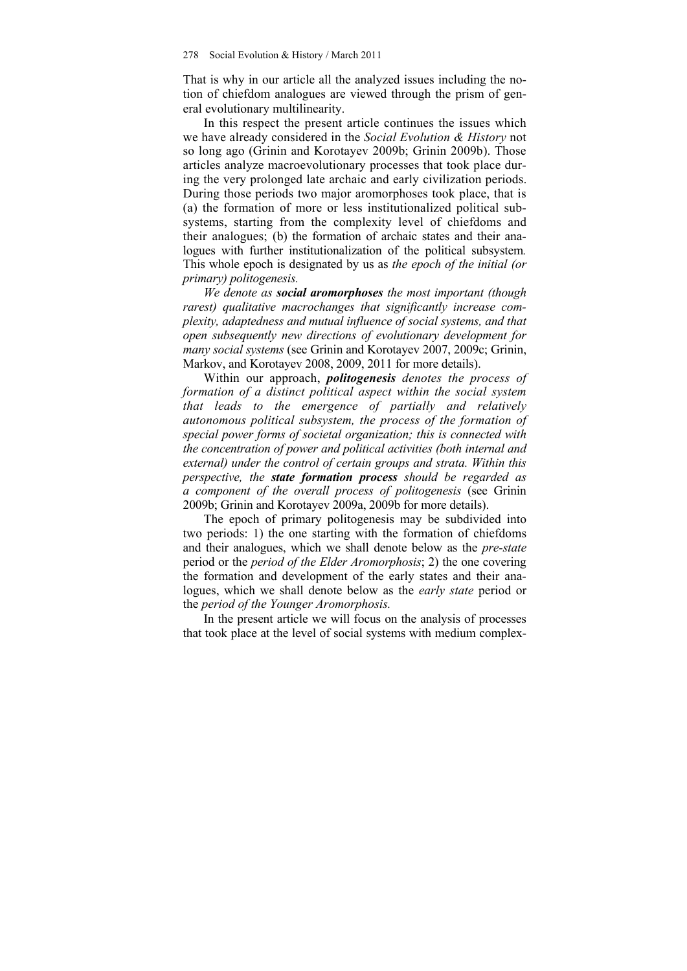That is why in our article all the analyzed issues including the notion of chiefdom analogues are viewed through the prism of general evolutionary multilinearity.

In this respect the present article continues the issues which we have already considered in the *Social Evolution & History* not so long ago (Grinin and Korotayev 2009b; Grinin 2009b). Those articles analyze macroevolutionary processes that took place during the very prolonged late archaic and early civilization periods. During those periods two major aromorphoses took place, that is (a) the formation of more or less institutionalized political subsystems, starting from the complexity level of chiefdoms and their analogues; (b) the formation of archaic states and their analogues with further institutionalization of the political subsystem*.* This whole epoch is designated by us as *the epoch of the initial (or primary) politogenesis.* 

*We denote as social aromorphoses the most important (though rarest) qualitative macrochanges that significantly increase complexity, adaptedness and mutual influence of social systems, and that open subsequently new directions of evolutionary development for many social systems* (see Grinin and Korotayev 2007, 2009c; Grinin, Markov, and Korotayev 2008, 2009, 2011 for more details).

Within our approach, *politogenesis denotes the process of formation of a distinct political aspect within the social system that leads to the emergence of partially and relatively autonomous political subsystem, the process of the formation of special power forms of societal organization; this is connected with the concentration of power and political activities (both internal and external) under the control of certain groups and strata. Within this perspective, the state formation process should be regarded as a component of the overall process of politogenesis* (see Grinin 2009b; Grinin and Korotayev 2009a, 2009b for more details).

The epoch of primary politogenesis may be subdivided into two periods: 1) the one starting with the formation of chiefdoms and their analogues, which we shall denote below as the *pre-state*  period or the *period of the Elder Aromorphosis*; 2) the one covering the formation and development of the early states and their analogues, which we shall denote below as the *early state* period or the *period of the Younger Aromorphosis.* 

In the present article we will focus on the analysis of processes that took place at the level of social systems with medium complex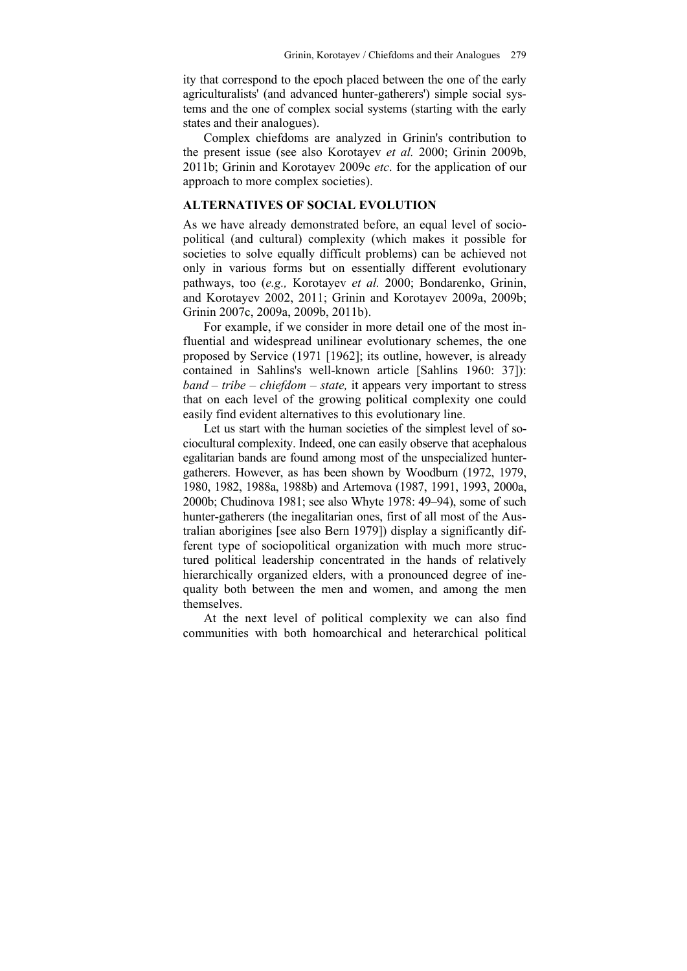ity that correspond to the epoch placed between the one of the early agriculturalists' (and advanced hunter-gatherers') simple social systems and the one of complex social systems (starting with the early states and their analogues).

Complex chiefdoms are analyzed in Grinin's contribution to the present issue (see also Korotayev *et al.* 2000; Grinin 2009b, 2011b; Grinin and Korotayev 2009c *etc*. for the application of our approach to more complex societies).

## **ALTERNATIVES OF SOCIAL EVOLUTION**

As we have already demonstrated before, an equal level of sociopolitical (and cultural) complexity (which makes it possible for societies to solve equally difficult problems) can be achieved not only in various forms but on essentially different evolutionary pathways, too (*e.g.,* Korotayev *et al.* 2000; Bondarenko, Grinin, and Korotayev 2002, 2011; Grinin and Korotayev 2009a, 2009b; Grinin 2007c, 2009a, 2009b, 2011b).

For example, if we consider in more detail one of the most influential and widespread unilinear evolutionary schemes, the one proposed by Service (1971 [1962]; its outline, however, is already contained in Sahlins's well-known article [Sahlins 1960: 37]): *band – tribe – chiefdom – state,* it appears very important to stress that on each level of the growing political complexity one could easily find evident alternatives to this evolutionary line.

Let us start with the human societies of the simplest level of sociocultural complexity. Indeed, one can easily observe that acephalous egalitarian bands are found among most of the unspecialized huntergatherers. However, as has been shown by Woodburn (1972, 1979, 1980, 1982, 1988a, 1988b) and Artemova (1987, 1991, 1993, 2000a, 2000b; Chudinova 1981; see also Whyte 1978: 49–94), some of such hunter-gatherers (the inegalitarian ones, first of all most of the Australian aborigines [see also Bern 1979]) display a significantly different type of sociopolitical organization with much more structured political leadership concentrated in the hands of relatively hierarchically organized elders, with a pronounced degree of inequality both between the men and women, and among the men themselves.

At the next level of political complexity we can also find communities with both homoarchical and heterarchical political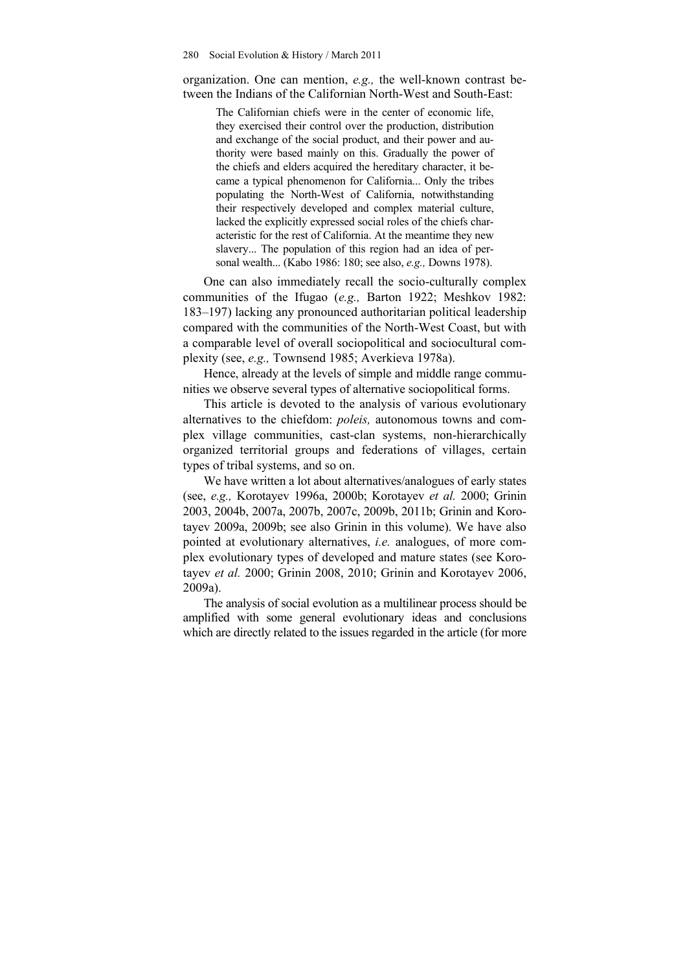organization. One can mention, *e.g.,* the well-known contrast between the Indians of the Californian North-West and South-East:

The Californian chiefs were in the center of economic life, they exercised their control over the production, distribution and exchange of the social product, and their power and authority were based mainly on this. Gradually the power of the chiefs and elders acquired the hereditary character, it became a typical phenomenon for California... Only the tribes populating the North-West of California, notwithstanding their respectively developed and complex material culture, lacked the explicitly expressed social roles of the chiefs characteristic for the rest of California. At the meantime they new slavery... The population of this region had an idea of personal wealth... (Kabo 1986: 180; see also, *e.g.,* Downs 1978).

One can also immediately recall the socio-culturally complex communities of the Ifugao (*e.g.,* Barton 1922; Meshkov 1982: 183–197) lacking any pronounced authoritarian political leadership compared with the communities of the North-West Coast, but with a comparable level of overall sociopolitical and sociocultural complexity (see, *e.g.,* Townsend 1985; Averkieva 1978a).

Hence, already at the levels of simple and middle range communities we observe several types of alternative sociopolitical forms.

This article is devoted to the analysis of various evolutionary alternatives to the chiefdom: *poleis,* autonomous towns and complex village communities, cast-clan systems, non-hierarchically organized territorial groups and federations of villages, certain types of tribal systems, and so on.

We have written a lot about alternatives/analogues of early states (see, *e.g.,* Korotayev 1996a, 2000b; Korotayev *et al.* 2000; Grinin 2003, 2004b, 2007a, 2007b, 2007c, 2009b, 2011b; Grinin and Korotayev 2009а, 2009b; see also Grinin in this volume). We have also pointed at evolutionary alternatives, *i.e.* analogues, of more complex evolutionary types of developed and mature states (see Korotayev *et al.* 2000; Grinin 2008, 2010; Grinin and Korotayev 2006, 2009а).

The analysis of social evolution as a multilinear process should be amplified with some general evolutionary ideas and conclusions which are directly related to the issues regarded in the article (for more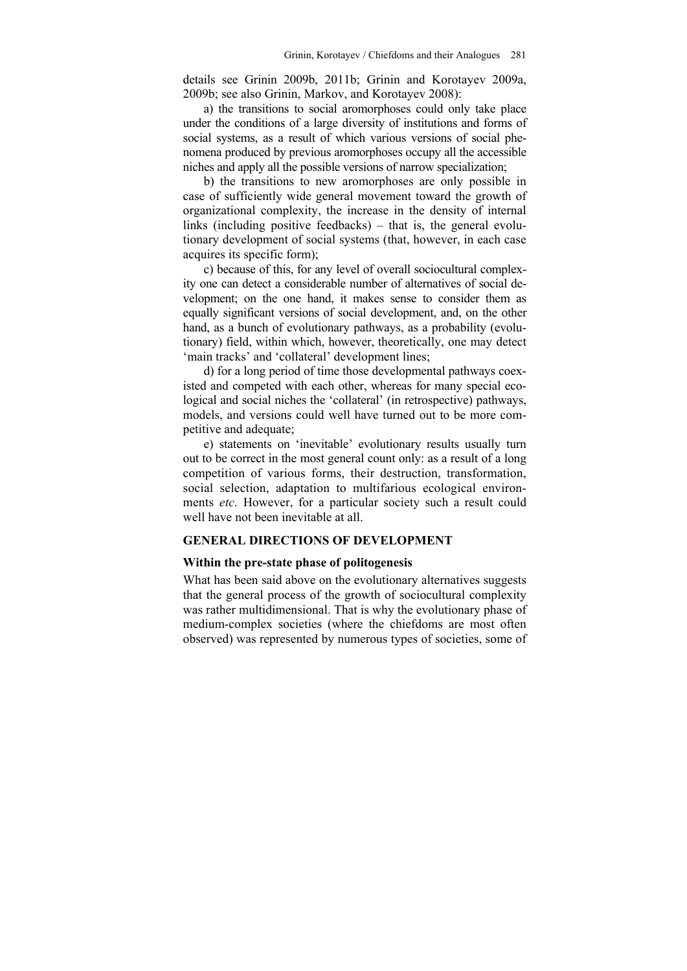details see Grinin 2009b, 2011b; Grinin and Korotayev 2009a, 2009b; see also Grinin, Markov, and Korotayev 2008):

a) the transitions to social aromorphoses could only take place under the conditions of a large diversity of institutions and forms of social systems, as a result of which various versions of social phenomena produced by previous aromorphoses occupy all the accessible niches and apply all the possible versions of narrow specialization;

b) the transitions to new aromorphoses are only possible in case of sufficiently wide general movement toward the growth of organizational complexity, the increase in the density of internal links (including positive feedbacks) – that is, the general evolutionary development of social systems (that, however, in each case acquires its specific form);

c) because of this, for any level of overall sociocultural complexity one can detect a considerable number of alternatives of social development; on the one hand, it makes sense to consider them as equally significant versions of social development, and, on the other hand, as a bunch of evolutionary pathways, as a probability (evolutionary) field, within which, however, theoretically, one may detect 'main tracks' and 'collateral' development lines;

d) for a long period of time those developmental pathways coexisted and competed with each other, whereas for many special ecological and social niches the 'collateral' (in retrospective) pathways, models, and versions could well have turned out to be more competitive and adequate;

e) statements on 'inevitable' evolutionary results usually turn out to be correct in the most general count only: as a result of a long competition of various forms, their destruction, transformation, social selection, adaptation to multifarious ecological environments *etc.* However, for a particular society such a result could well have not been inevitable at all.

#### **GENERAL DIRECTIONS OF DEVELOPMENT**

#### **Within the pre-state phase of politogenesis**

What has been said above on the evolutionary alternatives suggests that the general process of the growth of sociocultural complexity was rather multidimensional. That is why the evolutionary phase of medium-complex societies (where the chiefdoms are most often observed) was represented by numerous types of societies, some of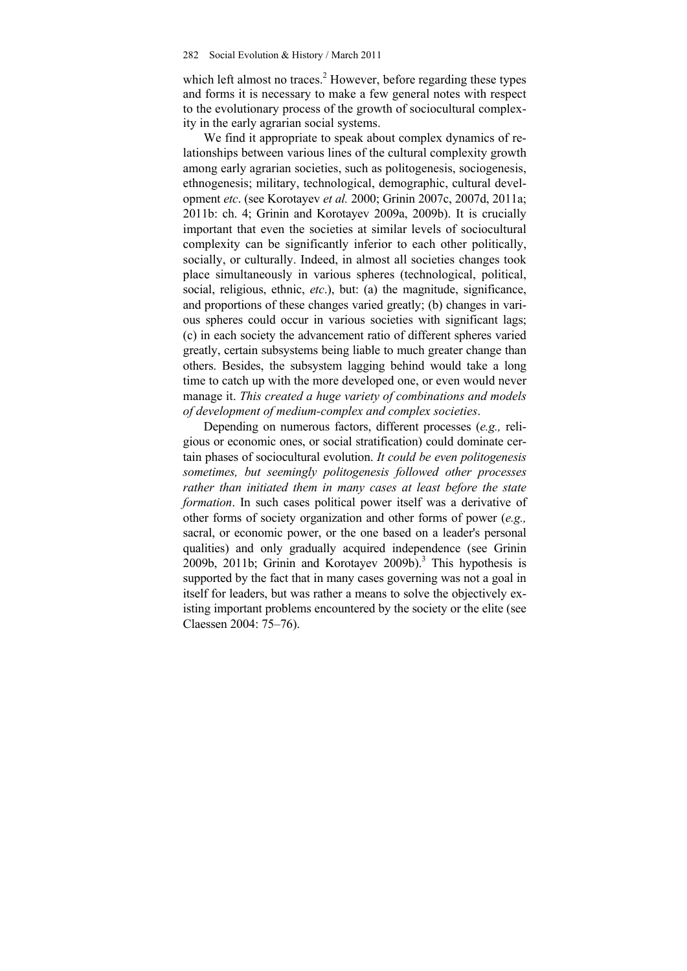which left almost no traces.<sup>2</sup> However, before regarding these types and forms it is necessary to make a few general notes with respect to the evolutionary process of the growth of sociocultural complexity in the early agrarian social systems.

We find it appropriate to speak about complex dynamics of relationships between various lines of the cultural complexity growth among early agrarian societies, such as politogenesis, sociogenesis, ethnogenesis; military, technological, demographic, cultural development *etc*. (see Korotayev *et al.* 2000; Grinin 2007c, 2007d, 2011a; 2011b: ch. 4; Grinin and Korotayev 2009a, 2009b). It is crucially important that even the societies at similar levels of sociocultural complexity can be significantly inferior to each other politically, socially, or culturally. Indeed, in almost all societies changes took place simultaneously in various spheres (technological, political, social, religious, ethnic, *etc*.), but: (a) the magnitude, significance, and proportions of these changes varied greatly; (b) changes in various spheres could occur in various societies with significant lags; (c) in each society the advancement ratio of different spheres varied greatly, certain subsystems being liable to much greater change than others. Besides, the subsystem lagging behind would take a long time to catch up with the more developed one, or even would never manage it. *This created a huge variety of combinations and models of development of medium-complex and complex societies*.

Depending on numerous factors, different processes (*e.g.,* religious or economic ones, or social stratification) could dominate certain phases of sociocultural evolution. *It could be even politogenesis sometimes, but seemingly politogenesis followed other processes rather than initiated them in many cases at least before the state formation*. In such cases political power itself was a derivative of other forms of society organization and other forms of power (*e.g.,* sacral, or economic power, or the one based on a leader's personal qualities) and only gradually acquired independence (see Grinin 2009b, 2011b; Grinin and Korotayev 2009b).<sup>3</sup> This hypothesis is supported by the fact that in many cases governing was not a goal in itself for leaders, but was rather a means to solve the objectively existing important problems encountered by the society or the elite (see Claessen 2004: 75–76).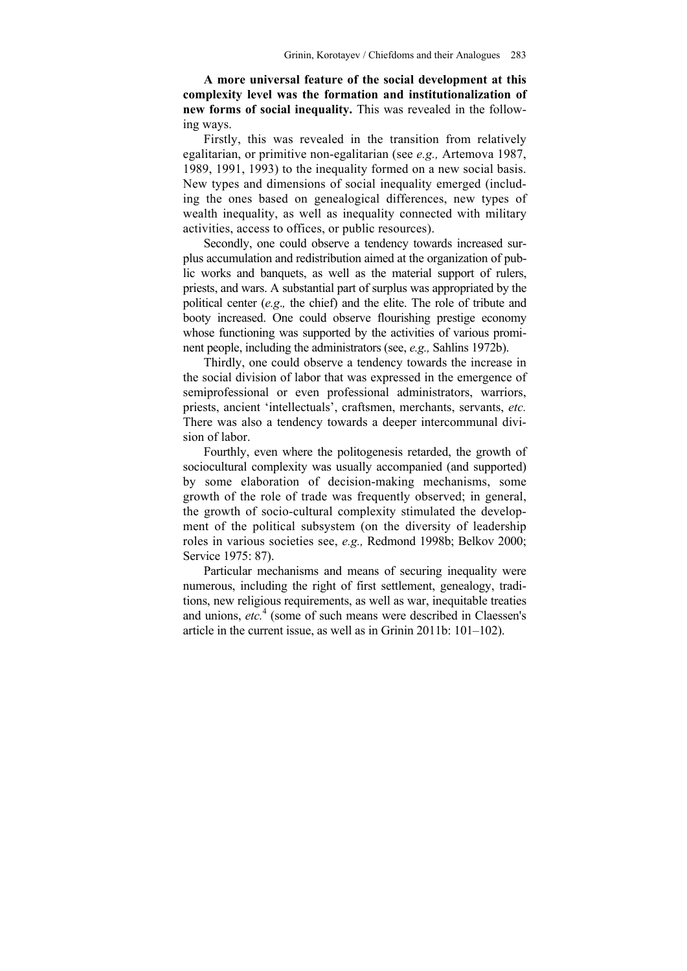**A more universal feature of the social development at this complexity level was the formation and institutionalization of new forms of social inequality.** This was revealed in the following ways.

Firstly, this was revealed in the transition from relatively egalitarian, or primitive non-egalitarian (see *e.g.,* Artemova 1987, 1989, 1991, 1993) to the inequality formed on a new social basis. New types and dimensions of social inequality emerged (including the ones based on genealogical differences, new types of wealth inequality, as well as inequality connected with military activities, access to offices, or public resources).

Secondly, one could observe a tendency towards increased surplus accumulation and redistribution aimed at the organization of public works and banquets, as well as the material support of rulers, priests, and wars. A substantial part of surplus was appropriated by the political center (*e.g*.*,* the chief) and the elite. The role of tribute and booty increased. One could observe flourishing prestige economy whose functioning was supported by the activities of various prominent people, including the administrators (see, *e.g.,* Sahlins 1972b).

Thirdly, one could observe a tendency towards the increase in the social division of labor that was expressed in the emergence of semiprofessional or even professional administrators, warriors, priests, ancient 'intellectuals', craftsmen, merchants, servants, *etc.* There was also a tendency towards a deeper intercommunal division of labor.

Fourthly, even where the politogenesis retarded, the growth of sociocultural complexity was usually accompanied (and supported) by some elaboration of decision-making mechanisms, some growth of the role of trade was frequently observed; in general, the growth of socio-cultural complexity stimulated the development of the political subsystem (on the diversity of leadership roles in various societies see, *e.g.,* Redmond 1998b; Belkov 2000; Service 1975: 87).

Particular mechanisms and means of securing inequality were numerous, including the right of first settlement, genealogy, traditions, new religious requirements, as well as war, inequitable treaties and unions, etc.<sup>4</sup> (some of such means were described in Claessen's article in the current issue, as well as in Grinin 2011b: 101–102).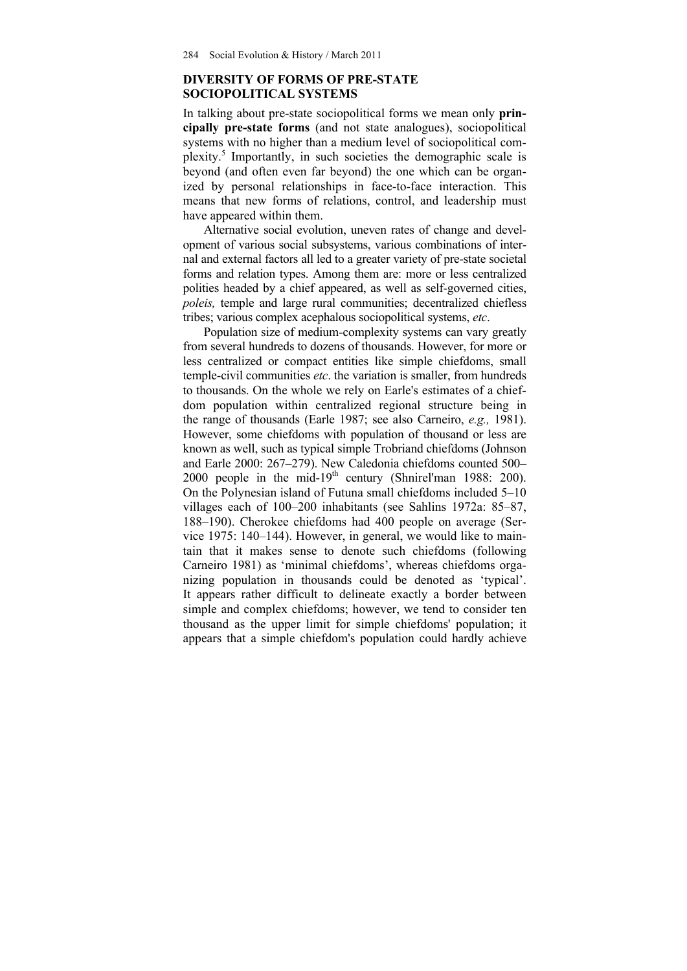#### **DIVERSITY OF FORMS OF PRE-STATE SOCIOPOLITICAL SYSTEMS**

In talking about pre-state sociopolitical forms we mean only **principally pre-state forms** (and not state analogues), sociopolitical systems with no higher than a medium level of sociopolitical complexity.<sup>5</sup> Importantly, in such societies the demographic scale is beyond (and often even far beyond) the one which can be organized by personal relationships in face-to-face interaction. This means that new forms of relations, control, and leadership must have appeared within them.

Alternative social evolution, uneven rates of change and development of various social subsystems, various combinations of internal and external factors all led to a greater variety of pre-state societal forms and relation types. Among them are: more or less centralized polities headed by a chief appeared, as well as self-governed cities, *poleis,* temple and large rural communities; decentralized chiefless tribes; various complex acephalous sociopolitical systems, *etc*.

Population size of medium-complexity systems can vary greatly from several hundreds to dozens of thousands. However, for more or less centralized or compact entities like simple chiefdoms, small temple-civil communities *etc*. the variation is smaller, from hundreds to thousands. On the whole we rely on Earle's estimates of a chiefdom population within centralized regional structure being in the range of thousands (Earle 1987; see also Carneiro, *e.g.,* 1981). However, some chiefdoms with population of thousand or less are known as well, such as typical simple Trobriand chiefdoms (Johnson and Earle 2000: 267–279). New Caledonia chiefdoms counted 500– 2000 people in the mid-19<sup>th</sup> century (Shnirel'man 1988: 200). On the Polynesian island of Futuna small chiefdoms included 5–10 villages each of 100–200 inhabitants (see Sahlins 1972a: 85–87, 188–190). Cherokee chiefdoms had 400 people on average (Service 1975: 140–144). However, in general, we would like to maintain that it makes sense to denote such chiefdoms (following Carneiro 1981) as 'minimal chiefdoms', whereas chiefdoms organizing population in thousands could be denoted as 'typical'. It appears rather difficult to delineate exactly a border between simple and complex chiefdoms; however, we tend to consider ten thousand as the upper limit for simple chiefdoms' population; it appears that a simple chiefdom's population could hardly achieve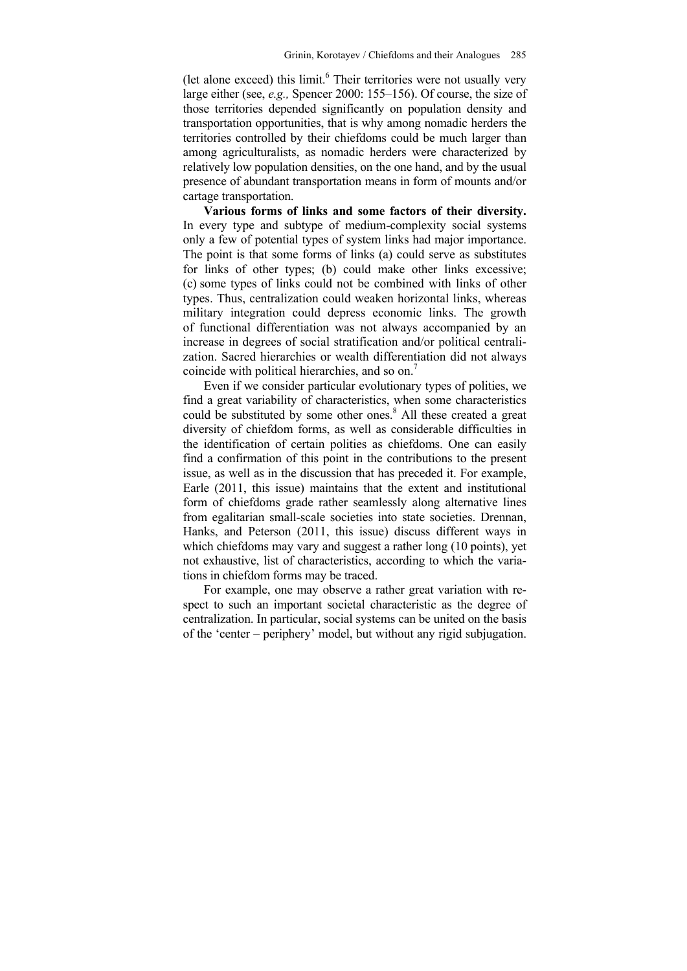(let alone exceed) this limit.<sup>6</sup> Their territories were not usually very large either (see, *e.g.,* Spencer 2000: 155–156). Of course, the size of those territories depended significantly on population density and transportation opportunities, that is why among nomadic herders the territories controlled by their chiefdoms could be much larger than among agriculturalists, as nomadic herders were characterized by relatively low population densities, on the one hand, and by the usual presence of abundant transportation means in form of mounts and/or cartage transportation.

**Various forms of links and some factors of their diversity.** In every type and subtype of medium-complexity social systems only a few of potential types of system links had major importance. The point is that some forms of links (a) could serve as substitutes for links of other types; (b) could make other links excessive; (c) some types of links could not be combined with links of other types. Thus, centralization could weaken horizontal links, whereas military integration could depress economic links. The growth of functional differentiation was not always accompanied by an increase in degrees of social stratification and/or political centralization. Sacred hierarchies or wealth differentiation did not always coincide with political hierarchies, and so on.<sup>7</sup>

Even if we consider particular evolutionary types of polities, we find a great variability of characteristics, when some characteristics could be substituted by some other ones.<sup>8</sup> All these created a great diversity of chiefdom forms, as well as considerable difficulties in the identification of certain polities as chiefdoms. One can easily find a confirmation of this point in the contributions to the present issue, as well as in the discussion that has preceded it. For example, Earle (2011, this issue) maintains that the extent and institutional form of chiefdoms grade rather seamlessly along alternative lines from egalitarian small-scale societies into state societies. Drennan, Hanks, and Peterson (2011, this issue) discuss different ways in which chiefdoms may vary and suggest a rather long (10 points), yet not exhaustive, list of characteristics, according to which the variations in chiefdom forms may be traced.

For example, one may observe a rather great variation with respect to such an important societal characteristic as the degree of centralization. In particular, social systems can be united on the basis of the 'center – periphery' model, but without any rigid subjugation.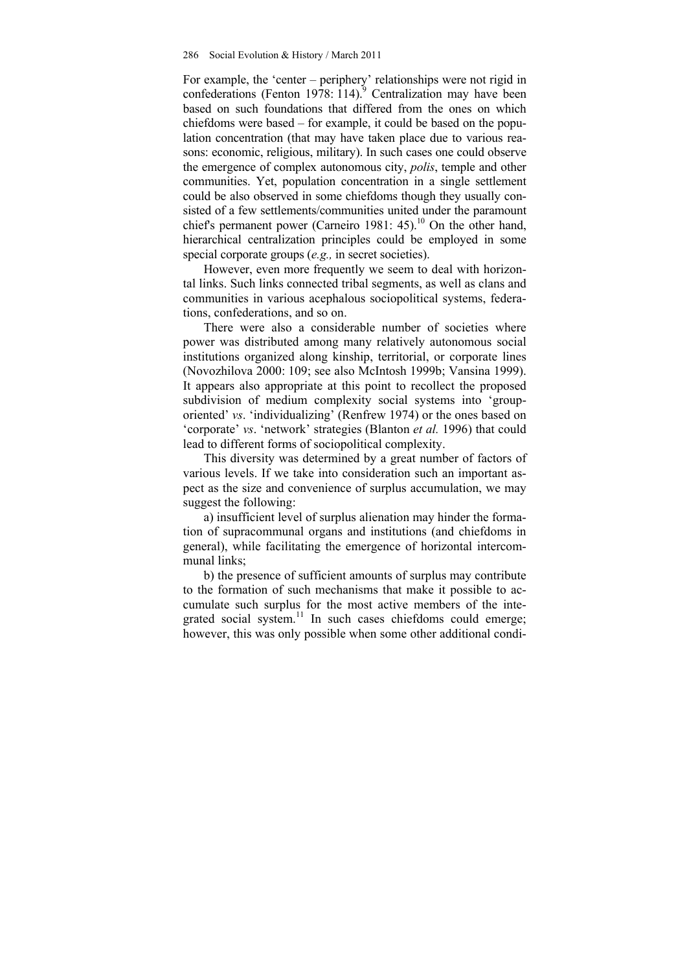For example, the 'center – periphery' relationships were not rigid in confederations (Fenton 1978:  $114$ ).<sup>9</sup> Centralization may have been based on such foundations that differed from the ones on which chiefdoms were based – for example, it could be based on the population concentration (that may have taken place due to various reasons: economic, religious, military). In such cases one could observe the emergence of complex autonomous city, *polis*, temple and other communities. Yet, population concentration in a single settlement could be also observed in some chiefdoms though they usually consisted of a few settlements/communities united under the paramount chief's permanent power (Carneiro 1981: 45).<sup>10</sup> On the other hand, hierarchical centralization principles could be employed in some special corporate groups (*e.g.,* in secret societies).

However, even more frequently we seem to deal with horizontal links. Such links connected tribal segments, as well as clans and communities in various acephalous sociopolitical systems, federations, confederations, and so on.

There were also a considerable number of societies where power was distributed among many relatively autonomous social institutions organized along kinship, territorial, or corporate lines (Novozhilova 2000: 109; see also McIntosh 1999b; Vansina 1999). It appears also appropriate at this point to recollect the proposed subdivision of medium complexity social systems into 'grouporiented' *vs*. 'individualizing' (Renfrew 1974) or the ones based on 'corporate' *vs*. 'network' strategies (Blanton *et al.* 1996) that could lead to different forms of sociopolitical complexity.

This diversity was determined by a great number of factors of various levels. If we take into consideration such an important aspect as the size and convenience of surplus accumulation, we may suggest the following:

a) insufficient level of surplus alienation may hinder the formation of supracommunal organs and institutions (and chiefdoms in general), while facilitating the emergence of horizontal intercommunal links;

b) the presence of sufficient amounts of surplus may contribute to the formation of such mechanisms that make it possible to accumulate such surplus for the most active members of the integrated social system. $11$  In such cases chiefdoms could emerge; however, this was only possible when some other additional condi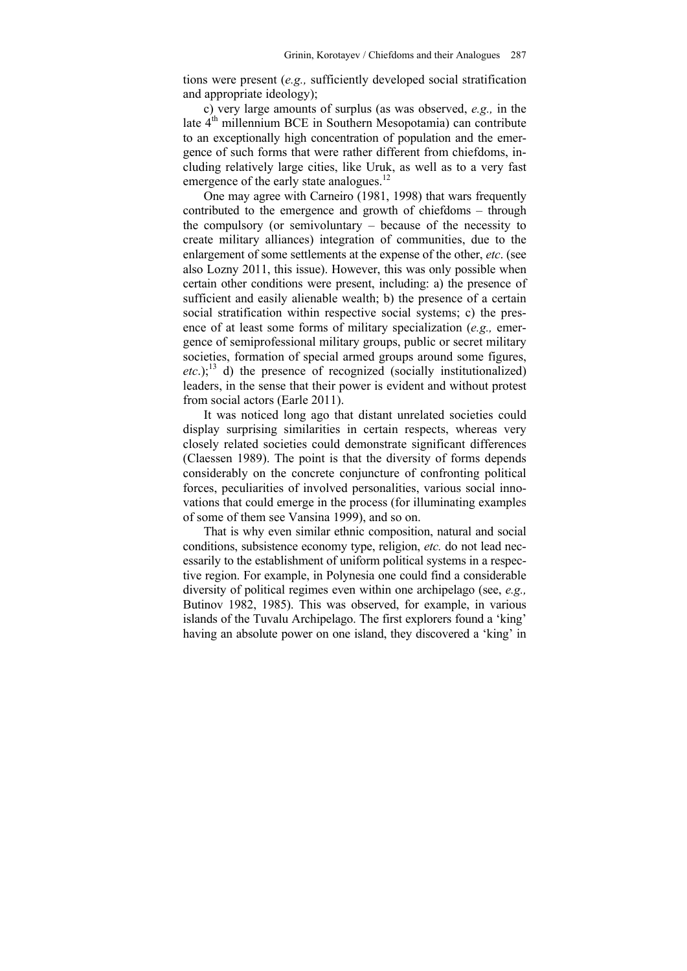tions were present (*e.g.,* sufficiently developed social stratification and appropriate ideology);

c) very large amounts of surplus (as was observed, *e.g.,* in the late  $4<sup>th</sup>$  millennium BCE in Southern Mesopotamia) can contribute to an exceptionally high concentration of population and the emergence of such forms that were rather different from chiefdoms, including relatively large cities, like Uruk, as well as to a very fast emergence of the early state analogues.<sup>12</sup>

One may agree with Carneiro (1981, 1998) that wars frequently contributed to the emergence and growth of chiefdoms – through the compulsory (or semivoluntary – because of the necessity to create military alliances) integration of communities, due to the enlargement of some settlements at the expense of the other, *etc*. (see also Lozny 2011, this issue). However, this was only possible when certain other conditions were present, including: a) the presence of sufficient and easily alienable wealth; b) the presence of a certain social stratification within respective social systems; c) the presence of at least some forms of military specialization (*e.g.,* emergence of semiprofessional military groups, public or secret military societies, formation of special armed groups around some figures,  $etc.$ );<sup>13</sup> d) the presence of recognized (socially institutionalized) leaders, in the sense that their power is evident and without protest from social actors (Earle 2011).

It was noticed long ago that distant unrelated societies could display surprising similarities in certain respects, whereas very closely related societies could demonstrate significant differences (Claessen 1989). The point is that the diversity of forms depends considerably on the concrete conjuncture of confronting political forces, peculiarities of involved personalities, various social innovations that could emerge in the process (for illuminating examples of some of them see Vansina 1999), and so on.

That is why even similar ethnic composition, natural and social conditions, subsistence economy type, religion, *etc.* do not lead necessarily to the establishment of uniform political systems in a respective region. For example, in Polynesia one could find a considerable diversity of political regimes even within one archipelago (see, *e.g.,* Butinov 1982, 1985). This was observed, for example, in various islands of the Tuvalu Archipelago. The first explorers found a 'king' having an absolute power on one island, they discovered a 'king' in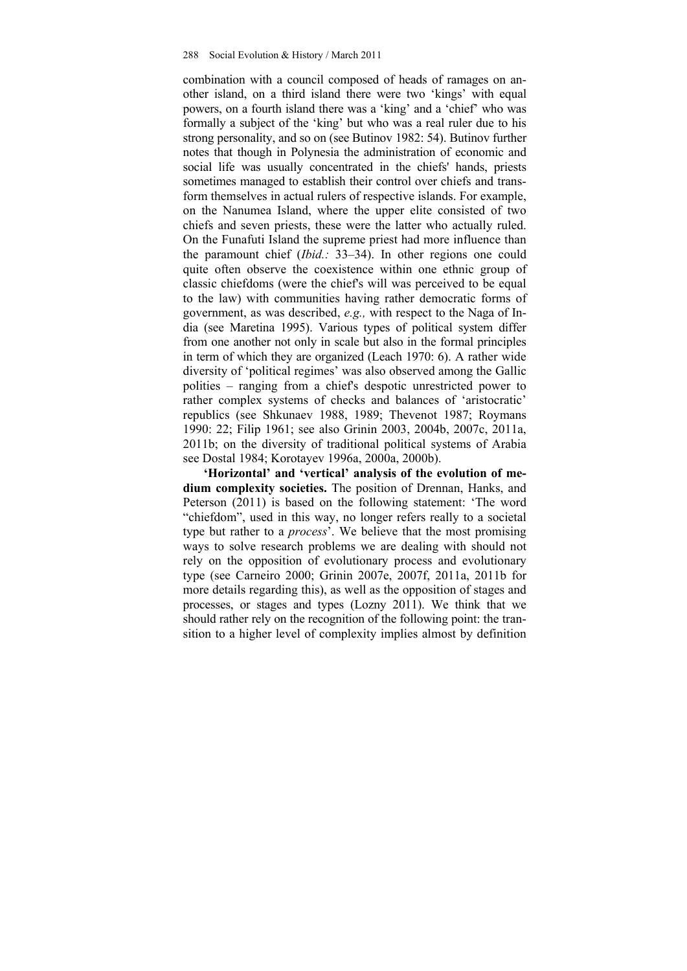combination with a council composed of heads of ramages on another island, on a third island there were two 'kings' with equal powers, on a fourth island there was a 'king' and a 'chief' who was formally a subject of the 'king' but who was a real ruler due to his strong personality, and so on (see Butinov 1982: 54). Butinov further notes that though in Polynesia the administration of economic and social life was usually concentrated in the chiefs' hands, priests sometimes managed to establish their control over chiefs and transform themselves in actual rulers of respective islands. For example, on the Nanumea Island, where the upper elite consisted of two chiefs and seven priests, these were the latter who actually ruled. On the Funafuti Island the supreme priest had more influence than the paramount chief (*Ibid.:* 33–34). In other regions one could quite often observe the coexistence within one ethnic group of classic chiefdoms (were the chief's will was perceived to be equal to the law) with communities having rather democratic forms of government, as was described, *e.g.,* with respect to the Naga of India (see Maretina 1995). Various types of political system differ from one another not only in scale but also in the formal principles in term of which they are organized (Leach 1970: 6). A rather wide diversity of 'political regimes' was also observed among the Gallic polities – ranging from a chief's despotic unrestricted power to rather complex systems of checks and balances of 'aristocratic' republics (see Shkunaev 1988, 1989; Thevenot 1987; Roymans 1990: 22; Filip 1961; see also Grinin 2003, 2004b, 2007c, 2011a, 2011b; on the diversity of traditional political systems of Arabia see Dostal 1984; Korotayev 1996a, 2000a, 2000b).

**'Horizontal' and 'vertical' analysis of the evolution of medium complexity societies.** The position of Drennan, Hanks, and Peterson (2011) is based on the following statement: 'The word "chiefdom", used in this way, no longer refers really to a societal type but rather to a *process*'. We believe that the most promising ways to solve research problems we are dealing with should not rely on the opposition of evolutionary process and evolutionary type (see Carneiro 2000; Grinin 2007e, 2007f, 2011a, 2011b for more details regarding this), as well as the opposition of stages and processes, or stages and types (Lozny 2011). We think that we should rather rely on the recognition of the following point: the transition to a higher level of complexity implies almost by definition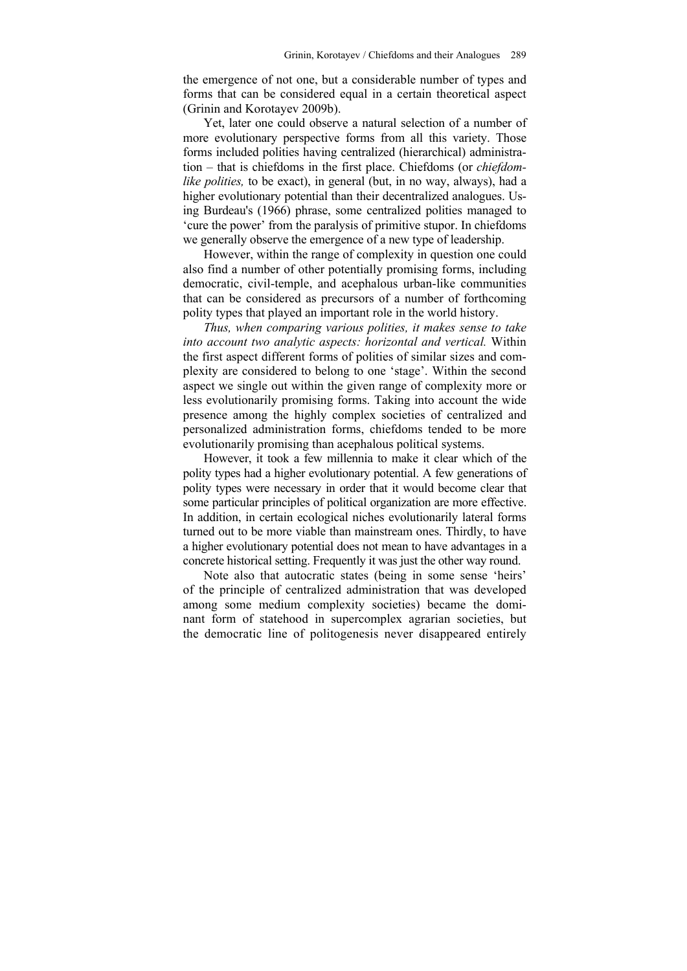the emergence of not one, but a considerable number of types and forms that can be considered equal in a certain theoretical aspect (Grinin and Korotayev 2009b).

Yet, later one could observe a natural selection of a number of more evolutionary perspective forms from all this variety. Those forms included polities having centralized (hierarchical) administration – that is chiefdoms in the first place. Chiefdoms (or *chiefdomlike polities,* to be exact), in general (but, in no way, always), had a higher evolutionary potential than their decentralized analogues. Using Burdeau's (1966) phrase, some centralized polities managed to 'cure the power' from the paralysis of primitive stupor. In chiefdoms we generally observe the emergence of a new type of leadership.

However, within the range of complexity in question one could also find a number of other potentially promising forms, including democratic, civil-temple, and acephalous urban-like communities that can be considered as precursors of a number of forthcoming polity types that played an important role in the world history.

*Thus, when comparing various polities, it makes sense to take into account two analytic aspects: horizontal and vertical.* Within the first aspect different forms of polities of similar sizes and complexity are considered to belong to one 'stage'. Within the second aspect we single out within the given range of complexity more or less evolutionarily promising forms. Taking into account the wide presence among the highly complex societies of centralized and personalized administration forms, chiefdoms tended to be more evolutionarily promising than acephalous political systems.

However, it took a few millennia to make it clear which of the polity types had a higher evolutionary potential. A few generations of polity types were necessary in order that it would become clear that some particular principles of political organization are more effective. In addition, in certain ecological niches evolutionarily lateral forms turned out to be more viable than mainstream ones. Thirdly, to have a higher evolutionary potential does not mean to have advantages in a concrete historical setting. Frequently it was just the other way round.

Note also that autocratic states (being in some sense 'heirs' of the principle of centralized administration that was developed among some medium complexity societies) became the dominant form of statehood in supercomplex agrarian societies, but the democratic line of politogenesis never disappeared entirely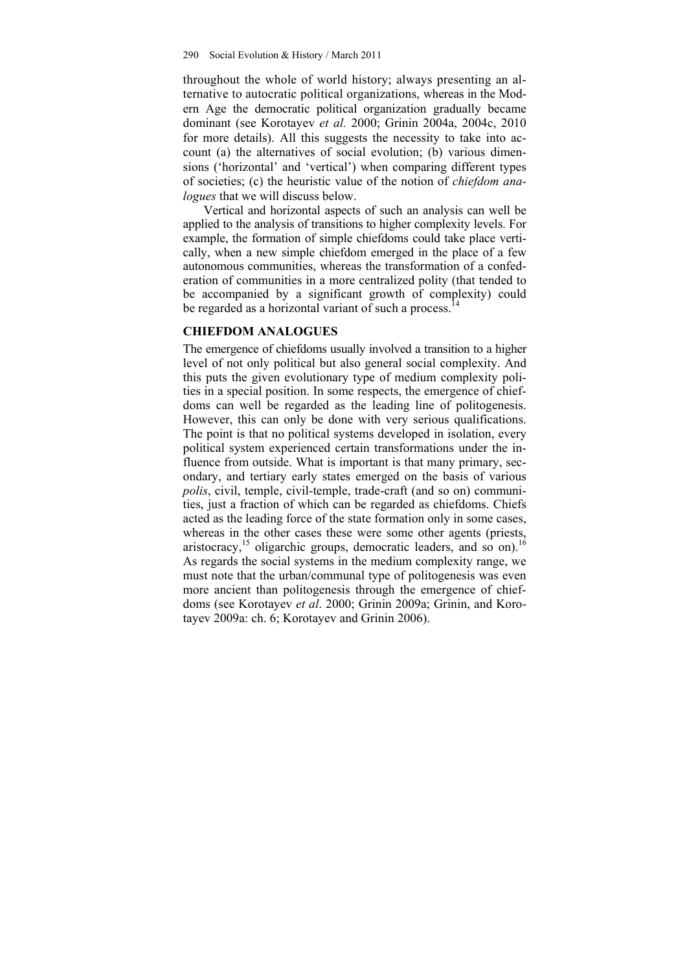throughout the whole of world history; always presenting an alternative to autocratic political organizations, whereas in the Modern Age the democratic political organization gradually became dominant (see Korotayev *et al.* 2000; Grinin 2004a, 2004c, 2010 for more details). All this suggests the necessity to take into account (a) the alternatives of social evolution; (b) various dimensions ('horizontal' and 'vertical') when comparing different types of societies; (c) the heuristic value of the notion of *chiefdom analogues* that we will discuss below.

Vertical and horizontal aspects of such an analysis can well be applied to the analysis of transitions to higher complexity levels. For example, the formation of simple chiefdoms could take place vertically, when a new simple chiefdom emerged in the place of a few autonomous communities, whereas the transformation of a confederation of communities in a more centralized polity (that tended to be accompanied by a significant growth of complexity) could be regarded as a horizontal variant of such a process.<sup>14</sup>

#### **CHIEFDOM ANALOGUES**

The emergence of chiefdoms usually involved a transition to a higher level of not only political but also general social complexity. And this puts the given evolutionary type of medium complexity polities in a special position. In some respects, the emergence of chiefdoms can well be regarded as the leading line of politogenesis. However, this can only be done with very serious qualifications. The point is that no political systems developed in isolation, every political system experienced certain transformations under the influence from outside. What is important is that many primary, secondary, and tertiary early states emerged on the basis of various *polis*, civil, temple, civil-temple, trade-craft (and so on) communities, just a fraction of which can be regarded as chiefdoms. Chiefs acted as the leading force of the state formation only in some cases, whereas in the other cases these were some other agents (priests, aristocracy,<sup>15</sup> oligarchic groups, democratic leaders, and so on).<sup>16</sup> As regards the social systems in the medium complexity range, we must note that the urban/communal type of politogenesis was even more ancient than politogenesis through the emergence of chiefdoms (see Korotayev *et al*. 2000; Grinin 2009a; Grinin, and Korotayev 2009a: ch. 6; Korotayev and Grinin 2006).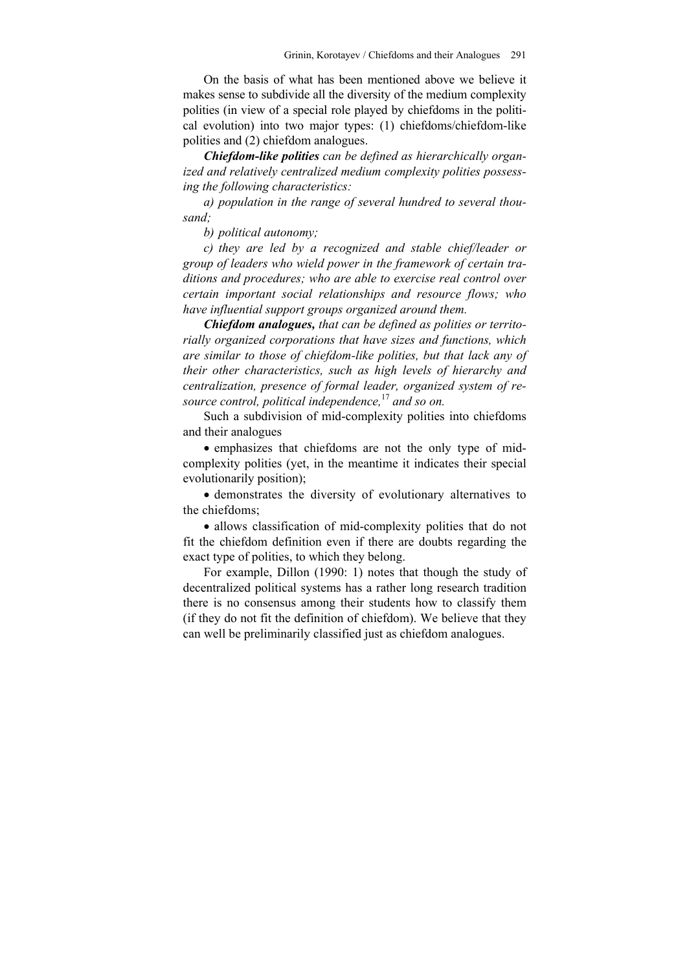On the basis of what has been mentioned above we believe it makes sense to subdivide all the diversity of the medium complexity polities (in view of a special role played by chiefdoms in the political evolution) into two major types: (1) chiefdoms/chiefdom-like polities and (2) chiefdom analogues.

*Chiefdom-like polities can be defined as hierarchically organized and relatively centralized medium complexity polities possessing the following characteristics:* 

*a) population in the range of several hundred to several thousand;* 

*b) political autonomy;* 

*c) they are led by a recognized and stable chief/leader or group of leaders who wield power in the framework of certain traditions and procedures; who are able to exercise real control over certain important social relationships and resource flows; who have influential support groups organized around them.* 

*Chiefdom analogues, that can be defined as polities or territorially organized corporations that have sizes and functions, which are similar to those of chiefdom-like polities, but that lack any of their other characteristics, such as high levels of hierarchy and centralization, presence of formal leader, organized system of resource control, political independence,*<sup>17</sup> *and so on.* 

Such a subdivision of mid-complexity polities into chiefdoms and their analogues

 emphasizes that chiefdoms are not the only type of midcomplexity polities (yet, in the meantime it indicates their special evolutionarily position);

 demonstrates the diversity of evolutionary alternatives to the chiefdoms;

• allows classification of mid-complexity polities that do not fit the chiefdom definition even if there are doubts regarding the exact type of polities, to which they belong.

For example, Dillon (1990: 1) notes that though the study of decentralized political systems has a rather long research tradition there is no consensus among their students how to classify them (if they do not fit the definition of chiefdom). We believe that they can well be preliminarily classified just as chiefdom analogues.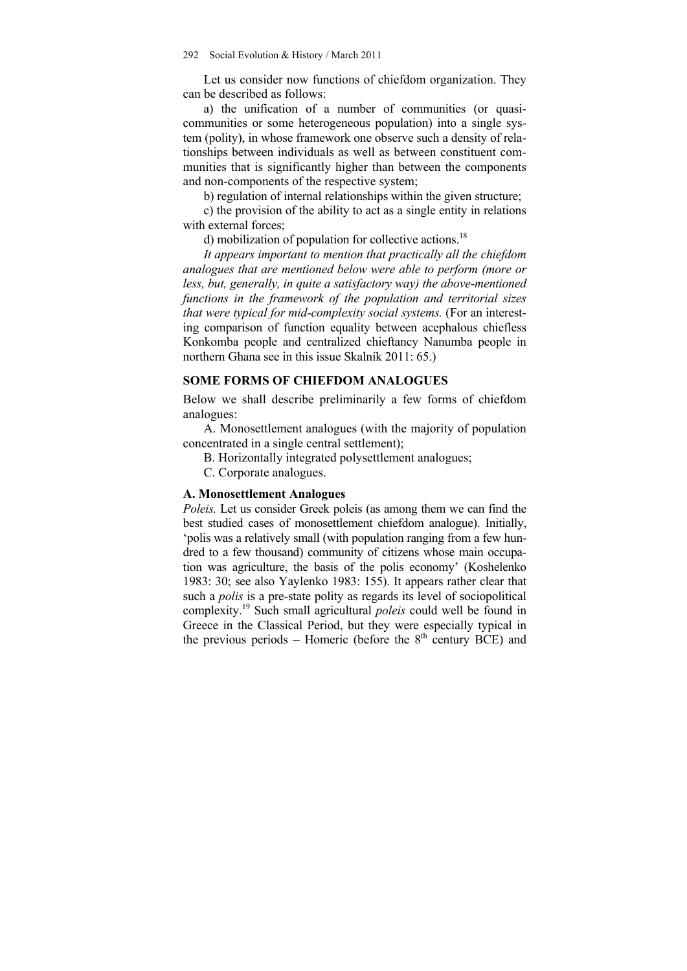Let us consider now functions of chiefdom organization. They can be described as follows:

a) the unification of a number of communities (or quasicommunities or some heterogeneous population) into a single system (polity), in whose framework one observe such a density of relationships between individuals as well as between constituent communities that is significantly higher than between the components and non-components of the respective system;

b) regulation of internal relationships within the given structure;

c) the provision of the ability to act as a single entity in relations with external forces;

d) mobilization of population for collective actions.<sup>18</sup>

*It appears important to mention that practically all the chiefdom analogues that are mentioned below were able to perform (more or less, but, generally, in quite a satisfactory way) the above-mentioned functions in the framework of the population and territorial sizes that were typical for mid-complexity social systems.* (For an interesting comparison of function equality between acephalous chiefless Konkomba people and centralized chieftancy Nanumba people in northern Ghana see in this issue Skalník 2011: 65.)

### **SOME FORMS OF CHIEFDOM ANALOGUES**

Below we shall describe preliminarily a few forms of chiefdom analogues:

A. Monosettlement analogues (with the majority of population concentrated in a single central settlement);

B. Horizontally integrated polysettlement analogues;

C. Corporate analogues.

#### **A. Monosettlement Analogues**

*Poleis.* Let us consider Greek poleis (as among them we can find the best studied cases of monosettlement chiefdom analogue). Initially, 'polis was a relatively small (with population ranging from a few hundred to a few thousand) community of citizens whose main occupation was agriculture, the basis of the polis economy' (Koshelenko 1983: 30; see also Yaylenko 1983: 155). It appears rather clear that such a *polis* is a pre-state polity as regards its level of sociopolitical complexity.19 Such small agricultural *poleis* could well be found in Greece in the Classical Period, but they were especially typical in the previous periods – Homeric (before the  $8<sup>th</sup>$  century BCE) and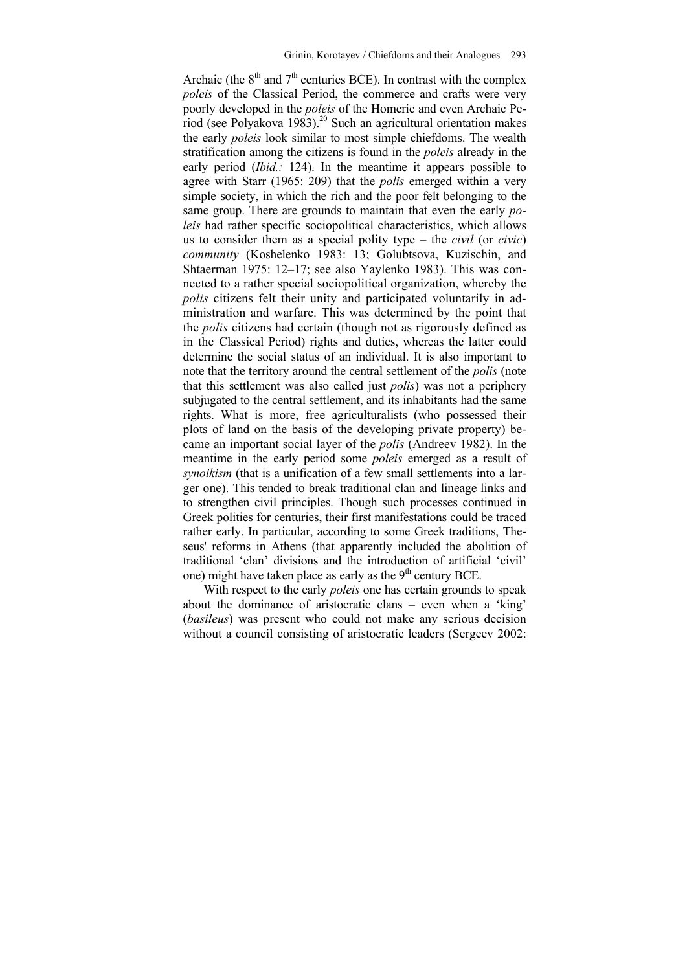Archaic (the  $8<sup>th</sup>$  and  $7<sup>th</sup>$  centuries BCE). In contrast with the complex *poleis* of the Classical Period, the commerce and crafts were very poorly developed in the *poleis* of the Homeric and even Archaic Period (see Polyakova 1983).<sup>20</sup> Such an agricultural orientation makes the early *poleis* look similar to most simple chiefdoms. The wealth stratification among the citizens is found in the *poleis* already in the early period (*Ibid.:* 124). In the meantime it appears possible to agree with Starr (1965: 209) that the *polis* emerged within a very simple society, in which the rich and the poor felt belonging to the same group. There are grounds to maintain that even the early *poleis* had rather specific sociopolitical characteristics, which allows us to consider them as a special polity type – the *civil* (or *civic*) *community* (Koshelenko 1983: 13; Golubtsova, Kuzischin, and Shtaerman 1975: 12–17; see also Yaylenko 1983). This was connected to a rather special sociopolitical organization, whereby the *polis* citizens felt their unity and participated voluntarily in administration and warfare. This was determined by the point that the *polis* citizens had certain (though not as rigorously defined as in the Classical Period) rights and duties, whereas the latter could determine the social status of an individual. It is also important to note that the territory around the central settlement of the *polis* (note that this settlement was also called just *polis*) was not a periphery subjugated to the central settlement, and its inhabitants had the same rights. What is more, free agriculturalists (who possessed their plots of land on the basis of the developing private property) became an important social layer of the *polis* (Andreev 1982). In the meantime in the early period some *poleis* emerged as a result of *synoikism* (that is a unification of a few small settlements into a larger one). This tended to break traditional clan and lineage links and to strengthen civil principles. Though such processes continued in Greek polities for centuries, their first manifestations could be traced rather early. In particular, according to some Greek traditions, Theseus' reforms in Athens (that apparently included the abolition of traditional 'clan' divisions and the introduction of artificial 'civil' one) might have taken place as early as the  $9<sup>th</sup>$  century BCE.

With respect to the early *poleis* one has certain grounds to speak about the dominance of aristocratic clans – even when a 'king' (*basileus*) was present who could not make any serious decision without a council consisting of aristocratic leaders (Sergeev 2002: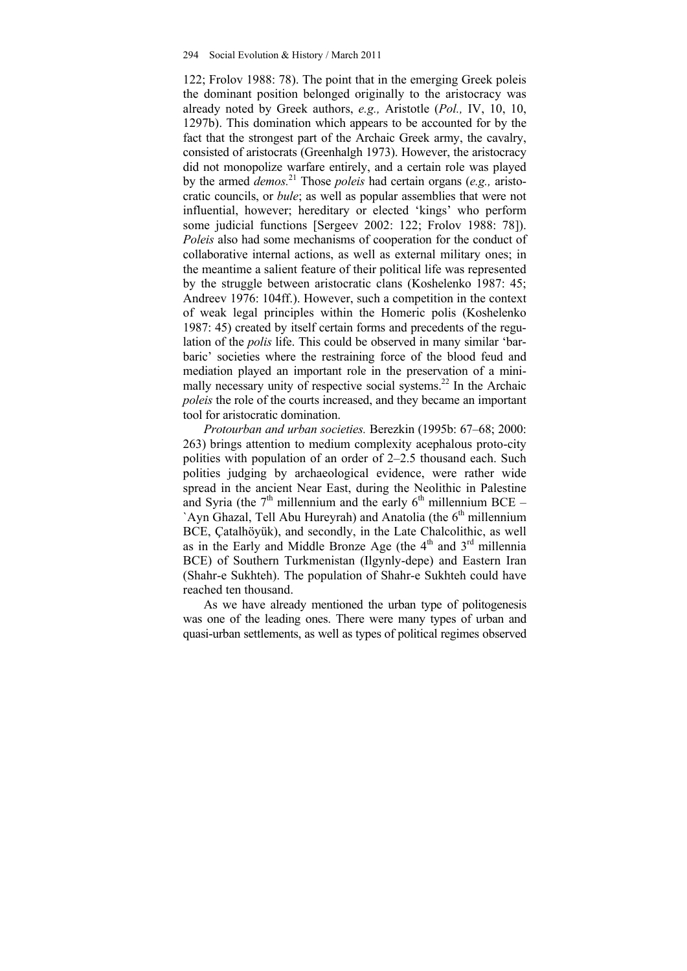122; Frolov 1988: 78). The point that in the emerging Greek poleis the dominant position belonged originally to the aristocracy was already noted by Greek authors, *e.g.,* Aristotle (*Pol.,* IV, 10, 10, 1297b). This domination which appears to be accounted for by the fact that the strongest part of the Archaic Greek army, the cavalry, consisted of aristocrats (Greenhalgh 1973). However, the aristocracy did not monopolize warfare entirely, and a certain role was played by the armed *demos.*21 Those *poleis* had certain organs (*e.g.,* aristocratic councils, or *bule*; as well as popular assemblies that were not influential, however; hereditary or elected 'kings' who perform some judicial functions [Sergeev 2002: 122; Frolov 1988: 78]). *Poleis* also had some mechanisms of cooperation for the conduct of collaborative internal actions, as well as external military ones; in the meantime a salient feature of their political life was represented by the struggle between aristocratic clans (Koshelenko 1987: 45; Andreev 1976: 104ff.). However, such a competition in the context of weak legal principles within the Homeric polis (Koshelenko 1987: 45) created by itself certain forms and precedents of the regulation of the *polis* life. This could be observed in many similar 'barbaric' societies where the restraining force of the blood feud and mediation played an important role in the preservation of a minimally necessary unity of respective social systems.<sup>22</sup> In the Archaic *poleis* the role of the courts increased, and they became an important tool for aristocratic domination.

*Protourban and urban societies.* Berezkin (1995b: 67–68; 2000: 263) brings attention to medium complexity acephalous proto-city polities with population of an order of 2–2.5 thousand each. Such polities judging by archaeological evidence, were rather wide spread in the ancient Near East, during the Neolithic in Palestine and Syria (the  $7<sup>th</sup>$  millennium and the early  $6<sup>th</sup>$  millennium BCE – `Ayn Ghazal, Tell Abu Hureyrah) and Anatolia (the  $6<sup>th</sup>$  millennium BCE, Çatalhöyük), and secondly, in the Late Chalcolithic, as well as in the Early and Middle Bronze Age (the  $4<sup>th</sup>$  and  $3<sup>rd</sup>$  millennia BCE) of Southern Turkmenistan (Ilgynly-depe) and Eastern Iran (Shahr-e Sukhteh). The population of Shahr-e Sukhteh could have reached ten thousand.

As we have already mentioned the urban type of politogenesis was one of the leading ones. There were many types of urban and quasi-urban settlements, as well as types of political regimes observed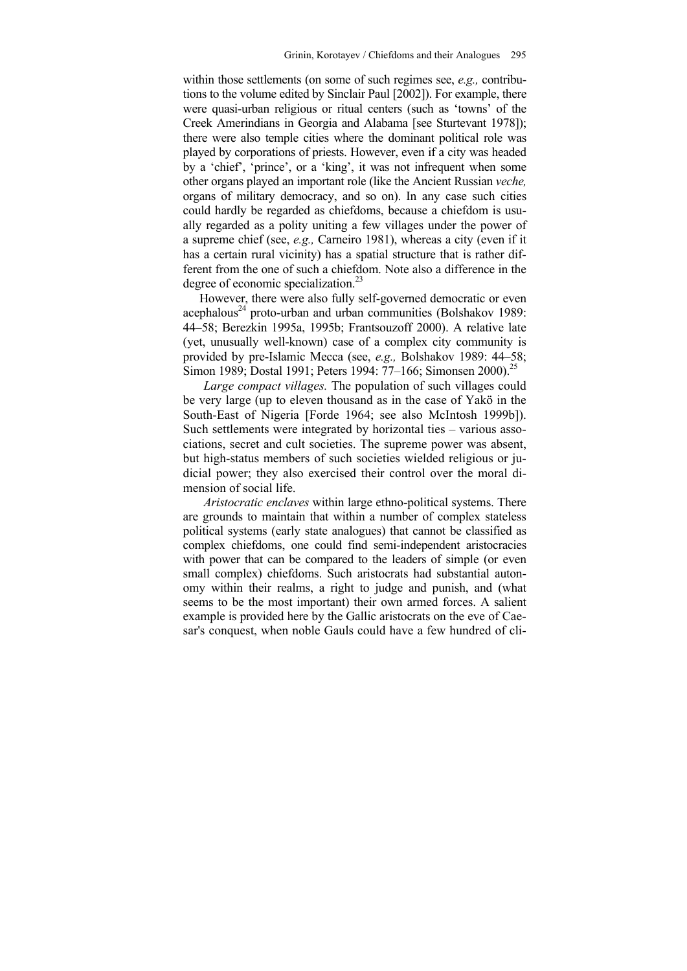within those settlements (on some of such regimes see, *e.g.,* contributions to the volume edited by Sinclair Paul [2002]). For example, there were quasi-urban religious or ritual centers (such as 'towns' of the Creek Amerindians in Georgia and Alabama [see Sturtevant 1978]); there were also temple cities where the dominant political role was played by corporations of priests. However, even if a city was headed by a 'chief', 'prince', or a 'king', it was not infrequent when some other organs played an important role (like the Ancient Russian *veche,* organs of military democracy, and so on). In any case such cities could hardly be regarded as chiefdoms, because a chiefdom is usually regarded as a polity uniting a few villages under the power of a supreme chief (see, *e.g.,* Carneiro 1981), whereas a city (even if it has a certain rural vicinity) has a spatial structure that is rather different from the one of such a chiefdom. Note also a difference in the degree of economic specialization.<sup>23</sup>

However, there were also fully self-governed democratic or even acephalous<sup>24</sup> proto-urban and urban communities (Bolshakov 1989: 44–58; Berezkin 1995а, 1995b; Frantsouzoff 2000). A relative late (yet, unusually well-known) case of a complex city community is provided by pre-Islamic Mecca (see, *e.g.,* Bolshakov 1989: 44–58; Simon 1989; Dostal 1991; Peters 1994: 77–166; Simonsen 2000).<sup>25</sup>

*Large compact villages.* The population of such villages could be very large (up to eleven thousand as in the case of Yakö in the South-East of Nigeria [Forde 1964; see also McIntosh 1999b]). Such settlements were integrated by horizontal ties – various associations, secret and cult societies. The supreme power was absent, but high-status members of such societies wielded religious or judicial power; they also exercised their control over the moral dimension of social life.

*Aristocratic enclaves* within large ethno-political systems. There are grounds to maintain that within a number of complex stateless political systems (early state analogues) that cannot be classified as complex chiefdoms, one could find semi-independent aristocracies with power that can be compared to the leaders of simple (or even small complex) chiefdoms. Such aristocrats had substantial autonomy within their realms, a right to judge and punish, and (what seems to be the most important) their own armed forces. A salient example is provided here by the Gallic aristocrats on the eve of Caesar's conquest, when noble Gauls could have a few hundred of cli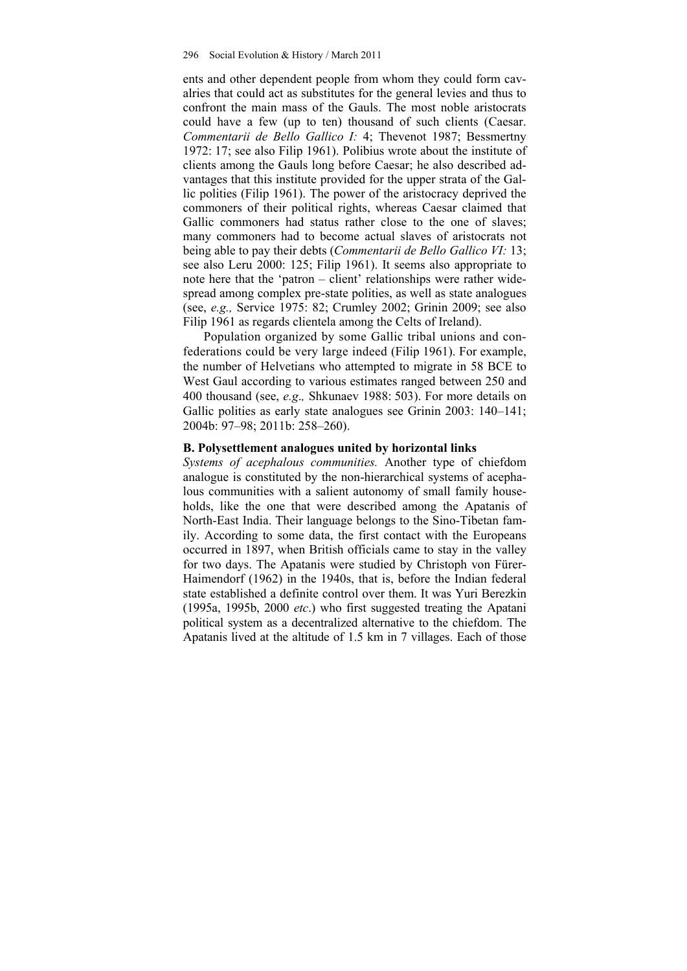ents and other dependent people from whom they could form cavalries that could act as substitutes for the general levies and thus to confront the main mass of the Gauls. The most noble aristocrats could have a few (up to ten) thousand of such clients (Caesar. *Commentarii de Bello Gallico I:* 4; Thevenot 1987; Bessmertny 1972: 17; see also Filip 1961). Polibius wrote about the institute of clients among the Gauls long before Caesar; he also described advantages that this institute provided for the upper strata of the Gallic polities (Filip 1961). The power of the aristocracy deprived the commoners of their political rights, whereas Caesar claimed that Gallic commoners had status rather close to the one of slaves; many commoners had to become actual slaves of aristocrats not being able to pay their debts (*Commentarii de Bello Gallico VI:* 13; see also Leru 2000: 125; Filip 1961). It seems also appropriate to note here that the 'patron – client' relationships were rather widespread among complex pre-state polities, as well as state analogues (see, *e.g.,* Service 1975: 82; Crumley 2002; Grinin 2009; see also Filip 1961 as regards clientela among the Celts of Ireland).

Population organized by some Gallic tribal unions and confederations could be very large indeed (Filip 1961). For example, the number of Helvetians who attempted to migrate in 58 BCE to West Gaul according to various estimates ranged between 250 and 400 thousand (see, *e.g*.*,* Shkunaev 1988: 503). For more details on Gallic polities as early state analogues see Grinin 2003: 140–141; 2004b: 97–98; 2011b: 258–260).

#### **B. Polysettlement analogues united by horizontal links**

*Systems of acephalous communities.* Another type of chiefdom analogue is constituted by the non-hierarchical systems of acephalous communities with a salient autonomy of small family households, like the one that were described among the Apatanis of North-East India. Their language belongs to the Sino-Tibetan family. According to some data, the first contact with the Europeans occurred in 1897, when British officials came to stay in the valley for two days. The Apatanis were studied by Christoph von Fürer-Haimendorf (1962) in the 1940s, that is, before the Indian federal state established a definite control over them. It was Yuri Berezkin (1995a, 1995b, 2000 *etc*.) who first suggested treating the Apatani political system as a decentralized alternative to the chiefdom. The Apatanis lived at the altitude of 1.5 km in 7 villages. Each of those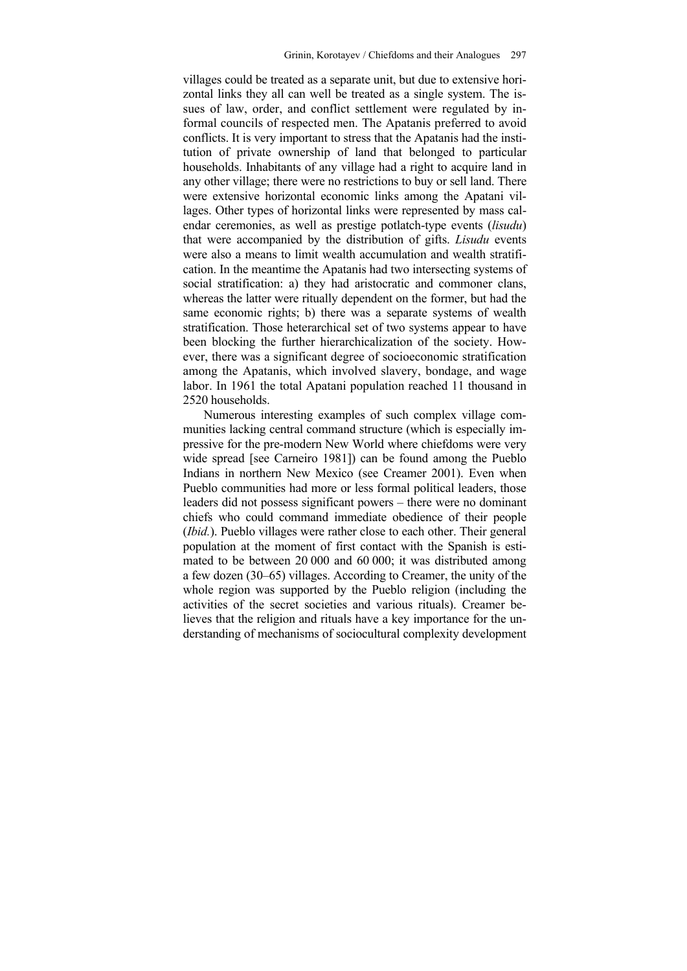villages could be treated as a separate unit, but due to extensive horizontal links they all can well be treated as a single system. The issues of law, order, and conflict settlement were regulated by informal councils of respected men. The Apatanis preferred to avoid conflicts. It is very important to stress that the Apatanis had the institution of private ownership of land that belonged to particular households. Inhabitants of any village had a right to acquire land in any other village; there were no restrictions to buy or sell land. There were extensive horizontal economic links among the Apatani villages. Other types of horizontal links were represented by mass calendar ceremonies, as well as prestige potlatch-type events (*lisudu*) that were accompanied by the distribution of gifts. *Lisudu* events were also a means to limit wealth accumulation and wealth stratification. In the meantime the Apatanis had two intersecting systems of social stratification: a) they had aristocratic and commoner clans, whereas the latter were ritually dependent on the former, but had the same economic rights; b) there was a separate systems of wealth stratification. Those heterarchical set of two systems appear to have been blocking the further hierarchicalization of the society. However, there was a significant degree of socioeconomic stratification among the Apatanis, which involved slavery, bondage, and wage labor. In 1961 the total Apatani population reached 11 thousand in 2520 households.

Numerous interesting examples of such complex village communities lacking central command structure (which is especially impressive for the pre-modern New World where chiefdoms were very wide spread [see Carneiro 1981]) can be found among the Pueblo Indians in northern New Mexico (see Creamer 2001). Even when Pueblo communities had more or less formal political leaders, those leaders did not possess significant powers – there were no dominant chiefs who could command immediate obedience of their people (*Ibid.*). Pueblo villages were rather close to each other. Their general population at the moment of first contact with the Spanish is estimated to be between 20 000 and 60 000; it was distributed among a few dozen (30–65) villages. According to Creamer, the unity of the whole region was supported by the Pueblo religion (including the activities of the secret societies and various rituals). Creamer believes that the religion and rituals have a key importance for the understanding of mechanisms of sociocultural complexity development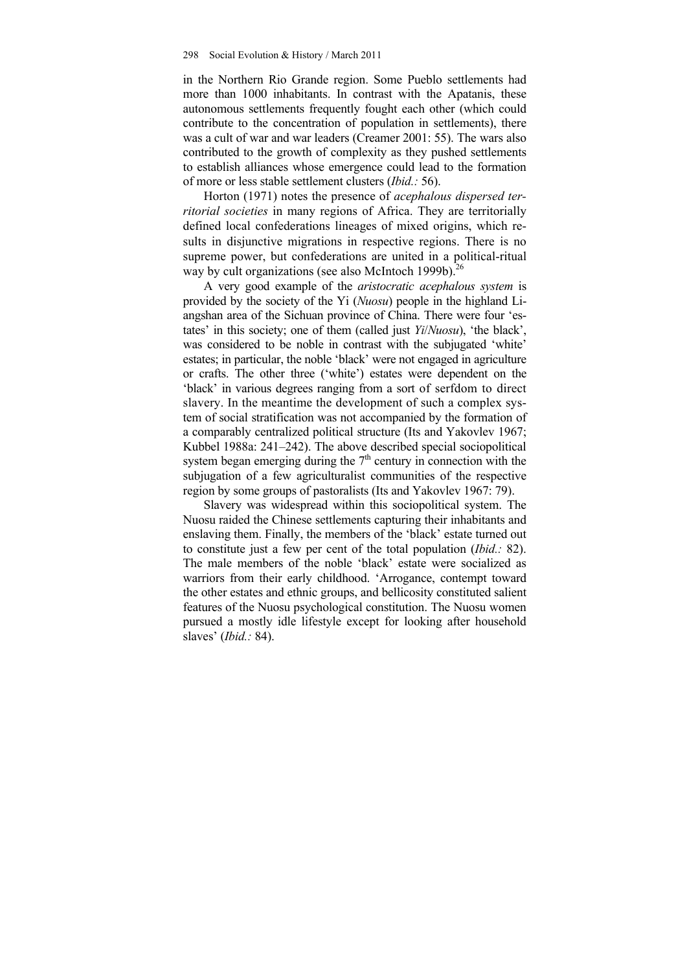in the Northern Rio Grande region. Some Pueblo settlements had more than 1000 inhabitants. In contrast with the Apatanis, these autonomous settlements frequently fought each other (which could contribute to the concentration of population in settlements), there was a cult of war and war leaders (Creamer 2001: 55). The wars also contributed to the growth of complexity as they pushed settlements to establish alliances whose emergence could lead to the formation of more or less stable settlement clusters (*Ibid.:* 56).

Horton (1971) notes the presence of *acephalous dispersed territorial societies* in many regions of Africa. They are territorially defined local confederations lineages of mixed origins, which results in disjunctive migrations in respective regions. There is no supreme power, but confederations are united in a political-ritual way by cult organizations (see also McIntoch 1999b).<sup>26</sup>

A very good example of the *aristocratic acephalous system* is provided by the society of the Yi (*Nuosu*) people in the highland Liangshan area of the Sichuan province of China. There were four 'estates' in this society; one of them (called just *Yi*/*Nuosu*), 'the black', was considered to be noble in contrast with the subjugated 'white' estates; in particular, the noble 'black' were not engaged in agriculture or crafts. The other three ('white') estates were dependent on the 'black' in various degrees ranging from a sort of serfdom to direct slavery. In the meantime the development of such a complex system of social stratification was not accompanied by the formation of a comparably centralized political structure (Its and Yakovlev 1967; Kubbel 1988а: 241–242). The above described special sociopolitical system began emerging during the  $7<sup>th</sup>$  century in connection with the subjugation of a few agriculturalist communities of the respective region by some groups of pastoralists (Its and Yakovlev 1967: 79).

Slavery was widespread within this sociopolitical system. The Nuosu raided the Chinese settlements capturing their inhabitants and enslaving them. Finally, the members of the 'black' estate turned out to constitute just a few per cent of the total population (*Ibid.:* 82). The male members of the noble 'black' estate were socialized as warriors from their early childhood. 'Arrogance, contempt toward the other estates and ethnic groups, and bellicosity constituted salient features of the Nuosu psychological constitution. The Nuosu women pursued a mostly idle lifestyle except for looking after household slaves' (*Ibid.:* 84).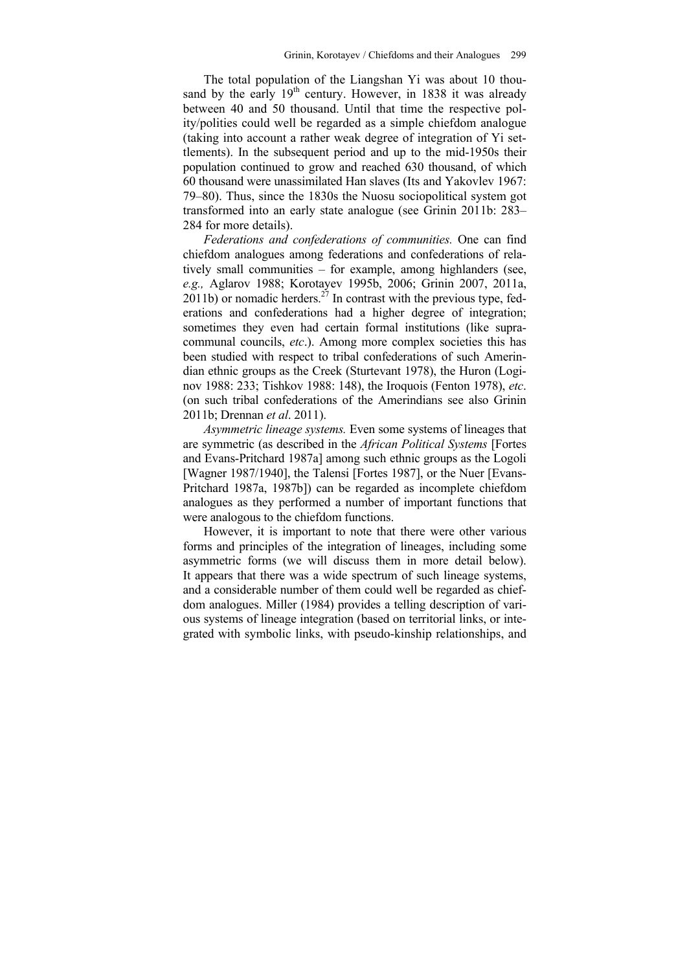The total population of the Liangshan Yi was about 10 thousand by the early  $19<sup>th</sup>$  century. However, in 1838 it was already between 40 and 50 thousand. Until that time the respective polity/polities could well be regarded as a simple chiefdom analogue (taking into account a rather weak degree of integration of Yi settlements). In the subsequent period and up to the mid-1950s their population continued to grow and reached 630 thousand, of which 60 thousand were unassimilated Han slaves (Its and Yakovlev 1967: 79–80). Thus, since the 1830s the Nuosu sociopolitical system got transformed into an early state analogue (see Grinin 2011b: 283– 284 for more details).

*Federations and confederations of communities.* One can find chiefdom analogues among federations and confederations of relatively small communities – for example, among highlanders (see, *e.g.,* Aglarov 1988; Korotayev 1995b, 2006; Grinin 2007, 2011a,  $2011b$ ) or nomadic herders.<sup>27</sup> In contrast with the previous type, federations and confederations had a higher degree of integration; sometimes they even had certain formal institutions (like supracommunal councils, *etc*.). Among more complex societies this has been studied with respect to tribal confederations of such Amerindian ethnic groups as the Creek (Sturtevant 1978), the Huron (Loginov 1988: 233; Tishkov 1988: 148), the Iroquois (Fenton 1978), *etc*. (on such tribal confederations of the Amerindians see also Grinin 2011b; Drennan *et al*. 2011).

*Asymmetric lineage systems.* Even some systems of lineages that are symmetric (as described in the *African Political Systems* [Fortes and Evans-Pritchard 1987a] among such ethnic groups as the Logoli [Wagner 1987/1940], the Talensi [Fortes 1987], or the Nuer [Evans-Pritchard 1987a, 1987b]) can be regarded as incomplete chiefdom analogues as they performed a number of important functions that were analogous to the chiefdom functions.

However, it is important to note that there were other various forms and principles of the integration of lineages, including some asymmetric forms (we will discuss them in more detail below). It appears that there was a wide spectrum of such lineage systems, and a considerable number of them could well be regarded as chiefdom analogues. Miller (1984) provides a telling description of various systems of lineage integration (based on territorial links, or integrated with symbolic links, with pseudo-kinship relationships, and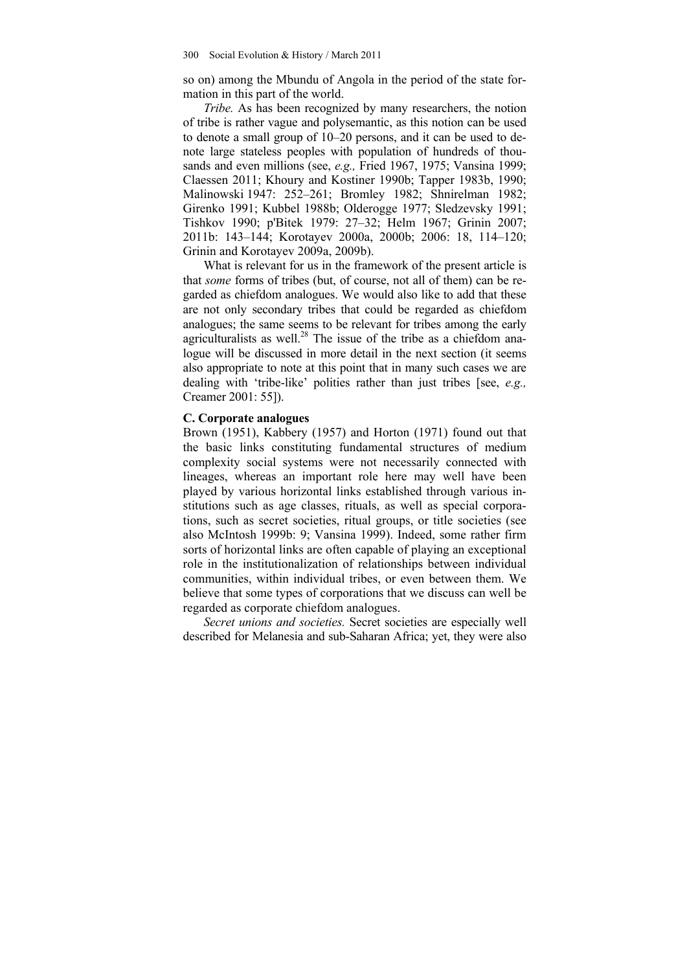so on) among the Mbundu of Angola in the period of the state formation in this part of the world.

*Tribe.* As has been recognized by many researchers, the notion of tribe is rather vague and polysemantic, as this notion can be used to denote a small group of 10–20 persons, and it can be used to denote large stateless peoples with population of hundreds of thousands and even millions (see, *e.g.,* Fried 1967, 1975; Vansina 1999; Claessen 2011; Khoury and Kostiner 1990b; Tapper 1983b, 1990; Malinowski 1947: 252–261; Bromley 1982; Shnirelman 1982; Girenko 1991; Kubbel 1988b; Olderogge 1977; Sledzevsky 1991; Tishkov 1990; p'Bitek 1979: 27–32; Helm 1967; Grinin 2007; 2011b: 143–144; Korotayev 2000a, 2000b; 2006: 18, 114–120; Grinin and Korotayev 2009a, 2009b).

What is relevant for us in the framework of the present article is that *some* forms of tribes (but, of course, not all of them) can be regarded as chiefdom analogues. We would also like to add that these are not only secondary tribes that could be regarded as chiefdom analogues; the same seems to be relevant for tribes among the early agriculturalists as well.<sup>28</sup> The issue of the tribe as a chiefdom analogue will be discussed in more detail in the next section (it seems also appropriate to note at this point that in many such cases we are dealing with 'tribe-like' polities rather than just tribes [see, *e.g.,* Creamer 2001: 55]).

#### **C. Corporate analogues**

Brown (1951), Kabbery (1957) and Horton (1971) found out that the basic links constituting fundamental structures of medium complexity social systems were not necessarily connected with lineages, whereas an important role here may well have been played by various horizontal links established through various institutions such as age classes, rituals, as well as special corporations, such as secret societies, ritual groups, or title societies (see also McIntosh 1999b: 9; Vansina 1999). Indeed, some rather firm sorts of horizontal links are often capable of playing an exceptional role in the institutionalization of relationships between individual communities, within individual tribes, or even between them. We believe that some types of corporations that we discuss can well be regarded as corporate chiefdom analogues.

*Secret unions and societies.* Secret societies are especially well described for Melanesia and sub-Saharan Africa; yet, they were also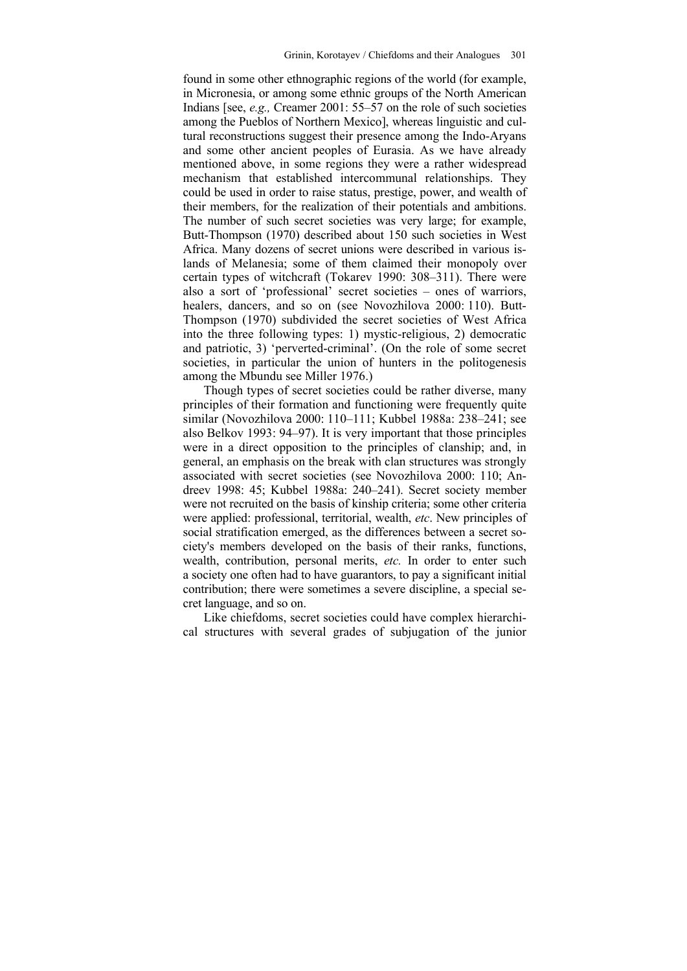found in some other ethnographic regions of the world (for example, in Micronesia, or among some ethnic groups of the North American Indians [see, *e.g.,* Creamer 2001: 55–57 on the role of such societies among the Pueblos of Northern Mexico], whereas linguistic and cultural reconstructions suggest their presence among the Indo-Aryans and some other ancient peoples of Eurasia. As we have already mentioned above, in some regions they were a rather widespread mechanism that established intercommunal relationships. They could be used in order to raise status, prestige, power, and wealth of their members, for the realization of their potentials and ambitions. The number of such secret societies was very large; for example, Butt-Thompson (1970) described about 150 such societies in West Africa. Many dozens of secret unions were described in various islands of Melanesia; some of them claimed their monopoly over certain types of witchcraft (Tokarev 1990: 308–311). There were also a sort of 'professional' secret societies – ones of warriors, healers, dancers, and so on (see Novozhilova 2000: 110). Butt-Thompson (1970) subdivided the secret societies of West Africa into the three following types: 1) mystic-religious, 2) democratic and patriotic, 3) 'perverted-criminal'. (On the role of some secret societies, in particular the union of hunters in the politogenesis among the Mbundu see Miller 1976.)

Though types of secret societies could be rather diverse, many principles of their formation and functioning were frequently quite similar (Novozhilova 2000: 110–111; Kubbel 1988a: 238–241; see also Belkov 1993: 94–97). It is very important that those principles were in a direct opposition to the principles of clanship; and, in general, an emphasis on the break with clan structures was strongly associated with secret societies (see Novozhilova 2000: 110; Andreev 1998: 45; Kubbel 1988a: 240–241). Secret society member were not recruited on the basis of kinship criteria; some other criteria were applied: professional, territorial, wealth, *etc*. New principles of social stratification emerged, as the differences between a secret society's members developed on the basis of their ranks, functions, wealth, contribution, personal merits, *etc.* In order to enter such a society one often had to have guarantors, to pay a significant initial contribution; there were sometimes a severe discipline, a special secret language, and so on.

Like chiefdoms, secret societies could have complex hierarchical structures with several grades of subjugation of the junior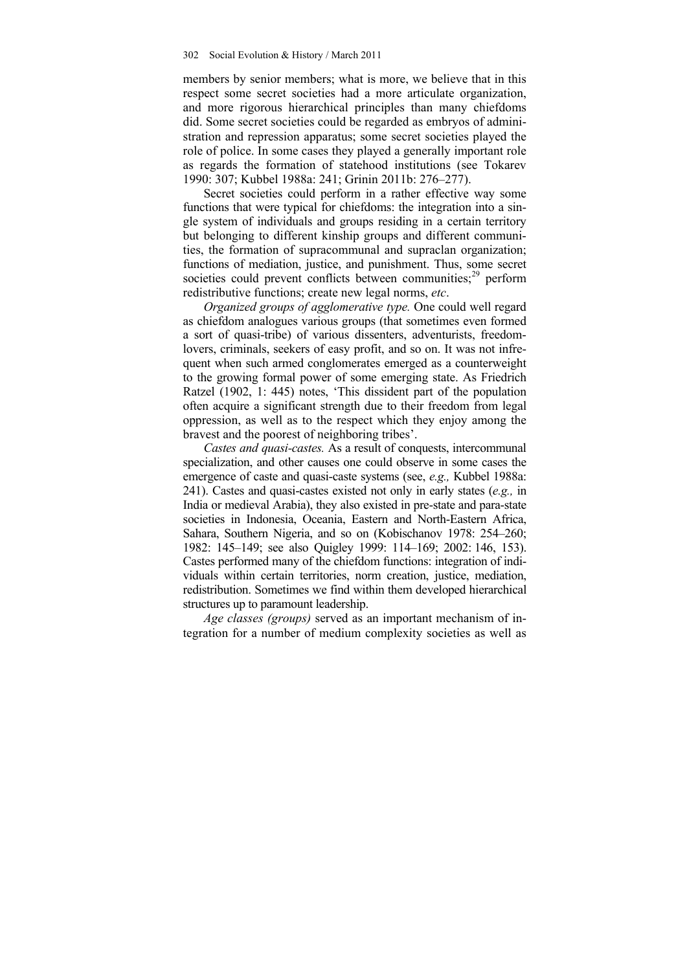members by senior members; what is more, we believe that in this respect some secret societies had a more articulate organization, and more rigorous hierarchical principles than many chiefdoms did. Some secret societies could be regarded as embryos of administration and repression apparatus; some secret societies played the role of police. In some cases they played a generally important role as regards the formation of statehood institutions (see Tokarev 1990: 307; Kubbel 1988a: 241; Grinin 2011b: 276–277).

Secret societies could perform in a rather effective way some functions that were typical for chiefdoms: the integration into a single system of individuals and groups residing in a certain territory but belonging to different kinship groups and different communities, the formation of supracommunal and supraclan organization; functions of mediation, justice, and punishment. Thus, some secret societies could prevent conflicts between communities;<sup>29</sup> perform redistributive functions; create new legal norms, *etc*.

*Organized groups of agglomerative type.* One could well regard as chiefdom analogues various groups (that sometimes even formed a sort of quasi-tribe) of various dissenters, adventurists, freedomlovers, criminals, seekers of easy profit, and so on. It was not infrequent when such armed conglomerates emerged as a counterweight to the growing formal power of some emerging state. As Friedrich Ratzel (1902, 1: 445) notes, 'This dissident part of the population often acquire a significant strength due to their freedom from legal oppression, as well as to the respect which they enjoy among the bravest and the poorest of neighboring tribes'.

*Castes and quasi-castes.* As a result of conquests, intercommunal specialization, and other causes one could observe in some cases the emergence of caste and quasi-caste systems (see, *e.g.,* Kubbel 1988a: 241). Castes and quasi-castes existed not only in early states (*e.g.,* in India or medieval Arabia), they also existed in pre-state and para-state societies in Indonesia, Oceania, Eastern and North-Eastern Africa, Sahara, Southern Nigeria, and so on (Kobischanov 1978: 254–260; 1982: 145–149; see also Quigley 1999: 114–169; 2002: 146, 153). Castes performed many of the chiefdom functions: integration of individuals within certain territories, norm creation, justice, mediation, redistribution. Sometimes we find within them developed hierarchical structures up to paramount leadership.

*Age classes (groups)* served as an important mechanism of integration for a number of medium complexity societies as well as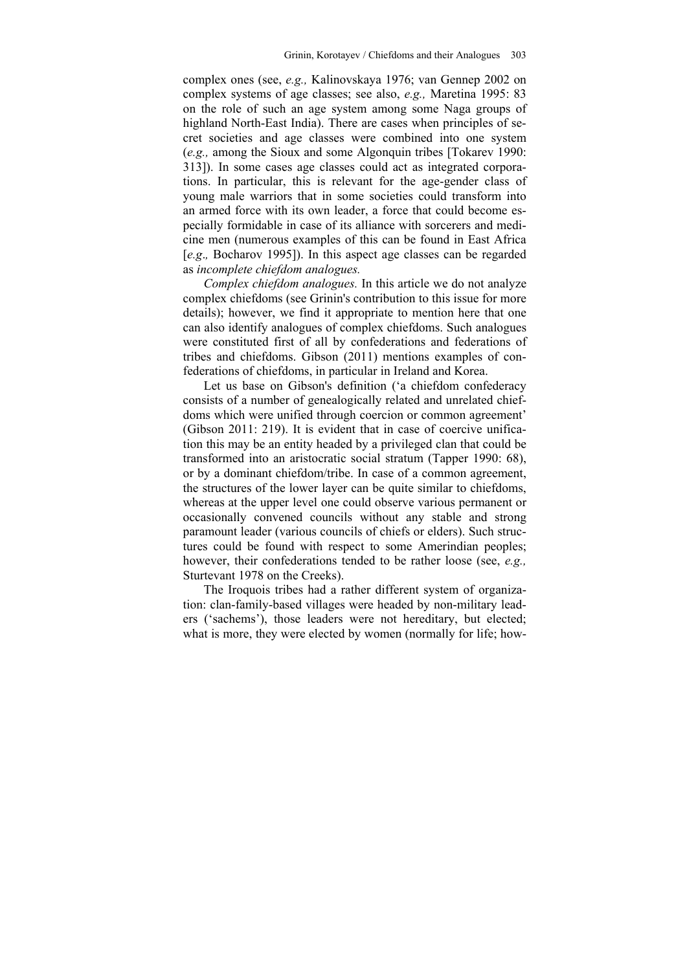complex ones (see, *e.g.,* Kalinovskaya 1976; van Gennep 2002 on complex systems of age classes; see also, *e.g.,* Maretina 1995: 83 on the role of such an age system among some Naga groups of highland North-East India). There are cases when principles of secret societies and age classes were combined into one system (*e.g.,* among the Sioux and some Algonquin tribes [Tokarev 1990: 313]). In some cases age classes could act as integrated corporations. In particular, this is relevant for the age-gender class of young male warriors that in some societies could transform into an armed force with its own leader, a force that could become especially formidable in case of its alliance with sorcerers and medicine men (numerous examples of this can be found in East Africa [*e.g*.*,* Bocharov 1995]). In this aspect age classes can be regarded as *incomplete chiefdom analogues.* 

*Complex chiefdom analogues.* In this article we do not analyze complex chiefdoms (see Grinin's contribution to this issue for more details); however, we find it appropriate to mention here that one can also identify analogues of complex chiefdoms. Such analogues were constituted first of all by confederations and federations of tribes and chiefdoms. Gibson (2011) mentions examples of confederations of chiefdoms, in particular in Ireland and Korea.

Let us base on Gibson's definition ('a chiefdom confederacy consists of a number of genealogically related and unrelated chiefdoms which were unified through coercion or common agreement' (Gibson 2011: 219). It is evident that in case of coercive unification this may be an entity headed by a privileged clan that could be transformed into an aristocratic social stratum (Tapper 1990: 68), or by a dominant chiefdom/tribe. In case of a common agreement, the structures of the lower layer can be quite similar to chiefdoms, whereas at the upper level one could observe various permanent or occasionally convened councils without any stable and strong paramount leader (various councils of chiefs or elders). Such structures could be found with respect to some Amerindian peoples; however, their confederations tended to be rather loose (see, *e.g.,*  Sturtevant 1978 on the Creeks).

The Iroquois tribes had a rather different system of organization: clan-family-based villages were headed by non-military leaders ('sachems'), those leaders were not hereditary, but elected; what is more, they were elected by women (normally for life; how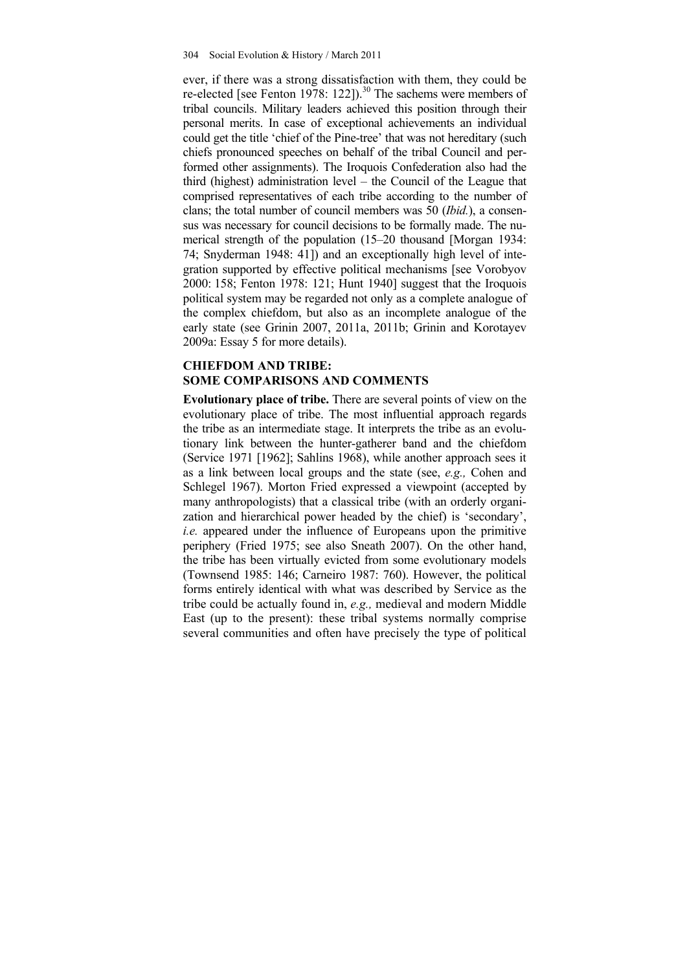ever, if there was a strong dissatisfaction with them, they could be re-elected [see Fenton 1978: 122]).<sup>30</sup> The sachems were members of tribal councils. Military leaders achieved this position through their personal merits. In case of exceptional achievements an individual could get the title 'chief of the Pine-tree' that was not hereditary (such chiefs pronounced speeches on behalf of the tribal Council and performed other assignments). The Iroquois Confederation also had the third (highest) administration level – the Council of the League that comprised representatives of each tribe according to the number of clans; the total number of council members was 50 (*Ibid.*), a consensus was necessary for council decisions to be formally made. The numerical strength of the population (15–20 thousand [Morgan 1934: 74; Snyderman 1948: 41]) and an exceptionally high level of integration supported by effective political mechanisms [see Vorobyov 2000: 158; Fenton 1978: 121; Hunt 1940] suggest that the Iroquois political system may be regarded not only as a complete analogue of the complex chiefdom, but also as an incomplete analogue of the early state (see Grinin 2007, 2011a, 2011b; Grinin and Korotayev 2009a: Essay 5 for more details).

## **CHIEFDOM AND TRIBE: SOME COMPARISONS AND COMMENTS**

**Evolutionary place of tribe.** There are several points of view on the evolutionary place of tribe. The most influential approach regards the tribe as an intermediate stage. It interprets the tribe as an evolutionary link between the hunter-gatherer band and the chiefdom (Service 1971 [1962]; Sahlins 1968), while another approach sees it as а link between local groups and the state (see, *e.g.,* Cohen and Schlegel 1967). Morton Fried expressed a viewpoint (accepted by many anthropologists) that a classical tribe (with an orderly organization and hierarchical power headed by the chief) is 'secondary', *i.e.* appeared under the influence of Europeans upon the primitive periphery (Fried 1975; see also Sneath 2007). On the other hand, the tribe has been virtually evicted from some evolutionary models (Townsend 1985: 146; Carneiro 1987: 760). However, the political forms entirely identical with what was described by Service as the tribe could be actually found in, *e.g.,* medieval and modern Middle East (up to the present): these tribal systems normally comprise several communities and often have precisely the type of political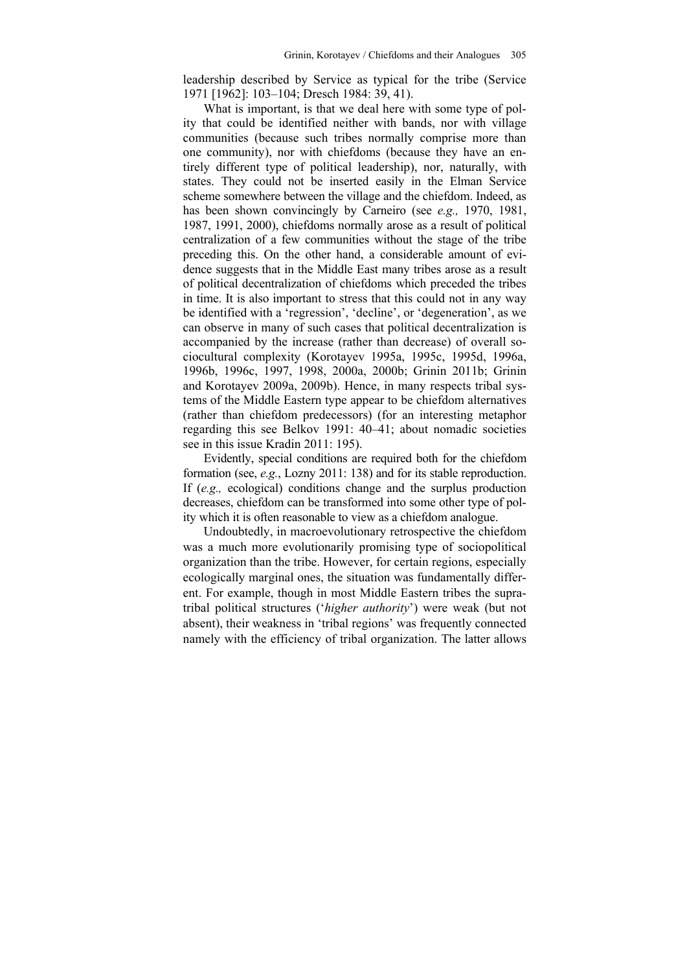leadership described by Service as typical for the tribe (Service 1971 [1962]: 103–104; Dresch 1984: 39, 41).

What is important, is that we deal here with some type of polity that could be identified neither with bands, nor with village communities (because such tribes normally comprise more than one community), nor with chiefdoms (because they have an entirely different type of political leadership), nor, naturally, with states. They could not be inserted easily in the Elman Service scheme somewhere between the village and the chiefdom. Indeed, as has been shown convincingly by Carneiro (see *e.g.,* 1970, 1981, 1987, 1991, 2000), chiefdoms normally arose as a result of political centralization of a few communities without the stage of the tribe preceding this. On the other hand, a considerable amount of evidence suggests that in the Middle East many tribes arose as a result of political decentralization of chiefdoms which preceded the tribes in time. It is also important to stress that this could not in any way be identified with a 'regression', 'decline', or 'degeneration', as we can observe in many of such cases that political decentralization is accompanied by the increase (rather than decrease) of overall sociocultural complexity (Korotayev 1995a, 1995c, 1995d, 1996a, 1996b, 1996c, 1997, 1998, 2000a, 2000b; Grinin 2011b; Grinin and Korotayev 2009a, 2009b). Hence, in many respects tribal systems of the Middle Eastern type appear to be chiefdom alternatives (rather than chiefdom predecessors) (for an interesting metaphor regarding this see Belkov 1991: 40–41; about nomadic societies see in this issue Kradin 2011: 195).

Evidently, special conditions are required both for the chiefdom formation (see, *e.g.*, Lozny 2011: 138) and for its stable reproduction. If (*e.g.,* ecological) conditions change and the surplus production decreases, chiefdom can be transformed into some other type of polity which it is often reasonable to view as a chiefdom analogue.

Undoubtedly, in macroevolutionary retrospective the chiefdom was a much more evolutionarily promising type of sociopolitical organization than the tribe. However, for certain regions, especially ecologically marginal ones, the situation was fundamentally different. For example, though in most Middle Eastern tribes the supratribal political structures ('*higher authority*') were weak (but not absent), their weakness in 'tribal regions' was frequently connected namely with the efficiency of tribal organization. The latter allows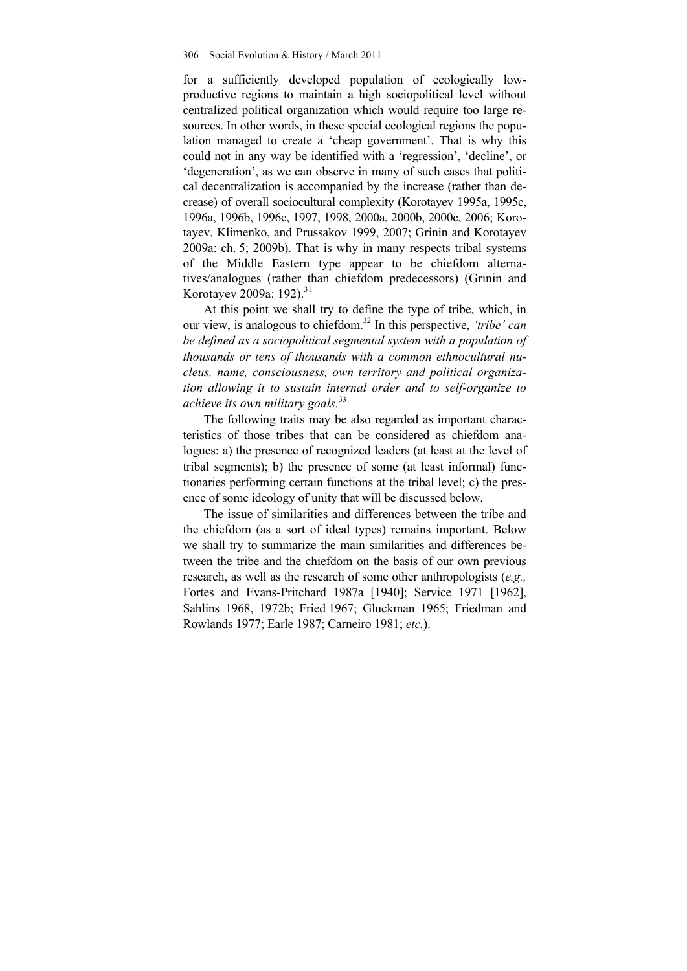for a sufficiently developed population of ecologically lowproductive regions to maintain a high sociopolitical level without centralized political organization which would require too large resources. In other words, in these special ecological regions the population managed to create a 'cheap government'. That is why this could not in any way be identified with a 'regression', 'decline', or 'degeneration', as we can observe in many of such cases that political decentralization is accompanied by the increase (rather than decrease) of overall sociocultural complexity (Korotayev 1995а, 1995c, 1996а, 1996b, 1996c, 1997, 1998, 2000a, 2000b, 2000c, 2006; Korotayev, Klimenko, and Prussakov 1999, 2007; Grinin and Korotayev 2009a: ch. 5; 2009b). That is why in many respects tribal systems of the Middle Eastern type appear to be chiefdom alternatives/analogues (rather than chiefdom predecessors) (Grinin and Korotayev 2009a: 192).<sup>31</sup>

At this point we shall try to define the type of tribe, which, in our view, is analogous to chiefdom.32 In this perspective, *'tribe' can be defined as a sociopolitical segmental system with a population of thousands or tens of thousands with a common ethnocultural nucleus, name, consciousness, own territory and political organization allowing it to sustain internal order and to self-organize to achieve its own military goals.*<sup>33</sup>

The following traits may be also regarded as important characteristics of those tribes that can be considered as chiefdom analogues: a) the presence of recognized leaders (at least at the level of tribal segments); b) the presence of some (at least informal) functionaries performing certain functions at the tribal level; c) the presence of some ideology of unity that will be discussed below.

The issue of similarities and differences between the tribe and the chiefdom (as a sort of ideal types) remains important. Below we shall try to summarize the main similarities and differences between the tribe and the chiefdom on the basis of our own previous research, as well as the research of some other anthropologists (*e.g.,* Fortes and Evans-Pritchard 1987a [1940]; Service 1971 [1962], Sahlins 1968, 1972b; Fried 1967; Gluckman 1965; Friedman and Rowlands 1977; Earle 1987; Carneiro 1981; *etc.*).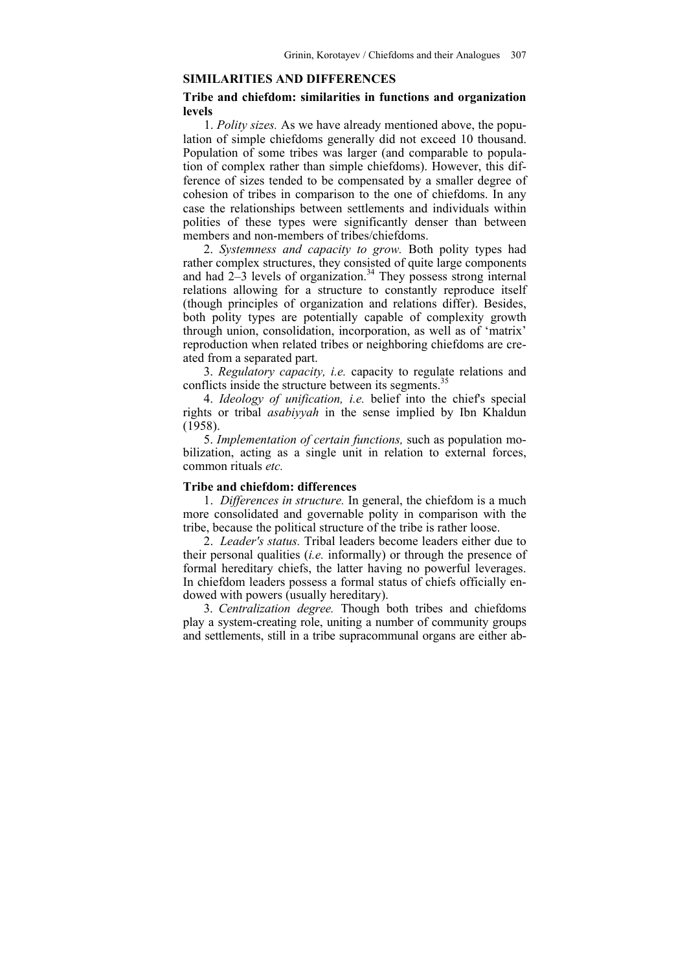#### **SIMILARITIES AND DIFFERENCES**

#### **Tribe and chiefdom: similarities in functions and organization levels**

1. *Polity sizes.* As we have already mentioned above, the population of simple chiefdoms generally did not exceed 10 thousand. Population of some tribes was larger (and comparable to population of complex rather than simple chiefdoms). However, this difference of sizes tended to be compensated by a smaller degree of cohesion of tribes in comparison to the one of chiefdoms. In any case the relationships between settlements and individuals within polities of these types were significantly denser than between members and non-members of tribes/chiefdoms.

2. *Systemness and capacity to grow.* Both polity types had rather complex structures, they consisted of quite large components and had  $2-3$  levels of organization.<sup>34</sup> They possess strong internal relations allowing for a structure to constantly reproduce itself (though principles of organization and relations differ). Besides, both polity types are potentially capable of complexity growth through union, consolidation, incorporation, as well as of 'matrix' reproduction when related tribes or neighboring chiefdoms are created from a separated part.

3. *Regulatory capacity, i.e.* capacity to regulate relations and conflicts inside the structure between its segments.<sup>35</sup>

4. *Ideology of unification, i.e.* belief into the chief's special rights or tribal *asabiyyah* in the sense implied by Ibn Khaldun (1958).

5. *Implementation of certain functions,* such as population mobilization, acting as a single unit in relation to external forces, common rituals *etc.*

#### **Tribe and chiefdom: differences**

1. *Differences in structure.* In general, the chiefdom is a much more consolidated and governable polity in comparison with the tribe, because the political structure of the tribe is rather loose.

2. *Leader's status.* Tribal leaders become leaders either due to their personal qualities (*i.e.* informally) or through the presence of formal hereditary chiefs, the latter having no powerful leverages. In chiefdom leaders possess a formal status of chiefs officially endowed with powers (usually hereditary).

3. *Centralization degree.* Though both tribes and chiefdoms play a system-creating role, uniting a number of community groups and settlements, still in a tribe supracommunal organs are either ab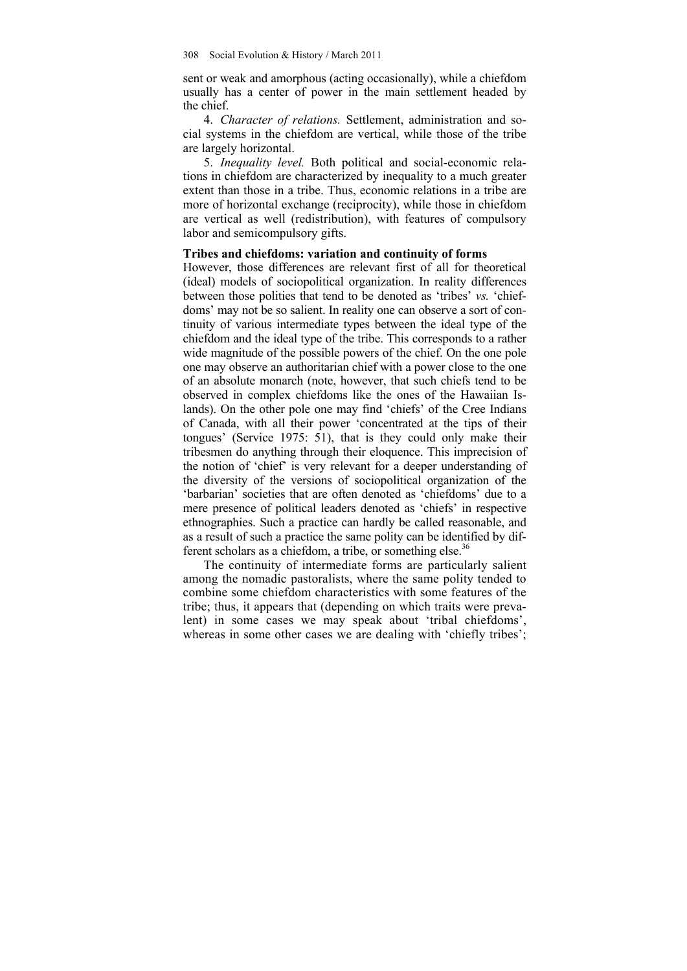sent or weak and amorphous (acting occasionally), while a chiefdom usually has a center of power in the main settlement headed by the chief.

4. *Character of relations.* Settlement, administration and social systems in the chiefdom are vertical, while those of the tribe are largely horizontal.

5. *Inequality level.* Both political and social-economic relations in chiefdom are characterized by inequality to a much greater extent than those in a tribe. Thus, economic relations in a tribe are more of horizontal exchange (reciprocity), while those in chiefdom are vertical as well (redistribution), with features of compulsory labor and semicompulsory gifts.

#### **Tribes and chiefdoms: variation and continuity of forms**

However, those differences are relevant first of all for theoretical (ideal) models of sociopolitical organization. In reality differences between those polities that tend to be denoted as 'tribes' *vs.* 'chiefdoms' may not be so salient. In reality one can observe a sort of continuity of various intermediate types between the ideal type of the chiefdom and the ideal type of the tribe. This corresponds to a rather wide magnitude of the possible powers of the chief. On the one pole one may observe an authoritarian chief with a power close to the one of an absolute monarch (note, however, that such chiefs tend to be observed in complex chiefdoms like the ones of the Hawaiian Islands). On the other pole one may find 'chiefs' of the Cree Indians of Canada, with all their power 'concentrated at the tips of their tongues' (Service 1975: 51), that is they could only make their tribesmen do anything through their eloquence. This imprecision of the notion of 'chief' is very relevant for a deeper understanding of the diversity of the versions of sociopolitical organization of the 'barbarian' societies that are often denoted as 'chiefdoms' due to a mere presence of political leaders denoted as 'chiefs' in respective ethnographies. Such a practice can hardly be called reasonable, and as a result of such a practice the same polity can be identified by different scholars as a chiefdom, a tribe, or something else.<sup>36</sup>

The continuity of intermediate forms are particularly salient among the nomadic pastoralists, where the same polity tended to combine some chiefdom characteristics with some features of the tribe; thus, it appears that (depending on which traits were prevalent) in some cases we may speak about 'tribal chiefdoms', whereas in some other cases we are dealing with 'chiefly tribes';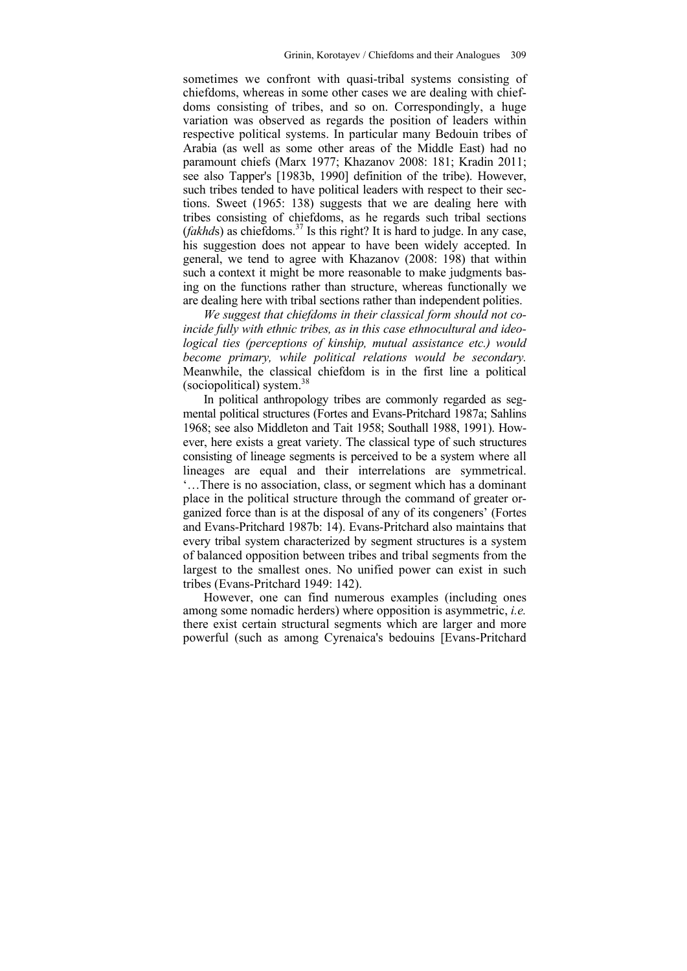sometimes we confront with quasi-tribal systems consisting of chiefdoms, whereas in some other cases we are dealing with chiefdoms consisting of tribes, and so on. Correspondingly, a huge variation was observed as regards the position of leaders within respective political systems. In particular many Bedouin tribes of Arabia (as well as some other areas of the Middle East) had no paramount chiefs (Marx 1977; Khazanov 2008: 181; Kradin 2011; see also Tapper's [1983b, 1990] definition of the tribe). However, such tribes tended to have political leaders with respect to their sections. Sweet (1965: 138) suggests that we are dealing here with tribes consisting of chiefdoms, as he regards such tribal sections  $(fakhds)$  as chiefdoms.<sup>37</sup> Is this right? It is hard to judge. In any case, his suggestion does not appear to have been widely accepted. In general, we tend to agree with Khazanov (2008: 198) that within such a context it might be more reasonable to make judgments basing on the functions rather than structure, whereas functionally we are dealing here with tribal sections rather than independent polities.

*We suggest that chiefdoms in their classical form should not coincide fully with ethnic tribes, as in this case ethnocultural and ideological ties (perceptions of kinship, mutual assistance etc.) would become primary, while political relations would be secondary.*  Meanwhile, the classical chiefdom is in the first line a political (sociopolitical) system.38

In political anthropology tribes are commonly regarded as segmental political structures (Fortes and Evans-Pritchard 1987a; Sahlins 1968; see also Middleton and Tait 1958; Southall 1988, 1991). However, here exists a great variety. The classical type of such structures consisting of lineage segments is perceived to be a system where all lineages are equal and their interrelations are symmetrical. '…There is no association, class, or segment which has a dominant place in the political structure through the command of greater organized force than is at the disposal of any of its congeners' (Fortes and Evans-Pritchard 1987b: 14). Evans-Pritchard also maintains that every tribal system characterized by segment structures is a system of balanced opposition between tribes and tribal segments from the largest to the smallest ones. No unified power can exist in such tribes (Evans-Pritchard 1949: 142).

However, one can find numerous examples (including ones among some nomadic herders) where opposition is asymmetric, *i.e.* there exist certain structural segments which are larger and more powerful (such as among Cyrenaica's bedouins [Evans-Pritchard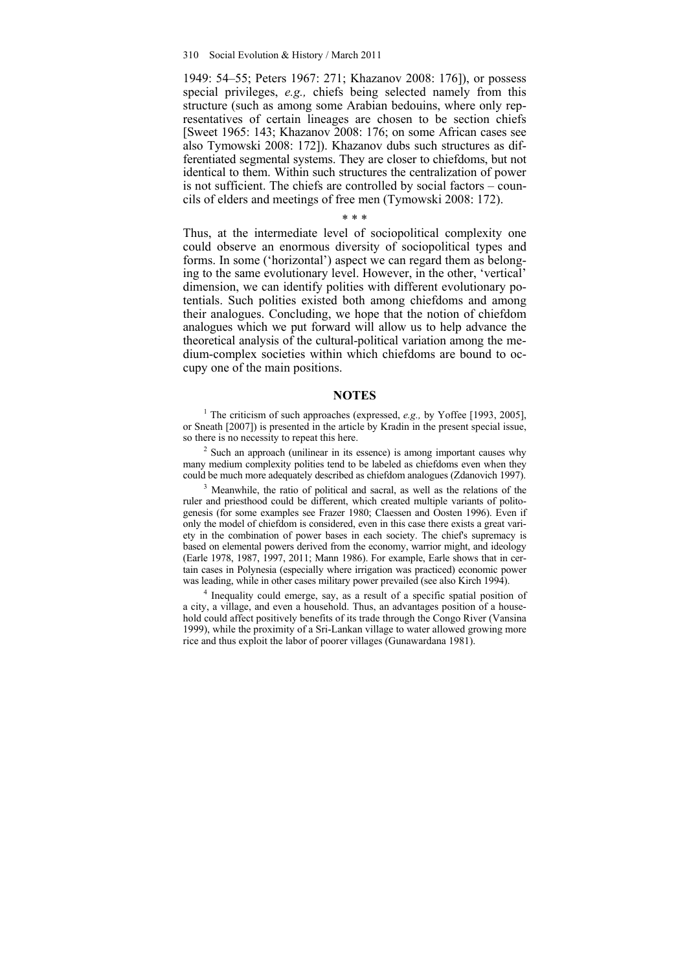1949: 54–55; Peters 1967: 271; Khazanov 2008: 176]), or possess special privileges, *e.g.,* chiefs being selected namely from this structure (such as among some Arabian bedouins, where only representatives of certain lineages are chosen to be section chiefs [Sweet 1965: 143; Khazanov 2008: 176; on some African cases see also Tymowski 2008: 172]). Khazanov dubs such structures as differentiated segmental systems. They are closer to chiefdoms, but not identical to them. Within such structures the centralization of power is not sufficient. The chiefs are controlled by social factors – councils of elders and meetings of free men (Tymowski 2008: 172).

#### \* \* \*

Thus, at the intermediate level of sociopolitical complexity one could observe an enormous diversity of sociopolitical types and forms. In some ('horizontal') aspect we can regard them as belonging to the same evolutionary level. However, in the other, 'vertical' dimension, we can identify polities with different evolutionary potentials. Such polities existed both among chiefdoms and among their analogues. Concluding, we hope that the notion of chiefdom analogues which we put forward will allow us to help advance the theoretical analysis of the cultural-political variation among the medium-complex societies within which chiefdoms are bound to occupy one of the main positions.

## **NOTES**

<sup>1</sup> The criticism of such approaches (expressed, *e.g.*, by Yoffee [1993, 2005], or Sneath [2007]) is presented in the article by Kradin in the present special issue, so there is no necessity to repeat this here.

 $\frac{2}{3}$  Such an approach (unilinear in its essence) is among important causes why many medium complexity polities tend to be labeled as chiefdoms even when they could be much more adequately described as chiefdom analogues (Zdanovich 1997).

 Meanwhile, the ratio of political and sacral, as well as the relations of the ruler and priesthood could be different, which created multiple variants of politogenesis (for some examples see Frazer 1980; Claessen and Oosten 1996). Even if only the model of chiefdom is considered, even in this case there exists a great variety in the combination of power bases in each society. The chief's supremacy is based on elemental powers derived from the economy, warrior might, and ideology (Earle 1978, 1987, 1997, 2011; Mann 1986). For example, Earle shows that in certain cases in Polynesia (especially where irrigation was practiced) economic power was leading, while in other cases military power prevailed (see also Kirch 1994). 4

<sup>4</sup> Inequality could emerge, say, as a result of a specific spatial position of a city, a village, and even a household. Thus, an advantages position of a household could affect positively benefits of its trade through the Congo River (Vansina 1999), while the proximity of a Sri-Lankan village to water allowed growing more rice and thus exploit the labor of poorer villages (Gunawardana 1981).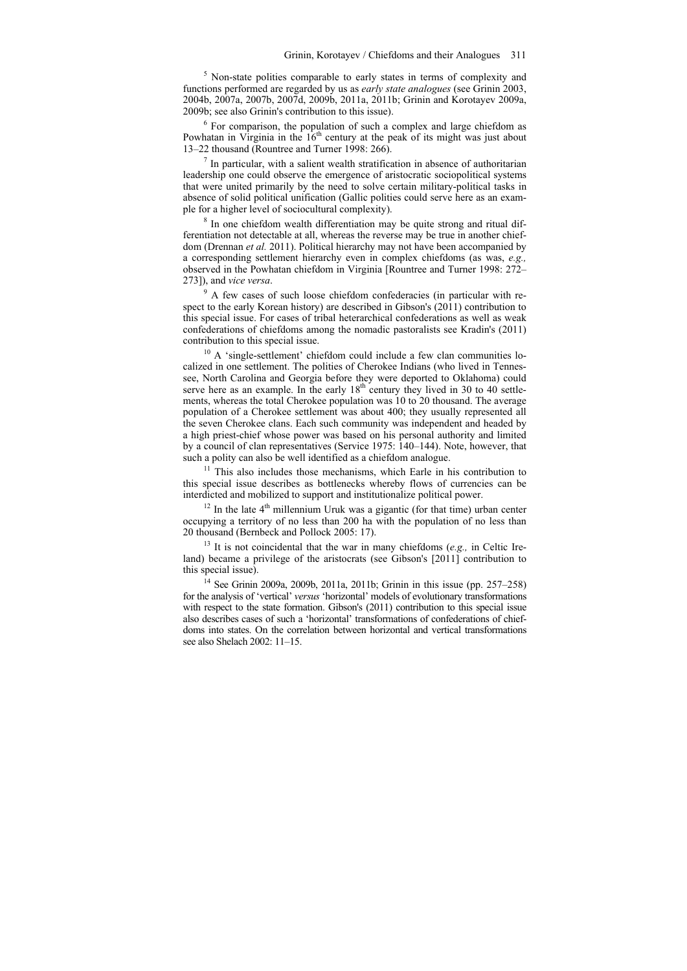<sup>5</sup> Non-state polities comparable to early states in terms of complexity and functions performed are regarded by us as *early state analogues* (see Grinin 2003, 2004b, 2007a, 2007b, 2007d, 2009b, 2011a, 2011b; Grinin and Korotayev 2009a, 2009b; see also Grinin's contribution to this issue). 6

 $6$  For comparison, the population of such a complex and large chiefdom as Powhatan in Virginia in the  $16<sup>th</sup>$  century at the peak of its might was just about 13–22 thousand (Rountree and Turner 1998:  $266$ ).

In particular, with a salient wealth stratification in absence of authoritarian leadership one could observe the emergence of aristocratic sociopolitical systems that were united primarily by the need to solve certain military-political tasks in absence of solid political unification (Gallic polities could serve here as an example for a higher level of sociocultural complexity).

 $\delta$  In one chiefdom wealth differentiation may be quite strong and ritual differentiation not detectable at all, whereas the reverse may be true in another chiefdom (Drennan *et al.* 2011). Political hierarchy may not have been accompanied by a corresponding settlement hierarchy even in complex chiefdoms (as was, *e.g.,* observed in the Powhatan chiefdom in Virginia [Rountree and Turner 1998: 272– 273]), and *vice versa*.

<sup>9</sup> A few cases of such loose chiefdom confederacies (in particular with respect to the early Korean history) are described in Gibson's (2011) contribution to this special issue. For cases of tribal heterarchical confederations as well as weak confederations of chiefdoms among the nomadic pastoralists see Kradin's (2011)

contribution to this special issue.<br><sup>10</sup> A 'single-settlement' chiefdom could include a few clan communities localized in one settlement. The polities of Cherokee Indians (who lived in Tennessee, North Carolina and Georgia before they were deported to Oklahoma) could serve here as an example. In the early  $18<sup>th</sup>$  century they lived in 30 to 40 settlements, whereas the total Cherokee population was 10 to 20 thousand. The average population of a Cherokee settlement was about 400; they usually represented all the seven Cherokee clans. Each such community was independent and headed by a high priest-chief whose power was based on his personal authority and limited by a council of clan representatives (Service 1975: 140–144). Note, however, that such a polity can also be well identified as a chiefdom analogue.<br><sup>11</sup> This also includes those mechanisms, which Earle in his contribution to

this special issue describes as bottlenecks whereby flows of currencies can be interdicted and mobilized to support and institutionalize political power.

 $12$  In the late  $4<sup>th</sup>$  millennium Uruk was a gigantic (for that time) urban center occupying a territory of no less than 200 ha with the population of no less than

20 thousand (Bernbeck and Pollock 2005: 17).<br><sup>13</sup> It is not coincidental that the war in many chiefdoms (*e.g.*, in Celtic Ireland) became a privilege of the aristocrats (see Gibson's [2011] contribution to this special issue). 14 See Grinin 2009a, 2009b, 2011a, 2011b; Grinin in this issue (pp. 257–258)

for the analysis of 'vertical' *versus* 'horizontal' models of evolutionary transformations with respect to the state formation. Gibson's (2011) contribution to this special issue also describes cases of such a 'horizontal' transformations of confederations of chiefdoms into states. On the correlation between horizontal and vertical transformations see also Shelach 2002: 11–15.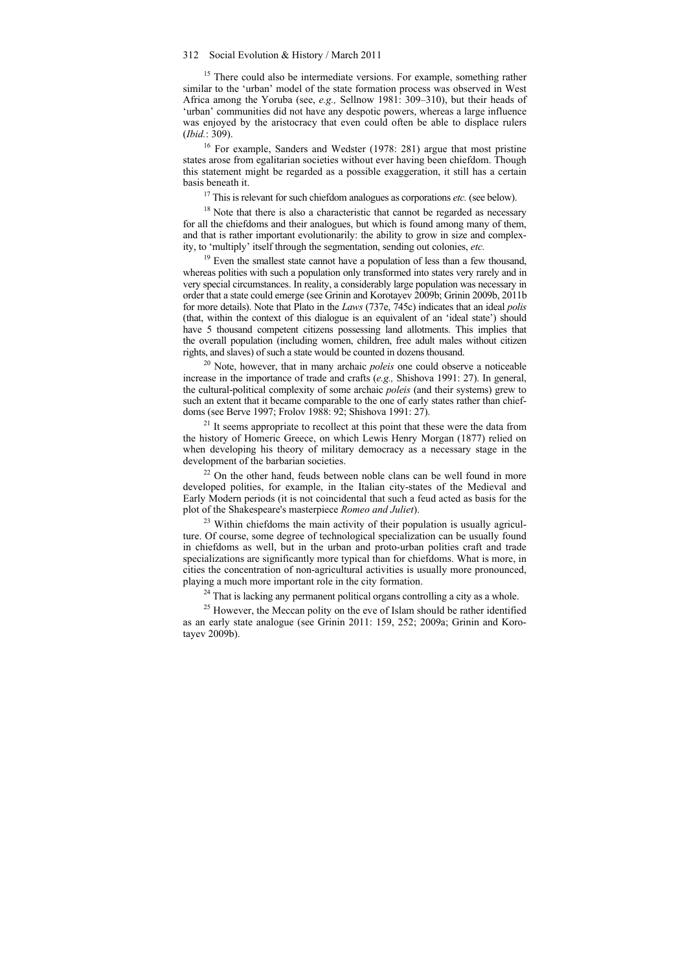#### 312 Social Evolution & History / March 2011

<sup>15</sup> There could also be intermediate versions. For example, something rather similar to the 'urban' model of the state formation process was observed in West Africa among the Yoruba (see, *e.g.,* Sellnow 1981: 309–310), but their heads of 'urban' communities did not have any despotic powers, whereas a large influence was enjoyed by the aristocracy that even could often be able to displace rulers (*Ibid.*: 309).

<sup>16</sup> For example, Sanders and Wedster (1978: 281) argue that most pristine states arose from egalitarian societies without ever having been chiefdom. Though this statement might be regarded as a possible exaggeration, it still has a certain basis beneath it.<br><sup>17</sup> This is relevant for such chiefdom analogues as corporations *etc*. (see below).<br><sup>18</sup> Note that there is also a characteristic that cannot be regarded as necessary

for all the chiefdoms and their analogues, but which is found among many of them, and that is rather important evolutionarily: the ability to grow in size and complexity, to 'multiply' itself through the segmentation, sending out colonies, *etc.*

<sup>19</sup> Even the smallest state cannot have a population of less than a few thousand, whereas polities with such a population only transformed into states very rarely and in very special circumstances. In reality, a considerably large population was necessary in order that a state could emerge (see Grinin and Korotayev 2009b; Grinin 2009b, 2011b for more details). Note that Plato in the *Laws* (737е, 745с) indicates that an ideal *polis*  (that, within the context of this dialogue is an equivalent of an 'ideal state') should have 5 thousand competent citizens possessing land allotments. This implies that the overall population (including women, children, free adult males without citizen rights, and slaves) of such a state would be counted in dozens thousand. 20 Note, however, that in many archaic *poleis* one could observe a noticeable

increase in the importance of trade and crafts (*e.g.,* Shishova 1991: 27). In general, the cultural-political complexity of some archaic *poleis* (and their systems) grew to such an extent that it became comparable to the one of early states rather than chief-<br>doms (see Berve 1997; Frolov 1988: 92; Shishova 1991: 27).

 $21$  It seems appropriate to recollect at this point that these were the data from the history of Homeric Greece, on which Lewis Henry Morgan (1877) relied on when developing his theory of military democracy as a necessary stage in the development of the barbarian societies.

 $22$  On the other hand, feuds between noble clans can be well found in more developed polities, for example, in the Italian city-states of the Medieval and Early Modern periods (it is not coincidental that such a feud acted as basis for the plot of the Shakespeare's masterpiece *Romeo and Juliet*).

<sup>23</sup> Within chiefdoms the main activity of their population is usually agriculture. Of course, some degree of technological specialization can be usually found in chiefdoms as well, but in the urban and proto-urban polities craft and trade specializations are significantly more typical than for chiefdoms. What is more, in cities the concentration of non-agricultural activities is usually more pronounced, playing a much more important role in the city formation.<br><sup>24</sup> That is lacking any permanent political organs controlling a city as a whole.<br><sup>25</sup> However, the Meccan polity on the eve of Islam should be rather identified

as an early state analogue (see Grinin 2011: 159, 252; 2009a; Grinin and Korotayev 2009b).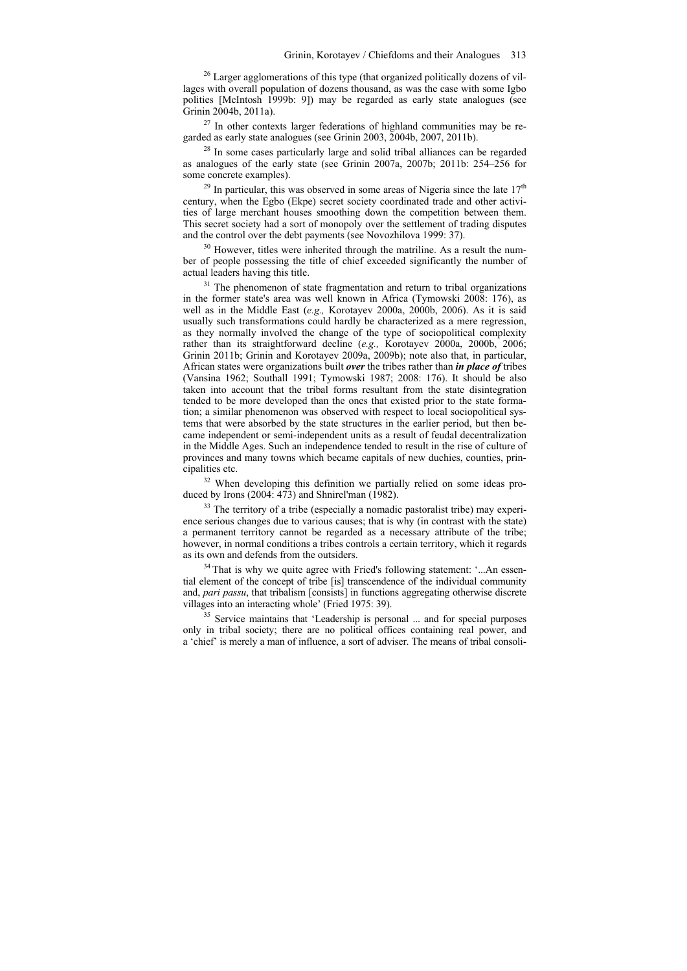$26$  Larger agglomerations of this type (that organized politically dozens of villages with overall population of dozens thousand, as was the case with some Igbo polities [McIntosh 1999b: 9]) may be regarded as early state analogues (see

 $^{27}$  In other contexts larger federations of highland communities may be regarded as early state analogues (see Grinin 2003, 2004b, 2007, 2011b).

 $28$  In some cases particularly large and solid tribal alliances can be regarded as analogues of the early state (see Grinin 2007a, 2007b; 2011b: 254–256 for some concrete examples).

<sup>29</sup> In particular, this was observed in some areas of Nigeria since the late  $17<sup>th</sup>$ century, when the Egbo (Ekpe) secret society coordinated trade and other activities of large merchant houses smoothing down the competition between them. This secret society had a sort of monopoly over the settlement of trading disputes and the control over the debt payments (see Novozhilova 1999: 37).<br> $30$  However, titles were inherited through the matriline. As a result the num-

ber of people possessing the title of chief exceeded significantly the number of actual leaders having this title.

 $31$  The phenomenon of state fragmentation and return to tribal organizations in the former state's area was well known in Africa (Tymowski 2008: 176), as well as in the Middle East (*e.g.,* Korotayev 2000a, 2000b, 2006). As it is said usually such transformations could hardly be characterized as a mere regression, as they normally involved the change of the type of sociopolitical complexity rather than its straightforward decline (*e.g.,* Korotayev 2000a, 2000b, 2006; Grinin 2011b; Grinin and Korotayev 2009a, 2009b); note also that, in particular, African states were organizations built *over* the tribes rather than *in place of* tribes (Vansina 1962; Southall 1991; Tymowski 1987; 2008: 176). It should be also taken into account that the tribal forms resultant from the state disintegration tended to be more developed than the ones that existed prior to the state formation; a similar phenomenon was observed with respect to local sociopolitical systems that were absorbed by the state structures in the earlier period, but then became independent or semi-independent units as a result of feudal decentralization in the Middle Ages. Such an independence tended to result in the rise of culture of provinces and many towns which became capitals of new duchies, counties, principalities etc.<br> $32$  When developing this definition we partially relied on some ideas pro-

duced by Irons (2004: 473) and Shnirel'man (1982).<br><sup>33</sup> The territory of a tribe (especially a nomadic pastoralist tribe) may experi-

ence serious changes due to various causes; that is why (in contrast with the state) a permanent territory cannot be regarded as a necessary attribute of the tribe; however, in normal conditions a tribes controls a certain territory, which it regards as its own and defends from the outsiders.<br><sup>34</sup> That is why we quite agree with Fried's following statement: '...An essen-

tial element of the concept of tribe [is] transcendence of the individual community and, *pari passu*, that tribalism [consists] in functions aggregating otherwise discrete villages into an interacting whole' (Fried 1975: 39).

<sup>35</sup> Service maintains that 'Leadership is personal ... and for special purposes only in tribal society; there are no political offices containing real power, and a 'chief' is merely a man of influence, a sort of adviser. The means of tribal consoli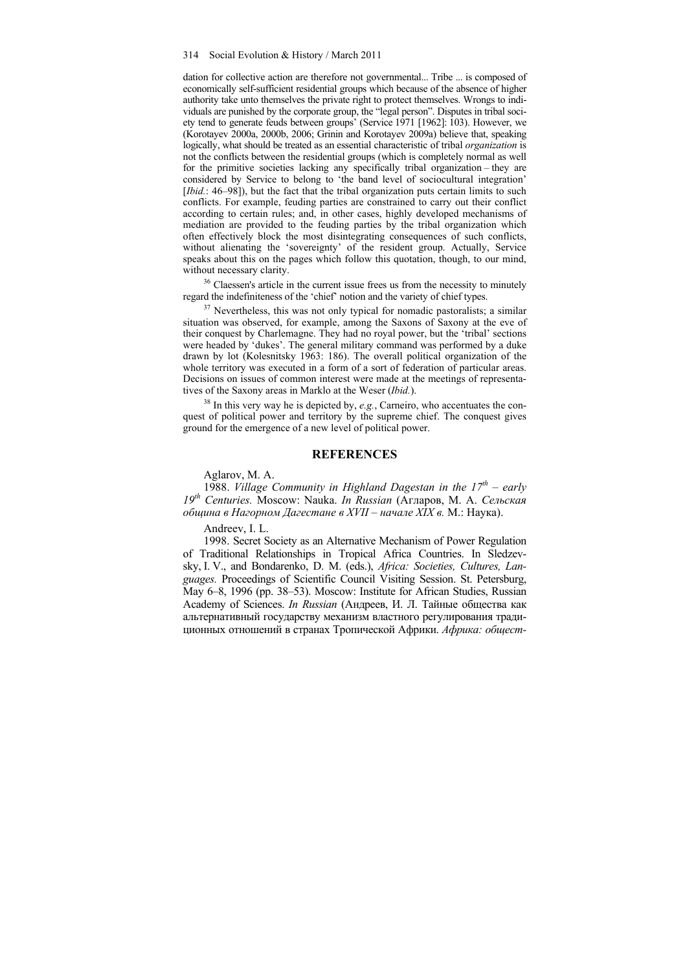dation for collective action are therefore not governmental... Tribe ... is composed of economically self-sufficient residential groups which because of the absence of higher authority take unto themselves the private right to protect themselves. Wrongs to individuals are punished by the corporate group, the "legal person". Disputes in tribal society tend to generate feuds between groups' (Service 1971 [1962]: 103). However, we (Korotayev 2000а, 2000b, 2006; Grinin and Korotayev 2009a) believe that, speaking logically, what should be treated as an essential characteristic of tribal *organization* is not the conflicts between the residential groups (which is completely normal as well for the primitive societies lacking any specifically tribal organization – they are considered by Service to belong to 'the band level of sociocultural integration' [*Ibid.*: 46–98]), but the fact that the tribal organization puts certain limits to such conflicts. For example, feuding parties are constrained to carry out their conflict according to certain rules; and, in other cases, highly developed mechanisms of mediation are provided to the feuding parties by the tribal organization which often effectively block the most disintegrating consequences of such conflicts, without alienating the 'sovereignty' of the resident group. Actually, Service speaks about this on the pages which follow this quotation, though, to our mind, without necessary clarity.<br><sup>36</sup> Claessen's article in the current issue frees us from the necessity to minutely

regard the indefiniteness of the 'chief' notion and the variety of chief types. 37 Nevertheless, this was not only typical for nomadic pastoralists; a similar

situation was observed, for example, among the Saxons of Saxony at the eve of their conquest by Charlemagne. They had no royal power, but the 'tribal' sections were headed by 'dukes'. The general military command was performed by a duke drawn by lot (Kolesnitsky 1963: 186). The overall political organization of the whole territory was executed in a form of a sort of federation of particular areas. Decisions on issues of common interest were made at the meetings of representatives of the Saxony areas in Marklo at the Weser (*Ibid.*). <sup>38</sup> In this very way he is depicted by, *e.g.*, Carneiro, who accentuates the con-

quest of political power and territory by the supreme chief. The conquest gives ground for the emergence of a new level of political power.

#### **REFERENCES**

Aglarov, M. A.

1988. *Village Community in Highland Dagestan in the 17th – early 19th Centuries.* Moscow: Nauka. *In Russian* (Агларов, М. А. *Сельская община в Нагорном Дагестане в XVII – начале XIX в.* М.: Наука).

Andreev, I. L.

1998. Secret Society as an Alternative Mechanism of Power Regulation of Traditional Relationships in Tropical Africa Countries. In Sledzevsky, I. V., and Bondarenko, D. M. (eds.), *Africa: Societies, Cultures, Languages.* Proceedings of Scientific Council Visiting Session. St. Petersburg, May 6–8, 1996 (pp. 38–53). Moscow: Institute for African Studies, Russian Academy of Sciences. *In Russian* (Андреев, И. Л. Тайные общества как альтернативный государству механизм властного регулирования традиционных отношений в странах Тропической Африки. *Африка: общест-*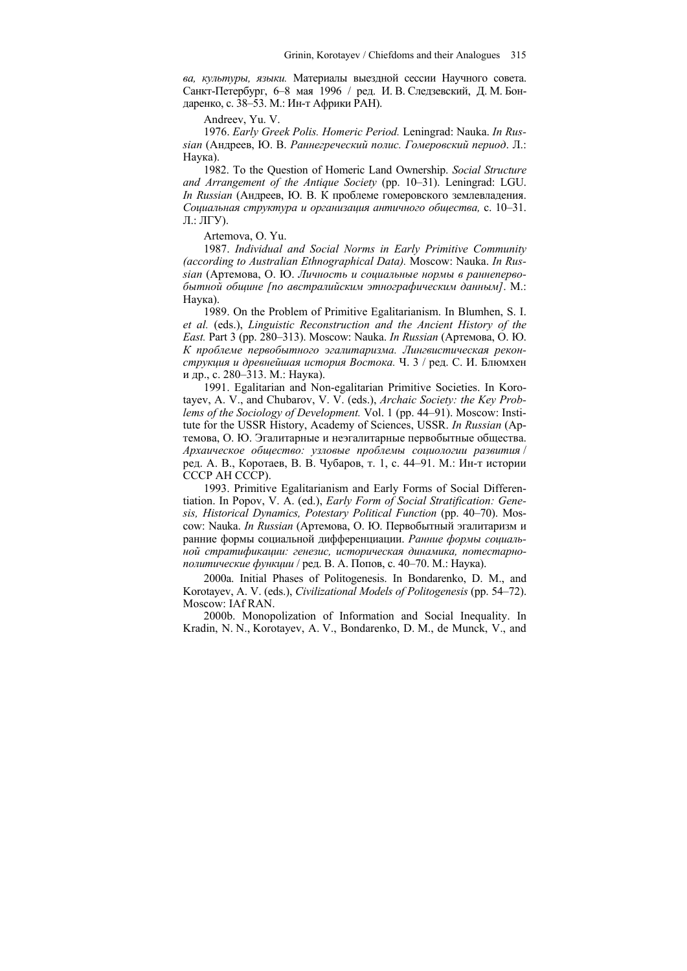*ва, культуры, языки.* Материалы выездной сессии Научного совета. Санкт-Петербург, 6–8 мая 1996 / ред. И. В. Следзевский, Д. М. Бондаренко, с. 38–53. М.: Ин-т Африки РАН).

Andreev, Yu. V.

1976. *Early Greek Polis. Homeric Period.* Leningrad: Nauka. *In Russian* (Андреев, Ю. В. *Раннегреческий полис. Гомеровский период*. Л.: Наука).

1982. To the Question of Homeric Land Ownership. *Social Structure and Arrangement of the Antique Society* (pp. 10–31). Leningrad: LGU. *In Russian* (Андреев, Ю. В. К проблеме гомеровского землевладения. *Социальная структура и организация античного общества,* с. 10–31. Л.: ЛГУ).

Artemova, O. Yu.

1987. *Individual and Social Norms in Early Primitive Community (according to Australian Ethnographical Data).* Moscow: Nauka. *In Russian* (Артемова, О. Ю. *Личность и социальные нормы в раннепервобытной общине [по австралийским этнографическим данным]*. М.: Наука).

1989. On the Problem of Primitive Egalitarianism. In Blumhen, S. I. *et al.* (eds.), *Linguistic Reconstruction and the Ancient History of the East.* Part 3 (pp. 280–313). Moscow: Nauka. *In Russian* (Артемова, О. Ю. *К проблеме первобытного эгалитаризма. Лингвистическая реконструкция и древнейшая история Востока.* Ч. 3 / ред. С. И. Блюмхен и др., с. 280–313. М.: Наука).

1991. Egalitarian and Non-egalitarian Primitive Societies. In Korotayev, A. V., and Chubarov, V. V. (eds.), *Archaic Society: the Key Problems of the Sociology of Development.* Vol. 1 (pp. 44–91). Moscow: Institute for the USSR History, Academy of Sciences, USSR. *In Russian* (Артемова, О. Ю. Эгалитарные и неэгалитарные первобытные общества. *Архаическое общество: узловые проблемы социологии развития* / ред. А. В., Коротаев, В. В. Чубаров, т. 1, с. 44–91. М.: Ин-т истории СССР АН СССР).

1993. Primitive Egalitarianism and Early Forms of Social Differentiation. In Popov, V. A. (ed.), *Early Form of Social Stratification: Genesis, Historical Dynamics, Potestary Political Function* (pp. 40–70). Moscow: Nauka. *In Russian* (Артемова, О. Ю. Первобытный эгалитаризм и ранние формы социальной дифференциации. *Ранние формы социальной стратификации: генезис, историческая динамика, потестарнополитические функции* / ред. В. А. Попов, с. 40–70. М.: Наука).

2000a. Initial Phases of Politogenesis. In Bondarenko, D. M., and Korotayev, A. V. (eds.), *Civilizational Models of Politogenesis* (pp. 54–72). Moscow: IAf RAN.

2000b. Monopolization of Information and Social Inequality. In Kradin, N. N., Korotayev, A. V., Bondarenko, D. M., de Munck, V., and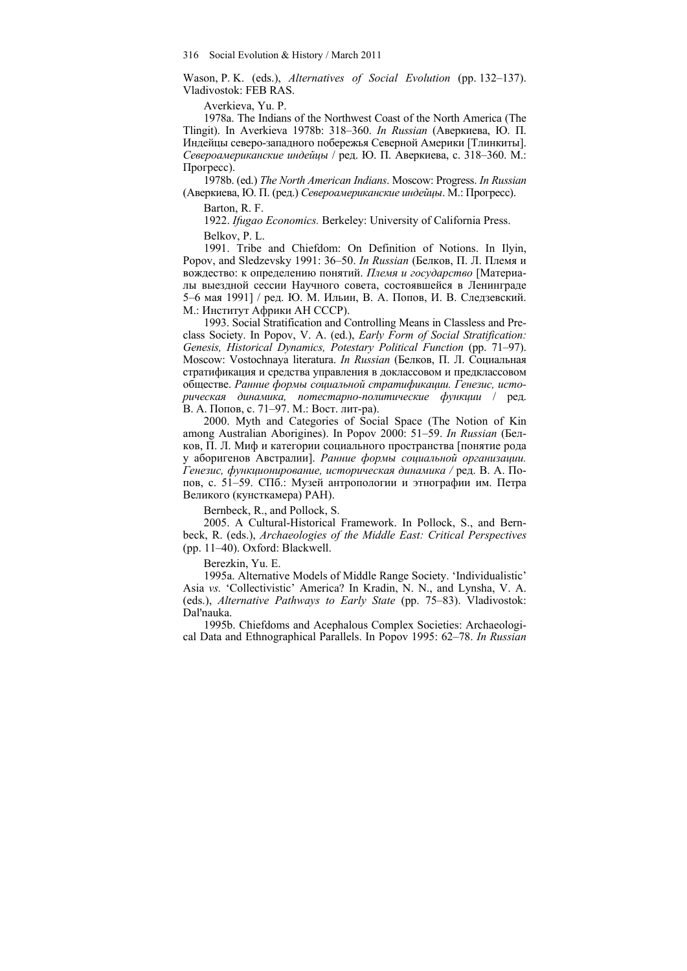Wason, P. K. (eds.), *Alternatives of Social Evolution* (pp. 132–137). Vladivostok: FEB RAS.

Averkieva, Yu. P.

1978a. The Indians of the Northwest Coast of the North America (The Tlingit). In Averkieva 1978b: 318–360. *In Russian* (Аверкиева, Ю. П. Индейцы северо-западного побережья Северной Америки [Тлинкиты]. *Североамериканские индейцы* / ред. Ю. П. Аверкиева, с. 318–360. М.: Прогресс).

1978b. (ed.) *The North American Indians*. Moscow: Progress. *In Russian*  (Аверкиева, Ю. П. (ред.) *Североамериканские индейцы*. М.: Прогресс).

Barton, R. F.

1922. *Ifugao Economics.* Berkeley: University of California Press.

Belkov, P. L.

1991. Tribe and Chiefdom: On Definition of Notions. In Ilyin, Popov, and Sledzevsky 1991: 36–50. *In Russian* (Белков, П. Л. Племя и вождество: к определению понятий. *Племя и государство* [Материалы выездной сессии Научного совета, состоявшейся в Ленинграде 5–6 мая 1991] / ред. Ю. М. Ильин, В. А. Попов, И. В. Следзевский. М.: Институт Африки АН СССР).

1993. Social Stratification and Controlling Means in Classless and Preclass Society. In Popov, V. A. (ed.), *Early Form of Social Stratification: Genesis, Historical Dynamics, Potestary Political Function* (pp. 71–97). Moscow: Vostochnaya literatura. *In Russian* (Белков, П. Л. Социальная стратификация и средства управления в доклассовом и предклассовом обществе. *Ранние формы социальной стратификации. Генезис, историческая динамика, потестарно-политические функции* / ред. В. А. Попов, с. 71–97. М.: Вост. лит-ра).

2000. Myth and Categories of Social Space (The Notion of Kin among Australian Aborigines). In Popov 2000: 51–59. *In Russian* (Белков, П. Л. Миф и категории социального пространства [понятие рода у аборигенов Австралии]. *Ранние формы социальной организации. Генезис, функционирование, историческая динамика /* ред. В. А. Попов, c. 51–59. СПб.: Музей антропологии и этнографии им. Петра Великого (кунсткамера) РАН).

Bernbeck, R., and Pollock, S.

2005. A Cultural-Historical Framework. In Pollock, S., and Bernbeck, R. (eds.), *Archaeologies of the Middle East: Critical Perspectives* (pp. 11–40). Oxford: Blackwell.

Berezkin, Yu. E.

1995a. Alternative Models of Middle Range Society. 'Individualistic' Asia *vs.* 'Collectivistic' America? In Kradin, N. N., and Lynsha, V. A. (eds.), *Alternative Pathways to Early State* (pp. 75–83). Vladivostok: Dal'nauka.

1995b. Chiefdoms and Acephalous Complex Societies: Archaeological Data and Ethnographical Parallels. In Popov 1995: 62–78. *In Russian*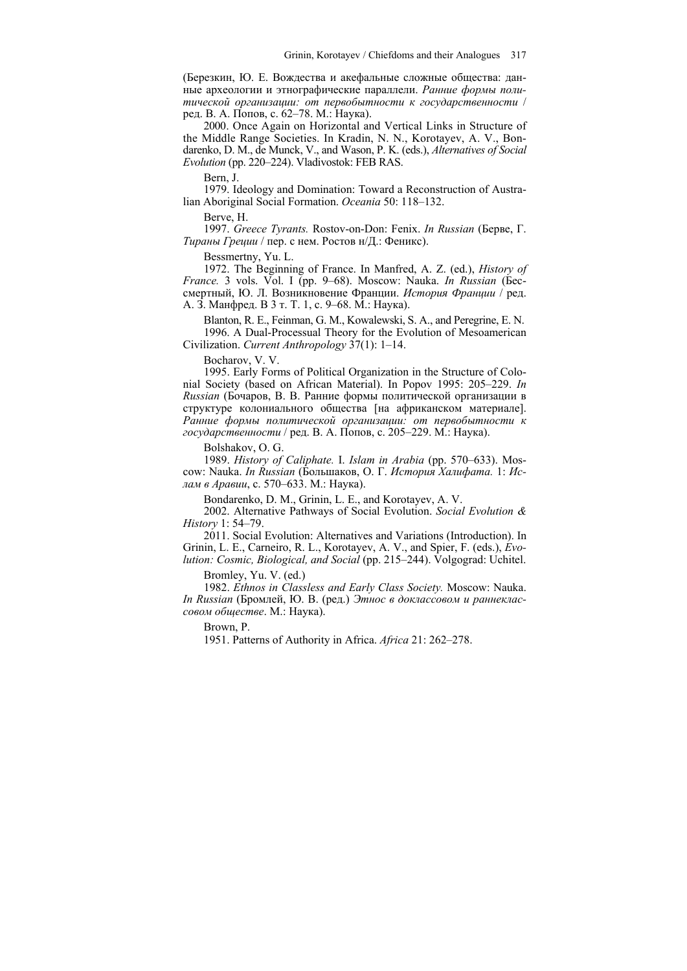(Березкин, Ю. Е. Вождества и акефальные сложные общества: данные археологии и этнографические параллели. *Ранние формы политической организации: от первобытности к государственности* / ред. В. А. Попов, с. 62–78. М.: Наука).

2000. Once Again on Horizontal and Vertical Links in Structure of the Middle Range Societies. In Kradin, N. N., Korotayev, A. V., Bondarenko, D. M., de Munck, V., and Wason, P. K. (eds.), *Alternatives of Social Evolution* (pp. 220–224). Vladivostok: FEB RAS.

Bern, J.

1979. Ideology and Domination: Toward a Reconstruction of Australian Aboriginal Social Formation. *Oceania* 50: 118–132.

Berve, H.

1997. *Greece Tyrants.* Rostov-on-Don: Fenix. *In Russian* (Берве, Г. *Тираны Греции* / пер. с нем. Ростов н/Д.: Феникс).

Bessmertny, Yu. L.

1972. The Beginning of France. In Manfred, A. Z. (ed.), *History of France.* 3 vols. Vol. I (pp. 9–68). Moscow: Nauka. *In Russian* (Бессмертный, Ю. Л. Возникновение Франции. *История Франции* / ред. А. З. Манфред. В 3 т. Т. 1, с. 9–68. М.: Наука).

Blanton, R. E., Feinman, G. M., Kowalewski, S. A., and Peregrine, E. N. 1996. A Dual-Processual Theory for the Evolution of Mesoamerican Civilization. *Current Anthropology* 37(1): 1–14.

Bocharov, V. V.

1995. Early Forms of Political Organization in the Structure of Colonial Society (based on African Material). In Popov 1995: 205–229. *In Russian* (Бочаров, В. В. Ранние формы политической организации в структуре колониального общества [на африканском материале]. *Ранние формы политической организации: от первобытности к государственности* / ред. В. А. Попов, с. 205–229. М.: Наука).

Bolshakov, O. G.

1989. *History of Caliphate.* I. *Islam in Arabia* (pp. 570–633). Moscow: Nauka. *In Russian* (Большаков, О. Г. *История Халифата.* 1: *Ислам в Аравии*, с. 570–633. М.: Наука).

Bondarenko, D. M., Grinin, L. E., and Korotayev, A. V.

2002. Alternative Pathways of Social Evolution. *Social Evolution & History* 1: 54–79.

2011. Social Evolution: Alternatives and Variations (Introduction). In Grinin, L. E., Carneiro, R. L., Korotayev, A. V., and Spier, F. (eds.), *Evolution: Cosmic, Biological, and Social* (pp. 215–244). Volgograd: Uchitel.

Bromley, Yu. V. (ed.)

1982. *Ethnos in Classless and Early Class Society.* Moscow: Nauka. *In Russian* (Бромлей, Ю. В. (ред.) *Этнос в доклассовом и раннеклассовом обществе*. М.: Наука).

Brown, P.

1951. Patterns of Authority in Africa. *Africa* 21: 262–278.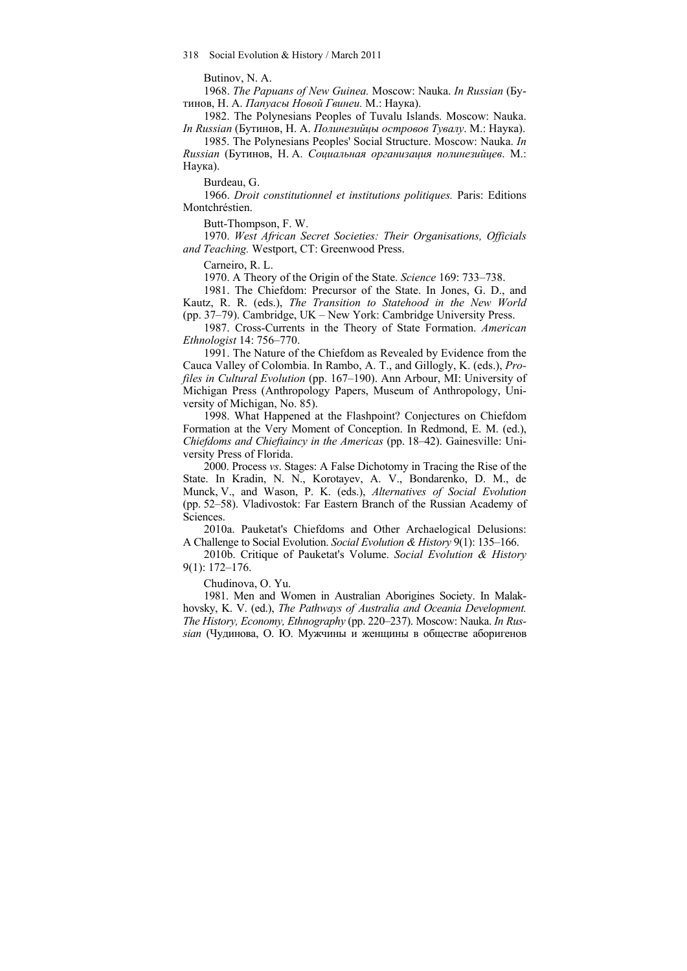Butinov, N. A.

1968. *The Papuans of New Guinea.* Moscow: Nauka. *In Russian* (Бутинов, Н. А. *Папуасы Новой Гвинеи.* М.: Наука).

1982. The Polynesians Peoples of Tuvalu Islands. Moscow: Nauka. *In Russian* (Бутинов, Н. А. *Полинезийцы островов Тувалу*. М.: Наука).

1985. The Polynesians Peoples' Social Structure. Moscow: Nauka. *In Russian* (Бутинов, Н. А. *Социальная организация полинезийцев*. М.: Наука).

Burdeau, G.

1966. *Droit constitutionnel et institutions politiques.* Paris: Editions Montchréstien.

Butt-Thompson, F. W.

1970. *West African Secret Societies: Their Organisations, Officials and Teaching.* Westport, CT: Greenwood Press.

Carneiro, R. L.

1970. A Theory of the Origin of the State. *Science* 169: 733–738.

1981. The Chiefdom: Precursor of the State. In Jones, G. D., and Kautz, R. R. (eds.), *The Transition to Statehood in the New World* (pp. 37–79). Cambridge, UK – New York: Cambridge University Press.

1987. Cross-Currents in the Theory of State Formation. *American Ethnologist* 14: 756–770.

1991. The Nature of the Chiefdom as Revealed by Evidence from the Cauca Valley of Colombia. In Rambo, A. T., and Gillogly, K. (eds.), *Profiles in Cultural Evolution* (pp. 167–190). Ann Arbour, MI: University of Michigan Press (Anthropology Papers, Museum of Anthropology, University of Michigan, No. 85).

1998. What Happened at the Flashpoint? Conjectures on Chiefdom Formation at the Very Moment of Conception. In Redmond, E. M. (ed.), *Chiefdoms and Chieftaincy in the Americas* (pp. 18–42). Gainesville: University Press of Florida.

2000. Process *vs*. Stages: A False Dichotomy in Tracing the Rise of the State. In Kradin, N. N., Korotayev, A. V., Bondarenko, D. M., de Munck, V., and Wason, P. K. (eds.), *Alternatives of Social Evolution* (pp. 52–58). Vladivostok: Far Eastern Branch of the Russian Academy of Sciences.

2010a. Pauketat's Chiefdoms and Other Archaelogical Delusions: A Challenge to Social Evolution. *Social Evolution & History* 9(1): 135–166.

2010b. Critique of Pauketat's Volume. *Social Evolution & History*  9(1): 172–176.

Chudinova, O. Yu.

1981. Men and Women in Australian Aborigines Society. In Malakhovsky, K. V. (ed.), *The Pathways of Australia and Oceania Development. The History, Economy, Ethnography* (pp. 220–237). Moscow: Nauka. *In Russian* (Чудинова, О. Ю. Мужчины и женщины в обществе аборигенов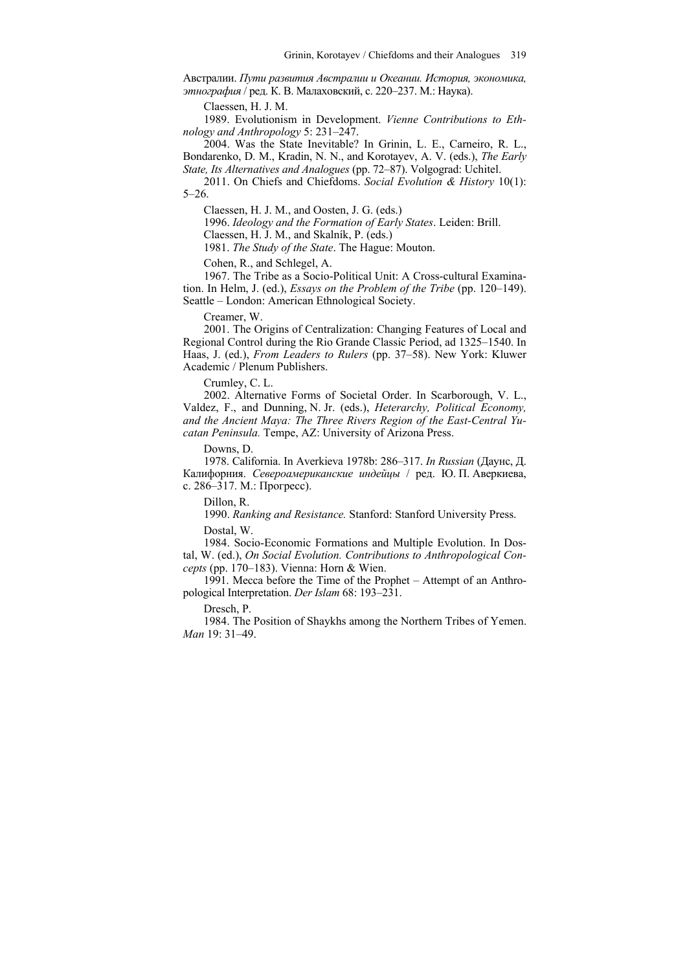Австралии. *Пути развития Австралии и Океании. История, экономика, этнография* / ред. К. В. Малаховский, с. 220–237. М.: Наука).

Claessen, H. J. M.

1989. Evolutionism in Development. *Vienne Contributions to Ethnology and Anthropology* 5: 231–247.

2004. Was the State Inevitable? In Grinin, L. E., Carneiro, R. L., Bondarenko, D. M., Kradin, N. N., and Korotayev, A. V. (eds.), *The Early State, Its Alternatives and Analogues* (pp. 72–87). Volgograd: Uchitel.

2011. On Chiefs and Chiefdoms. *Social Evolution & History* 10(1): 5–26.

Claessen, H. J. M., and Oosten, J. G. (eds.)

1996. *Ideology and the Formation of Early States*. Leiden: Brill.

Claessen, H. J. M., and Skalník, P. (eds.)

1981. *The Study of the State*. The Hague: Mouton.

Cohen, R., and Schlegel, A.

1967. The Tribe as a Socio-Political Unit: A Cross-cultural Examination. In Helm, J. (ed.), *Essays on the Problem of the Tribe* (pp. 120–149). Seattle – London: American Ethnological Society.

Creamer, W.

2001. The Origins of Centralization: Changing Features of Local and Regional Control during the Rio Grande Classic Period, ad 1325–1540. In Haas, J. (ed.), *From Leaders to Rulers* (pp. 37–58). New York: Kluwer Academic / Plenum Publishers.

Crumley, C. L.

2002. Alternative Forms of Societal Order. In Scarborough, V. L., Valdez, F., and Dunning, N. Jr. (eds.), *Heterarchy, Political Economy, and the Ancient Maya: The Three Rivers Region of the East-Central Yucatan Peninsula.* Tempe, AZ: University of Arizona Press.

Downs, D.

1978. California. In Averkieva 1978b: 286–317. *In Russian* (Даунс, Д. Калифорния. *Североамериканские индейцы* / ред. Ю. П. Аверкиева, с. 286–317. М.: Прогресс).

Dillon, R.

1990. *Ranking and Resistance.* Stanford: Stanford University Press. Dostal, W.

1984. Socio-Economic Formations and Multiple Evolution. In Dostal, W. (ed.), *On Social Evolution. Contributions to Anthropological Concepts* (pp. 170–183). Vienna: Horn & Wien.

1991. Mecca before the Time of the Prophet – Attempt of an Anthropological Interpretation. *Der Islam* 68: 193–231.

Dresch, P.

1984. The Position of Shaykhs among the Northern Tribes of Yemen. *Man* 19: 31–49.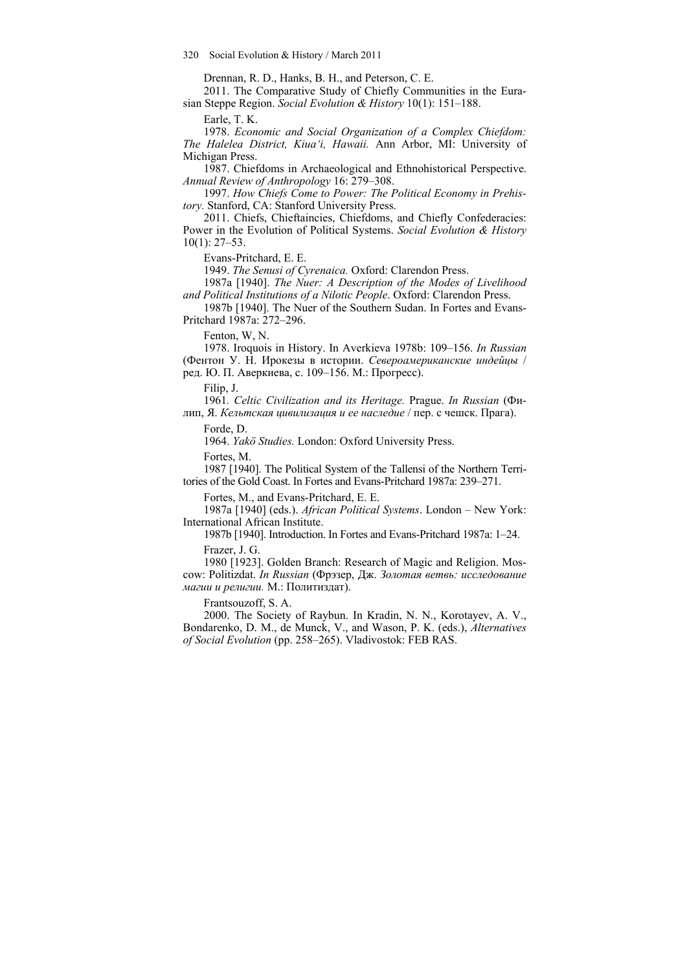Drennan, R. D., Hanks, B. H., and Peterson, C. E.

2011. The Comparative Study of Chiefly Communities in the Eurasian Steppe Region. *Social Evolution & History* 10(1): 151–188.

Earle, T. K.

1978. *Economic and Social Organization of a Complex Chiefdom: The Halelea District, Kiua'i, Hawaii.* Ann Arbor, MI: University of Michigan Press.

1987. Chiefdoms in Archaeological and Ethnohistorical Perspective. *Annual Review of Anthropology* 16: 279–308.

1997. *How Chiefs Come to Power: The Political Economy in Prehistory.* Stanford, CA: Stanford University Press.

2011. Chiefs, Chieftaincies, Chiefdoms, and Chiefly Confederacies: Power in the Evolution of Political Systems. *Social Evolution & History*  $10(1)$ : 27–53.

Evans-Pritchard, E. E.

1949. *The Senusi of Cyrenaica.* Oxford: Clarendon Press.

1987a [1940]. *The Nuer: A Description of the Modes of Livelihood and Political Institutions of a Nilotic People*. Oxford: Clarendon Press.

1987b [1940]. The Nuer of the Southern Sudan. In Fortes and Evans-Pritchard 1987a: 272–296.

Fenton, W, N.

1978. Iroquois in History. In Averkieva 1978b: 109–156. *In Russian* (Фентон У. Н. Ирокезы в истории. *Североамериканские индейцы* / ред. Ю. П. Аверкиева, с. 109–156. М.: Прогресс).

Filip, J.

1961*. Celtic Civilization and its Heritage.* Prague. *In Russian* (Филип, Я. *Кельтская цивилизация и ее наследие* / пер. с чешск. Прага).

Forde, D.

1964. *Yakö Studies.* London: Oxford University Press.

Fortes, M.

1987 [1940]. The Political System of the Tallensi of the Northern Territories of the Gold Coast. In Fortes and Evans-Pritchard 1987a: 239–271.

Fortes, M., and Evans-Pritchard, E. E.

1987a [1940] (eds.). *African Political Systems*. London – New York: International African Institute.

1987b [1940]. Introduction. In Fortes and Evans-Pritchard 1987a: 1–24. Frazer, J. G.

1980 [1923]. Golden Branch: Research of Magic and Religion. Moscow: Politizdat. *In Russian* (Фрэзер, Дж. *Золотая ветвь: исследование магии и религии.* М.: Политиздат).

Frantsouzoff, S. A.

2000. The Society of Raybun. In Kradin, N. N., Korotayev, A. V., Bondarenko, D. M., de Munck, V., and Wason, P. K. (eds.), *Alternatives of Social Evolution* (pp. 258–265). Vladivostok: FEB RAS.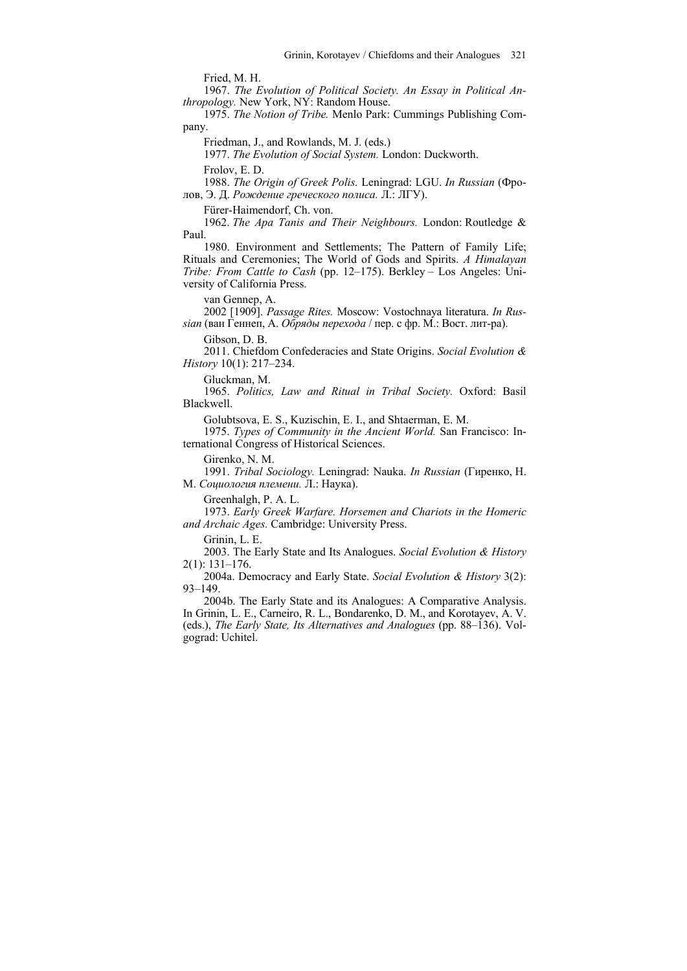Fried, M. H.

1967. *The Evolution of Political Society. An Essay in Political Anthropology.* New York, NY: Random House.

1975. *The Notion of Tribe.* Menlo Park: Cummings Publishing Company.

Friedman, J., and Rowlands, M. J. (eds.)

1977. *The Evolution of Social System.* London: Duckworth.

Frolov, E. D.

1988. *The Origin of Greek Polis.* Leningrad: LGU. *In Russian* (Фролов, Э. Д. *Рождение греческого полиса.* Л.: ЛГУ).

Fürer-Haimendorf, Ch. von.

1962. *The Apa Tanis and Their Neighbours.* London: Routledge & Paul.

1980. Environment and Settlements; The Pattern of Family Life; Rituals and Ceremonies; The World of Gods and Spirits. *A Himalayan Tribe: From Cattle to Cash* (pp. 12–175). Berkley – Los Angeles: University of California Press.

van Gennep, A.

2002 [1909]. *Passage Rites.* Moscow: Vostochnaya literatura. *In Russian* (ван Геннеп, А. *Обряды перехода* / пер. с фр. М.: Вост. лит-ра).

Gibson, D. B.

2011. Chiefdom Confederacies and State Origins. *Social Evolution & History* 10(1): 217–234.

Gluckman, M.

1965. *Politics, Law and Ritual in Tribal Society.* Oxford: Basil Blackwell.

Golubtsova, E. S., Kuzischin, E. I., and Shtaerman, E. M.

1975. *Types of Community in the Ancient World.* San Francisco: International Congress of Historical Sciences.

Girenko, N. M.

1991. *Tribal Sociology.* Leningrad: Nauka. *In Russian* (Гиренко, Н. М. *Социология племени.* Л.: Наука).

Greenhalgh, P. A. L.

1973. *Early Greek Warfare. Horsemen and Chariots in the Homeric and Archaic Ages.* Cambridge: University Press.

Grinin, L. E.

2003. The Early State and Its Analogues. *Social Evolution & History* 2(1): 131–176.

2004a. Democracy and Early State. *Social Evolution & History* 3(2): 93–149.

2004b. The Early State and its Analogues: A Comparative Analysis. In Grinin, L. E., Carneiro, R. L., Bondarenko, D. M., and Korotayev, A. V. (eds.), *The Early State, Its Alternatives and Analogues* (pp. 88–136). Volgograd: Uchitel.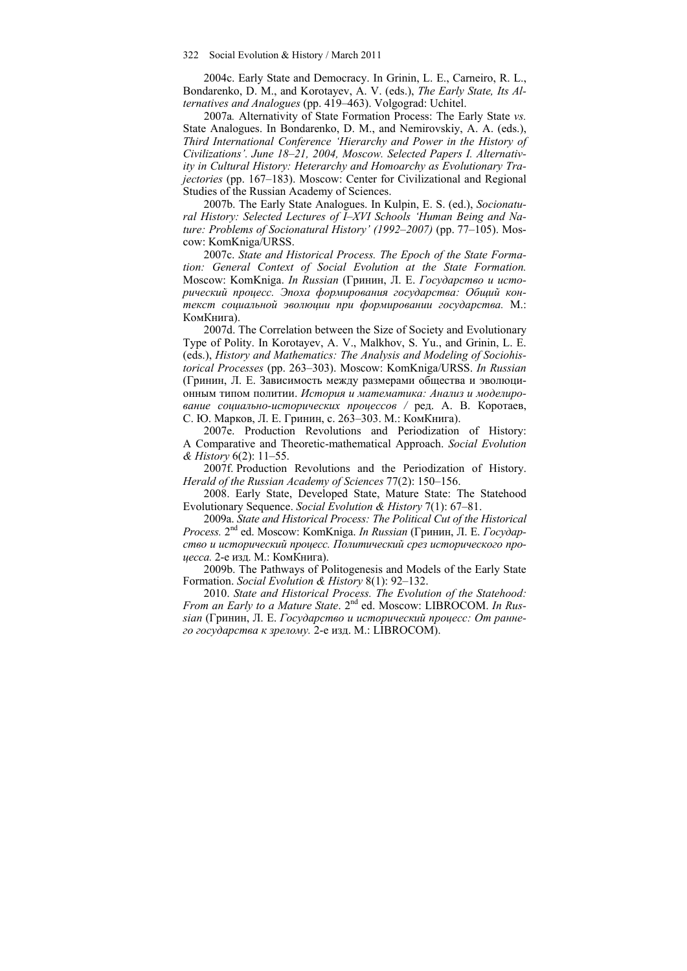2004c. Early State and Democracy. In Grinin, L. E., Carneiro, R. L., Bondarenko, D. M., and Korotayev, A. V. (eds.), *The Early State, Its Alternatives and Analogues* (pp. 419–463). Volgograd: Uchitel.

2007a*.* Alternativity of State Formation Process: The Early State *vs.* State Analogues. In Bondarenko, D. M., and Nemirovskiy, A. A. (eds.), *Third International Conference 'Hierarchy and Power in the History of Civilizations'. June 18–21, 2004, Moscow. Selected Papers I. Alternativity in Cultural History: Heterarchy and Homoarchy as Evolutionary Trajectories* (pp. 167–183). Moscow: Center for Civilizational and Regional Studies of the Russian Academy of Sciences.

2007b. The Early State Analogues. In Kulpin, E. S. (ed.), *Socionatural History: Selected Lectures of I–XVI Schools 'Human Being and Nature: Problems of Socionatural History' (1992–2007)* (pp. 77–105). Moscow: KomKniga/URSS.

2007c. *State and Historical Process. The Epoch of the State Formation: General Context of Social Evolution at the State Formation.*  Мoscow: KomKniga. *In Russian* (Гринин, Л. Е. *Государство и исторический процесс. Эпоха формирования государства: Общий контекст социальной эволюции при формировании государства.* М.: КомКнига).

2007d. The Correlation between the Size of Society and Evolutionary Type of Polity. In Korotayev, A. V., Malkhov, S. Yu., and Grinin, L. E. (eds.), *History and Mathematics: The Analysis and Modeling of Sociohistorical Processes* (pp. 263–303). Moscow: KomKniga/URSS. *In Russian* (Гринин, Л. Е. Зависимость между размерами общества и эволюционным типом политии. *История и математика: Анализ и моделирование социально-исторических процессов /* ред. А. В. Коротаев, С. Ю. Марков, Л. Е. Гринин, с. 263–303. М.: КомКнига).

2007e. Production Revolutions and Periodization of History: A Comparative and Theoretic-mathematical Approach. *Social Evolution & History* 6(2): 11–55.

2007f. Production Revolutions and the Periodization of History. *Herald of the Russian Academy of Sciences* 77(2): 150–156.

2008. Early State, Developed State, Mature State: The Statehood Evolutionary Sequence. *Social Evolution & History* 7(1): 67–81.

2009a. *State and Historical Process: The Political Cut of the Historical Process.* 2nd ed. Мoscow: KomKniga. *In Russian* (Гринин, Л. Е. *Государство и исторический процесс. Политический срез исторического процесса.* 2-е изд. М.: КомКнига).

2009b. The Pathways of Politogenesis and Models of the Early State Formation. *Social Evolution & History* 8(1): 92–132.

2010. *State and Historical Process. The Evolution of the Statehood:*  From an Early to a Mature State. 2<sup>nd</sup> ed. Moscow: LIBROCOM. In Rus*sian* (Гринин, Л. Е. *Государство и исторический процесс: Oт раннего государства к зрелому.* 2-е изд. М.: LIBROCOM).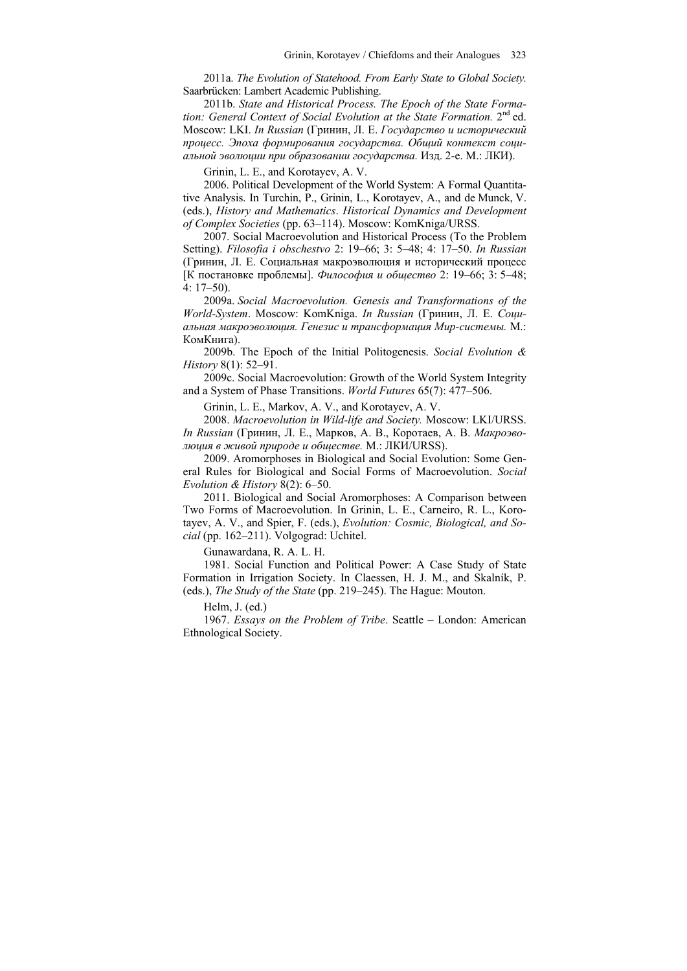2011a. *The Evolution of Statehood. From Early State to Global Society.* Saarbrücken: Lambert Academic Publishing.

2011b. *State and Historical Process. The Epoch of the State Formation: General Context of Social Evolution at the State Formation.* 2<sup>nd</sup> ed. Мoscow: LKI. *In Russian* (Гринин, Л. Е. *Государство и исторический процесс. Эпоха формирования государства. Общий контекст социальной эволюции при образовании государства.* Изд. 2-е. М.: ЛКИ).

Grinin, L. E., and Korotayev, A. V.

2006. Political Development of the World System: A Formal Quantitative Analysis. In Turchin, P., Grinin, L., Korotayev, A., and de Munck, V. (eds.), *History and Mathematics*. *Historical Dynamics and Development of Complex Societies* (pp. 63–114). Moscow: KomKniga/URSS.

2007. Social Macroevolution and Historical Process (To the Problem Setting). *Filosofia i obschestvo* 2: 19–66; 3: 5–48; 4: 17–50. *In Russian* (Гринин, Л. Е. Социальная макроэволюция и исторический процесс [К постановке проблемы]. *Философия и общество* 2: 19–66; 3: 5–48; 4: 17–50).

2009a. *Social Macroevolution. Genesis and Transformations of the World-System*. Moscow: KomKniga. *In Russian* (Гринин, Л. Е. *Социальная макроэволюция. Генезис и трансформация Мир-системы.* М.: КомКнига).

2009b. The Epoch of the Initial Politogenesis. *Social Evolution & History* 8(1): 52–91.

2009с. Social Macroevolution: Growth of the World System Integrity and a System of Phase Transitions. *World Futures* 65(7): 477–506.

Grinin, L. E., Markov, A. V., and Korotayev, A. V.

2008. *Macroevolution in Wild-life and Society.* Moscow: LKI/URSS. *In Russian* (Гринин, Л. Е., Марков, А. В., Коротаев, А. В. *Макроэво-*

*люция в живой природе и обществе.* М.: ЛКИ/URSS).

2009. Aromorphoses in Biological and Social Evolution: Some General Rules for Biological and Social Forms of Macroevolution. *Social Evolution & History* 8(2): 6–50.

2011. Biological and Social Aromorphoses: A Comparison between Two Forms of Macroevolution. In Grinin, L. E., Carneiro, R. L., Korotayev, A. V., and Spier, F. (eds.), *Evolution: Cosmic, Biological, and Social* (pp. 162–211). Volgograd: Uchitel.

Gunawardana, R. A. L. H.

1981. Social Function and Political Power: A Case Study of State Formation in Irrigation Society. In Claessen, H. J. M., and Skalník, P. (eds.), *The Study of the State* (pp. 219–245). The Hague: Mouton.

Helm, J. (ed.)

1967. *Essays on the Problem of Tribe*. Seattle – London: American Ethnological Society.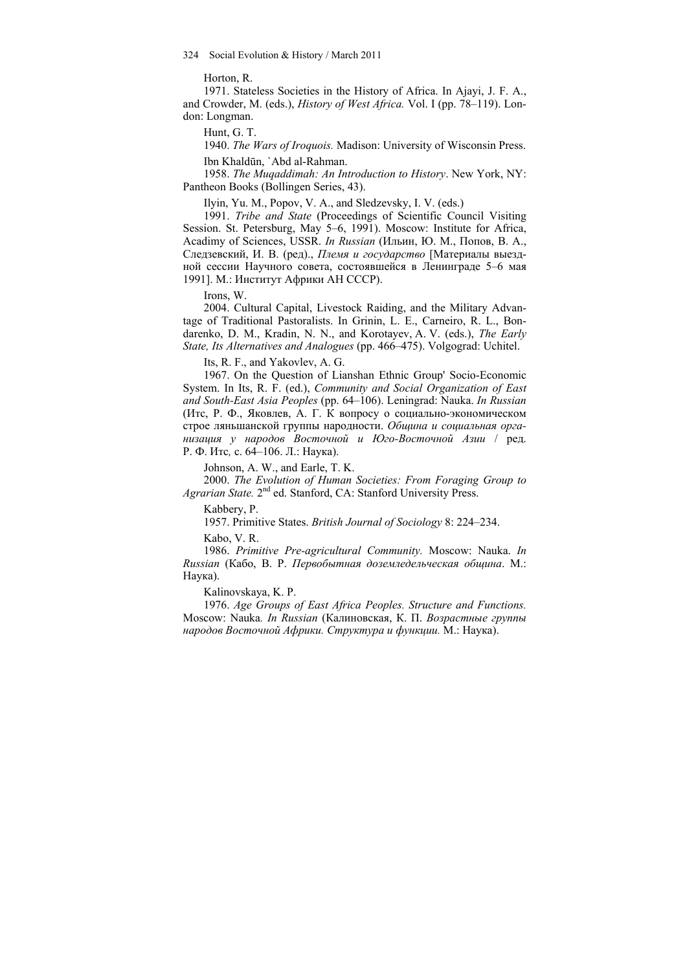Horton, R.

1971. Stateless Societies in the History of Africa. In Ajayi, J. F. A., and Crowder, M. (eds.), *History of West Africa.* Vol. I (pp. 78–119). London: Longman.

Hunt, G. T.

1940. *The Wars of Iroquois.* Madison: University of Wisconsin Press. Ibn Khaldūn, `Abd al-Rahman.

1958. *The Muqaddimah: An Introduction to History*. New York, NY: Pantheon Books (Bollingen Series, 43).

Ilyin, Yu. M., Popov, V. A., and Sledzevsky, I. V. (eds.)

1991. *Tribe and State* (Proceedings of Scientific Council Visiting Session. St. Petersburg, May 5–6, 1991). Moscow: Institute for Africa, Acadimy of Sciences, USSR. *In Russian* (Ильин, Ю. М., Попов, В. А., Следзевский, И. В. (ред)., *Племя и государство* [Материалы выездной сессии Научного совета, состоявшейся в Ленинграде 5–6 мая 1991]. М.: Институт Африки АН СССР).

Irons, W.

2004. Cultural Capital, Livestock Raiding, and the Military Advantage of Traditional Pastoralists. In Grinin, L. E., Carneiro, R. L., Bondarenko, D. M., Kradin, N. N., and Korotayev, A. V. (eds.), *The Early State, Its Alternatives and Analogues* (pp. 466–475). Volgograd: Uchitel.

Its, R. F., and Yakovlev, A. G.

1967. On the Question of Lianshan Ethnic Group' Socio-Economic System. In Its, R. F. (ed.), *Community and Social Organization of East and South-East Asia Peoples* (pp. 64–106). Leningrad: Nauka. *In Russian* (Итс, Р. Ф., Яковлев, А. Г. К вопросу о социально-экономическом строе ляньшанской группы народности. *Община и социальная организация у народов Восточной и Юго-Восточной Азии* / ред. Р. Ф. Итс*,* с. 64–106. Л.: Наука).

Johnson, A. W., and Earle, T. K.

2000. *The Evolution of Human Societies: From Foraging Group to*  Agrarian State. 2<sup>nd</sup> ed. Stanford, CA: Stanford University Press.

Kabbery, P.

1957. Primitive States. *British Journal of Sociology* 8: 224–234.

Kabo, V. R.

1986. *Primitive Pre-agricultural Community.* Moscow: Nauka. *In Russian* (Кабо, В. Р. *Первобытная доземледельческая община*. М.: Наука).

Kalinovskaya, K. P.

1976. *Age Groups of East Africa Peoples. Structure and Functions.* Moscow: Nauka*. In Russian* (Калиновская, К. П. *Возрастные группы народов Восточной Африки. Структура и функции.* М.: Наука).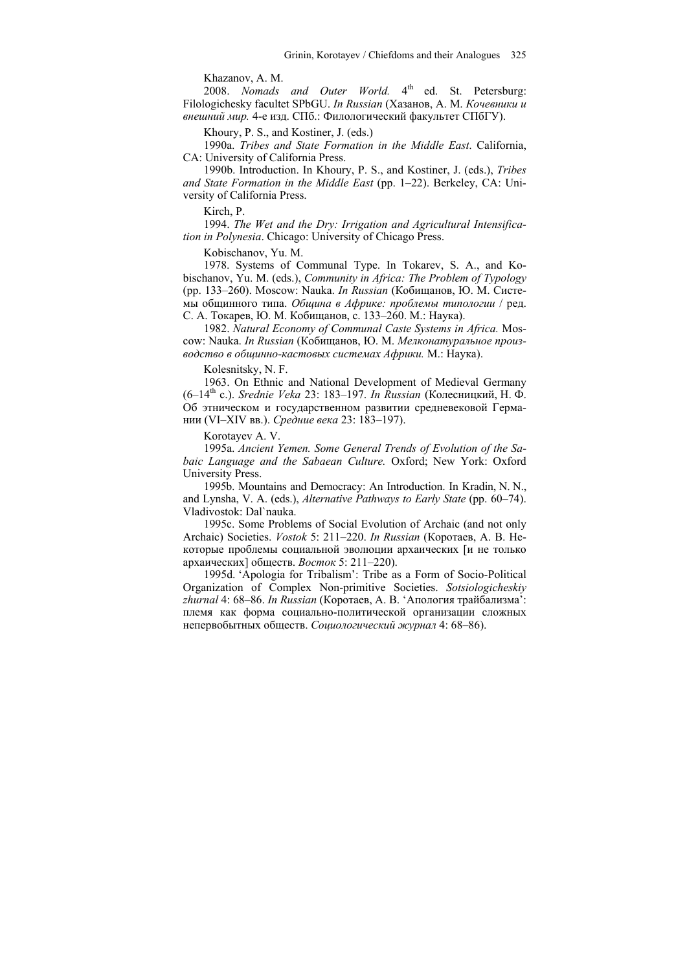Khazanov, A. M.

2008. *Nomads and Outer World*. 4<sup>th</sup> ed. St. Petersburg: Filologichesky facultet SPbGU. *In Russian* (Хазанов, А. М. *Кочевники и внешний мир.* 4-е изд. СПб.: Филологический факультет СПбГУ).

Khoury, P. S., and Kostiner, J. (eds.)

1990a. *Tribes and State Formation in the Middle East*. California, CA: University of California Press.

1990b. Introduction. In Khoury, P. S., and Kostiner, J. (eds.), *Tribes and State Formation in the Middle East* (pp. 1–22). Berkeley, CA: University of California Press.

Kirch, P.

1994. *The Wet and the Dry: Irrigation and Agricultural Intensification in Polynesia*. Chicago: University of Chicago Press.

Kobischanov, Yu. M.

1978. Systems of Communal Type. In Tokarev, S. A., and Kobischanov, Yu. M. (eds.), *Community in Africa: The Problem of Typology*  (pp. 133–260). Moscow: Nauka. *In Russian* (Кобищанов, Ю. М. Системы общинного типа. *Община в Африке: проблемы типологии* / ред. С. А. Токарев, Ю. М. Кобищанов, c. 133–260. М.: Наука).

1982. *Natural Economy of Communal Caste Systems in Africa.* Moscow: Nauka. *In Russian* (Кобищанов, Ю. М. *Мелконатуральное производство в общинно-кастовых системах Африки.* М.: Наука).

Kolesnitsky, N. F.

1963. On Ethnic and National Development of Medieval Germany (6–14th c.). *Srednie Veka* 23: 183–197. *In Russian* (Колесницкий, Н. Ф. Об этническом и государственном развитии средневековой Германии (VI–XIV вв.). *Средние века* 23: 183–197).

Korotayev A. V.

1995a. *Ancient Yemen. Some General Trends of Evolution of the Sabaic Language and the Sabaean Culture.* Oxford; New York: Oxford University Press.

1995b. Mountains and Democracy: An Introduction. In Kradin, N. N., and Lynsha, V. A. (eds.), *Alternative Pathways to Early State* (pp. 60–74). Vladivostok: Dal`nauka.

1995c. Some Problems of Social Evolution of Archaic (and not only Archaic) Societies. *Vostok* 5: 211–220. *In Russian* (Коротаев, А. В. Некоторые проблемы социальной эволюции архаических [и не только архаических] обществ. *Восток* 5: 211–220).

1995d. 'Apologia for Tribalism': Tribe as a Form of Socio-Political Organization of Complex Non-primitive Societies. *Sotsiologicheskiy zhurnal* 4: 68–86. *In Russian* (Коротаев, А. В. 'Апология трайбализма': племя как форма социально-политической организации сложных непервобытных обществ. *Социологический журнал* 4: 68–86).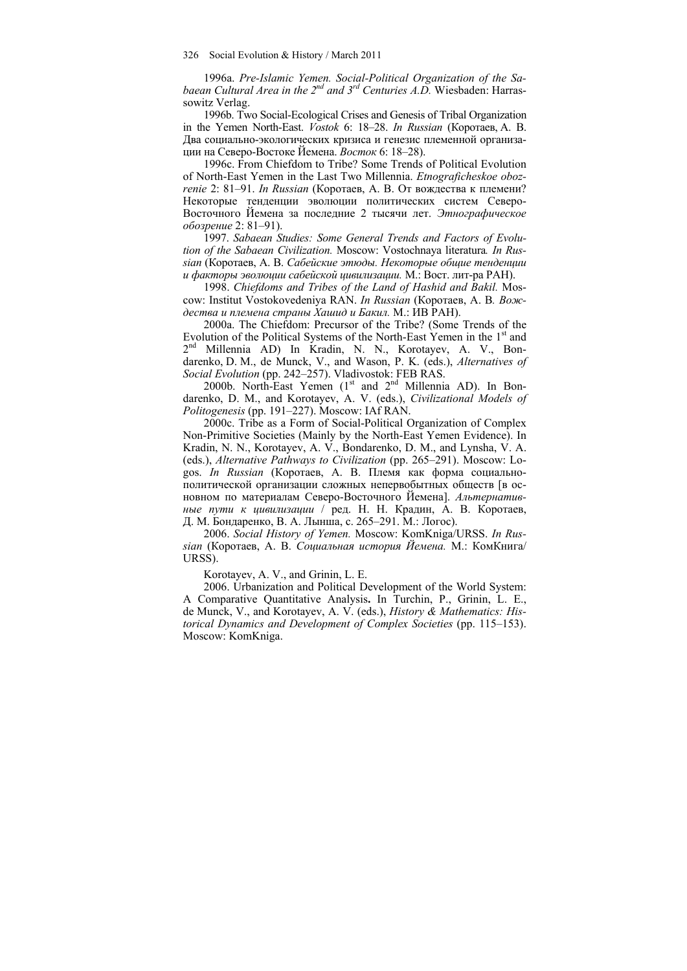1996a. *Pre-Islamic Yemen. Social-Political Organization of the Sabaean Cultural Area in the 2nd and 3rd Centuries A.D.* Wiesbaden: Harrassowitz Verlag.

1996b. Two Social-Ecological Crises and Genesis of Tribal Organization in the Yemen North-East. *Vostok* 6: 18–28. *In Russian* (Коротаев, А. В. Два социально-экологических кризиса и генезис племенной организации на Северо-Востоке Йемена. *Восток* 6: 18–28).

1996c. From Chiefdom to Tribe? Some Trends of Political Evolution of North-East Yemen in the Last Two Millennia. *Etnograficheskoe obozrenie* 2: 81–91. *In Russian* (Коротаев, А. В. От вождества к племени? Некоторые тенденции эволюции политических систем Северо-Восточного Йемена за последние 2 тысячи лет. *Этнографическое обозрение* 2: 81–91).

1997. *Sabaean Studies: Some General Trends and Factors of Evolution of the Sabaean Civilization.* Moscow: Vostochnaya literatura*. In Russian* (Коротаев, А. В. *Сабейские этюды. Некоторые общие тенденции и факторы эволюции сабейской цивилизации.* М.: Вост. лит-ра РАН).

1998. *Chiefdoms and Tribes of the Land of Hashid and Bakil.* Moscow: Institut Vostokovedeniya RAN. *In Russian* (Коротаев, А. В*. Вождества и племена страны Хашид и Бакил.* М.: ИВ РАН).

2000a. The Chiefdom: Precursor of the Tribe? (Some Trends of the Evolution of the Political Systems of the North-East Yemen in the  $1<sup>st</sup>$  and 2<sup>nd</sup> Millennia AD) In Kradin, N. N., Korotayev, A. V., Bondarenko, D. M., de Munck, V., and Wason, P. K. (eds.), *Alternatives of Social Evolution* (pp. 242–257). Vladivostok: FEB RAS.

2000b. North-East Yemen  $(1<sup>st</sup>$  and  $2<sup>nd</sup>$  Millennia AD). In Bondarenko, D. M., and Korotayev, A. V. (eds.), *Civilizational Models of Politogenesis* (pp. 191–227). Moscow: IAf RAN.

2000c. Tribe as a Form of Social-Political Organization of Complex Non-Primitive Societies (Mainly by the North-East Yemen Evidence). In Kradin, N. N., Korotayev, A. V., Bondarenko, D. M., and Lynsha, V. A. (eds.), *Alternative Pathways to Civilization* (pp. 265–291). Moscow: Logos. *In Russian* (Коротаев, А. В. Племя как форма социальнополитической организации сложных непервобытных обществ [в основном по материалам Северо-Восточного Йемена]. *Альтернативные пути к цивилизации* / ред. Н. Н. Крадин, А. В. Коротаев, Д. М. Бондаренко, В. А. Лынша, с. 265–291. М.: Логос).

2006. *Social History of Yemen.* Moscow: KomKniga/URSS. *In Russian* (Коротаев, А. В. *Социальная история Йемена.* М.: КомКнига/ URSS).

Korotayev, A. V., and Grinin, L. E.

2006. Urbanization and Political Development of the World System: A Comparative Quantitative Analysis**.** In Turchin, P., Grinin, L. E., de Munck, V., and Korotayev, A. V. (eds.), *History & Mathematics: Historical Dynamics and Development of Complex Societies* (pp. 115–153). Moscow: KomKniga.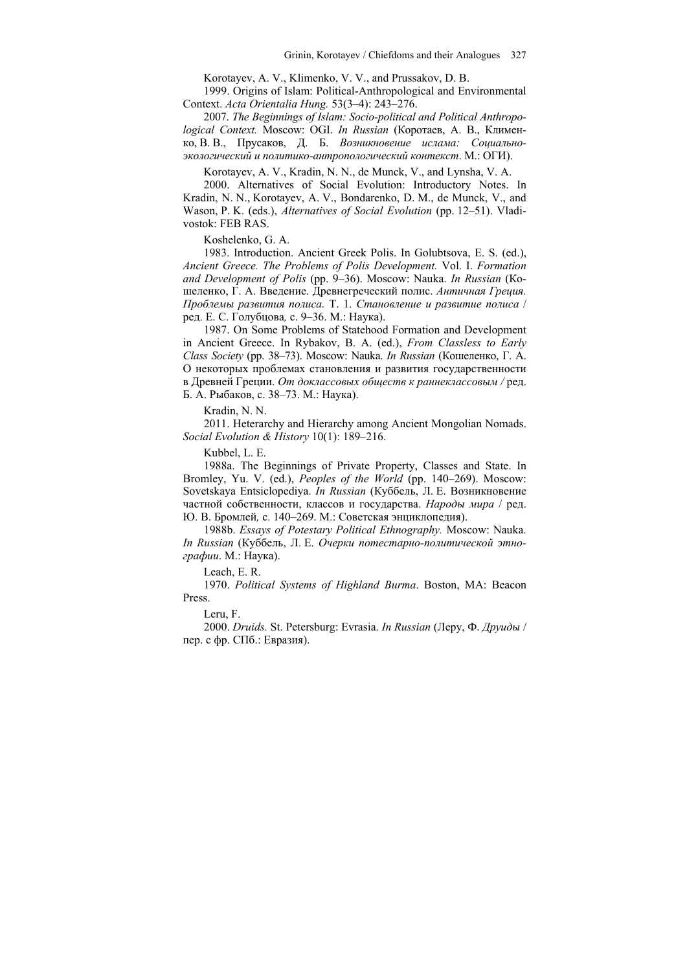Korotayev, A. V., Klimenko, V. V., and Prussakov, D. B.

1999. Origins of Islam: Political-Anthropological and Environmental Context. *Acta Orientalia Hung.* 53(3–4): 243–276.

2007. *The Beginnings of Islam: Socio-political and Political Anthropological Context.* Moscow: OGI. *In Russian* (Коротаев, А. В., Клименко, В. В., Прусаков, Д. Б. *Возникновение ислама: Социальноэкологический и политико-антропологический контекст*. М.: ОГИ).

Korotayev, A. V., Kradin, N. N., de Munck, V., and Lynsha, V. A.

2000. Alternatives of Social Evolution: Introductory Notes. In Kradin, N. N., Korotayev, A. V., Bondarenko, D. M., de Munck, V., and Wason, P. K. (eds.), *Alternatives of Social Evolution* (pp. 12–51). Vladivostok: FEB RAS.

Koshelenko, G. A.

1983. Introduction. Ancient Greek Polis. In Golubtsova, E. S. (ed.), *Ancient Greece. The Problems of Polis Development.* Vol. I. *Formation and Development of Polis* (pp. 9–36). Moscow: Nauka. *In Russian* (Кошеленко, Г. А. Введение. Древнегреческий полис. *Античная Греция. Проблемы развития полиса.* Т. 1. *Становление и развитие полиса* / ред. Е. С. Голубцова*,* с. 9–36. М.: Наука).

1987. On Some Problems of Statehood Formation and Development in Ancient Greece. In Rybakov, B. A. (ed.), *From Classless to Early Class Society* (pp. 38–73). Moscow: Nauka. *In Russian* (Кошеленко, Г. А. О некоторых проблемах становления и развития государственности в Древней Греции. *От доклассовых обществ к раннеклассовым /* ред. Б. А. Рыбаков, c. 38–73. М.: Наука).

Kradin, N. N.

2011. Heterarchy and Hierarchy among Ancient Mongolian Nomads. *Social Evolution & History* 10(1): 189–216.

Kubbel, L. E.

1988a. The Beginnings of Private Property, Classes and State. In Bromley, Yu. V. (ed.), *Peoples of the World* (pp. 140–269). Moscow: Sovetskaya Entsiclopediya. *In Russian* (Куббель, Л. Е. Возникновение частной собственности, классов и государства. *Народы мира* / ред. Ю. В. Бромлей*,* с. 140–269. М.: Советская энциклопедия).

1988b. *Essays of Potestary Political Ethnography.* Moscow: Nauka. *In Russian* (Куббель, Л. Е. *Очерки потестарно-политической этнографии*. М.: Наука).

Leach, E. R.

1970. *Political Systems of Highland Burma*. Boston, MA: Beacon Press.

Leru, F.

2000. *Druids.* St. Petersburg: Evrasia. *In Russian* (Леру, Ф. *Друиды* / пер. с фр. СПб.: Евразия).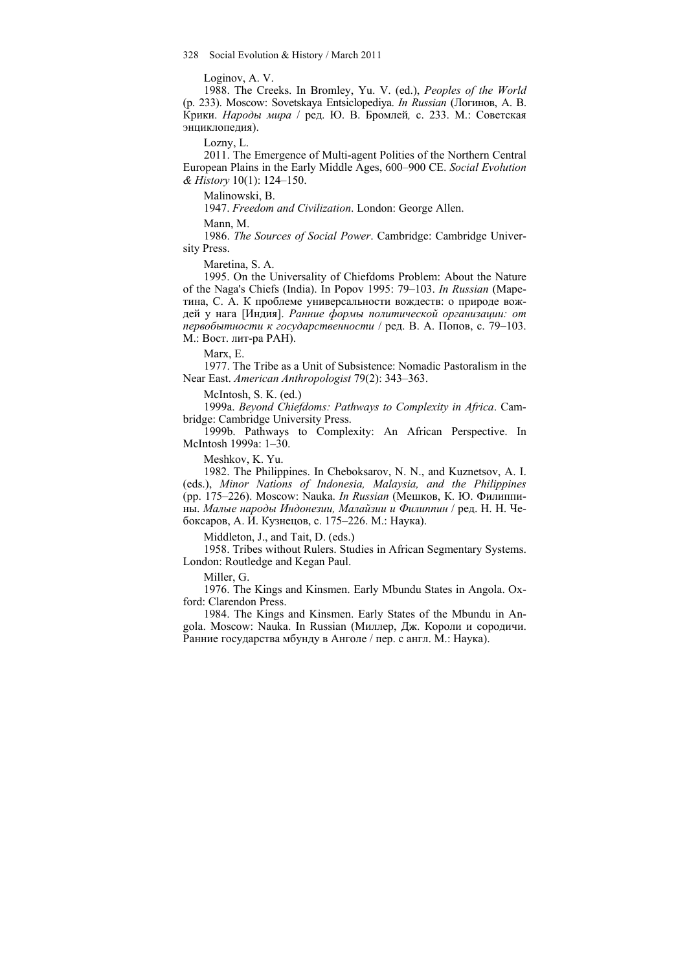Loginov, A. V.

1988. The Creeks. In Bromley, Yu. V. (ed.), *Peoples of the World* (p. 233). Moscow: Sovetskaya Entsiclopediya. *In Russian* (Логинов, А. В. Крики. *Народы мира* / ред. Ю. В. Бромлей*,* с. 233. М.: Советская энциклопедия).

Lozny, L.

2011. The Emergence of Multi-agent Polities of the Northern Central European Plains in the Early Middle Ages, 600–900 CE. *Social Evolution & History* 10(1): 124–150.

Malinowski, B.

1947. *Freedom and Civilization*. London: George Allen.

Mann, M.

1986. *The Sources of Social Power*. Cambridge: Cambridge University Press.

Maretina, S. A.

1995. On the Universality of Chiefdoms Problem: About the Nature of the Naga's Chiefs (India). In Popov 1995: 79–103. *In Russian* (Маретина, С. А. К проблеме универсальности вождеств: о природе вождей у нага [Индия]. *Ранние формы политической организации: от первобытности к государственности* / ред. В. А. Попов, с. 79–103. М.: Вост. лит-ра РАН).

Marx, E.

1977. The Tribe as a Unit of Subsistence: Nomadic Pastoralism in the Near East. *American Anthropologist* 79(2): 343–363.

McIntosh, S. K. (ed.)

1999a. *Beyond Chiefdoms: Pathways to Complexity in Africa*. Cambridge: Cambridge University Press.

1999b. Pathways to Complexity: An African Perspective. In McIntosh 1999a: 1–30.

Meshkov, K. Yu.

1982. The Philippines. In Cheboksarov, N. N., and Kuznetsov, A. I. (eds.), *Minor Nations of Indonesia, Malaysia, and the Philippines* (pp. 175–226). Moscow: Nauka. *In Russian* (Мешков, К. Ю. Филиппины. *Малые народы Индонезии, Малайзии и Филиппин* / ред. Н. Н. Чебоксаров, А. И. Кузнецов, с. 175–226. М.: Наука).

Middleton, J., and Tait, D. (eds.)

1958. Tribes without Rulers. Studies in African Segmentary Systems. London: Routledge and Kegan Paul.

Miller, G.

1976. The Kings and Kinsmen. Early Mbundu States in Angola. Oxford: Clarendon Press.

1984. The Kings and Kinsmen. Early States of the Mbundu in Angola. Moscow: Nauka. In Russian (Миллер, Дж. Короли и сородичи. Ранние государства мбунду в Анголе / пер. с англ. М.: Наука).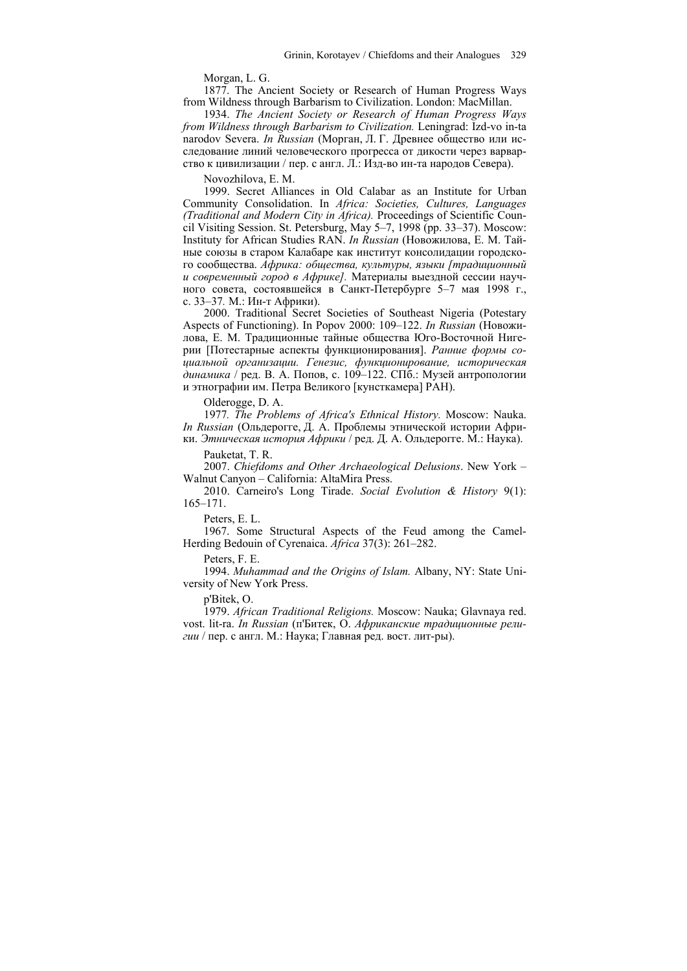Morgan, L. G.

1877. The Ancient Society or Research of Human Progress Ways from Wildness through Barbarism to Civilization. London: MacMillan.

1934. *The Ancient Society or Research of Human Progress Ways from Wildness through Barbarism to Civilization.* Leningrad: Izd-vo in-ta narodov Severa. *In Russian* (Морган, Л. Г. Древнее общество или исследование линий человеческого прогресса от дикости через варварство к цивилизации / пер. с англ. Л.: Изд-во ин-та народов Севера).

Novozhilova, E. M.

1999. Secret Alliances in Old Calabar as an Institute for Urban Community Consolidation. In *Africa: Societies, Cultures, Languages (Traditional and Modern City in Africa).* Proceedings of Scientific Council Visiting Session. St. Petersburg, May 5–7, 1998 (pp. 33–37). Moscow: Institutу for African Studies RAN. *In Russian* (Новожилова, Е. М. Тайные союзы в старом Калабаре как институт консолидации городского сообщества. *Африка: общества, культуры, языки [традиционный и современный город в Африке].* Материалы выездной сессии научного совета, состоявшейся в Санкт-Петербурге 5–7 мая 1998 г., с. 33–37*.* М.: Ин-т Африки).

2000. Traditional Secret Societies of Southeast Nigeria (Potestary Aspects of Functioning). In Popov 2000: 109–122. *In Russian* (Новожилова, Е. М. Традиционные тайные общества Юго-Восточной Нигерии [Потестарные аспекты функционирования]. *Ранние формы социальной организации. Генезис, функционирование, историческая динамика* / ред. В. А. Попов, c. 109–122. СПб.: Музей антропологии и этнографии им. Петра Великого [кунсткамера] РАН).

Olderogge, D. A.

1977*. The Problems of Africa's Ethnical History.* Moscow: Nauka. *In Russian* (Ольдерогге, Д. А. Проблемы этнической истории Африки. *Этническая история Африки* / ред. Д. А. Ольдерогге. М.: Наука).

Pauketat, T. R.

2007. *Chiefdoms and Other Archaeological Delusions*. New York – Walnut Canyon – California: AltaMira Press.

2010. Carneiro's Long Tirade. *Social Evolution & History* 9(1): 165–171.

Peters, E. L.

1967. Some Structural Aspects of the Feud among the Camel-Herding Bedouin of Cyrenaica. *Africa* 37(3): 261–282.

Peters, F. E.

1994. *Muhammad and the Origins of Islam.* Albany, NY: State University of New York Press.

p'Bitek, O.

1979. *African Traditional Religions.* Moscow: Nauka; Glavnaya red. vost. lit-ra. *In Russian* (п'Битек, О. *Африканские традиционные религии* / пер. с англ. М.: Наука; Главная ред. вост. лит-ры).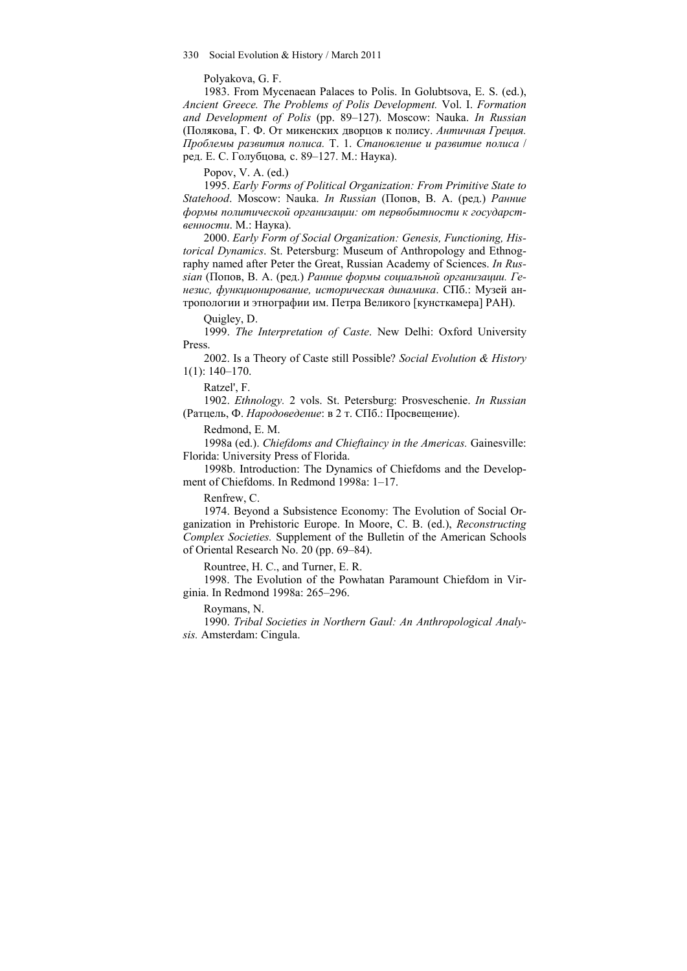Polyakova, G. F.

1983. From Mycenaean Palaces to Polis. In Golubtsova, E. S. (ed.), *Ancient Greece. The Problems of Polis Development.* Vol. I. *Formation and Development of Polis* (pp. 89–127). Moscow: Nauka. *In Russian* (Полякова, Г. Ф. От микенских дворцов к полису. *Античная Греция. Проблемы развития полиса.* Т. 1. *Становление и развитие полиса* / ред. Е. С. Голубцова*,* с. 89–127. М.: Наука).

Popov, V. A. (ed.)

1995. *Early Forms of Political Organization: From Primitive State to Statehood*. Moscow: Nauka. *In Russian* (Попов, В. А. (ред.) *Ранние формы политической организации: от первобытности к государственности*. М.: Наука).

2000. *Early Form of Social Organization: Genesis, Functioning, Historical Dynamics*. St. Petersburg: Museum of Anthropology and Ethnography named after Peter the Great, Russian Academy of Sciences. *In Russian* (Попов, В. А. (ред.) *Ранние формы социальной организации. Генезис, функционирование, историческая динамика*. СПб.: Музей антропологии и этнографии им. Петра Великого [кунсткамера] РАН).

Quigley, D.

1999. *The Interpretation of Caste*. New Delhi: Oxford University Press.

2002. Is a Theory of Caste still Possible? *Social Evolution & History* 1(1): 140–170.

Ratzel', F.

1902. *Ethnology.* 2 vols. St. Petersburg: Prosveschenie. *In Russian* (Ратцель, Ф. *Народоведение*: в 2 т. СПб.: Просвещение).

Redmond, E. M.

1998a (ed.). *Chiefdoms and Chieftaincy in the Americas.* Gainesville: Florida: University Press of Florida.

1998b. Introduction: The Dynamics of Chiefdoms and the Development of Chiefdoms. In Redmond 1998a: 1–17.

Renfrew, C.

1974. Beyond a Subsistence Economy: The Evolution of Social Organization in Prehistoric Europe. In Moore, C. B. (ed.), *Reconstructing Complex Societies.* Supplement of the Bulletin of the American Schools of Oriental Research No. 20 (pp. 69–84).

Rountree, H. C., and Turner, E. R.

1998. The Evolution of the Powhatan Paramount Chiefdom in Virginia. In Redmond 1998a: 265–296.

Roymans, N.

1990. *Tribal Societies in Northern Gaul: An Anthropological Analysis.* Amsterdam: Cingula.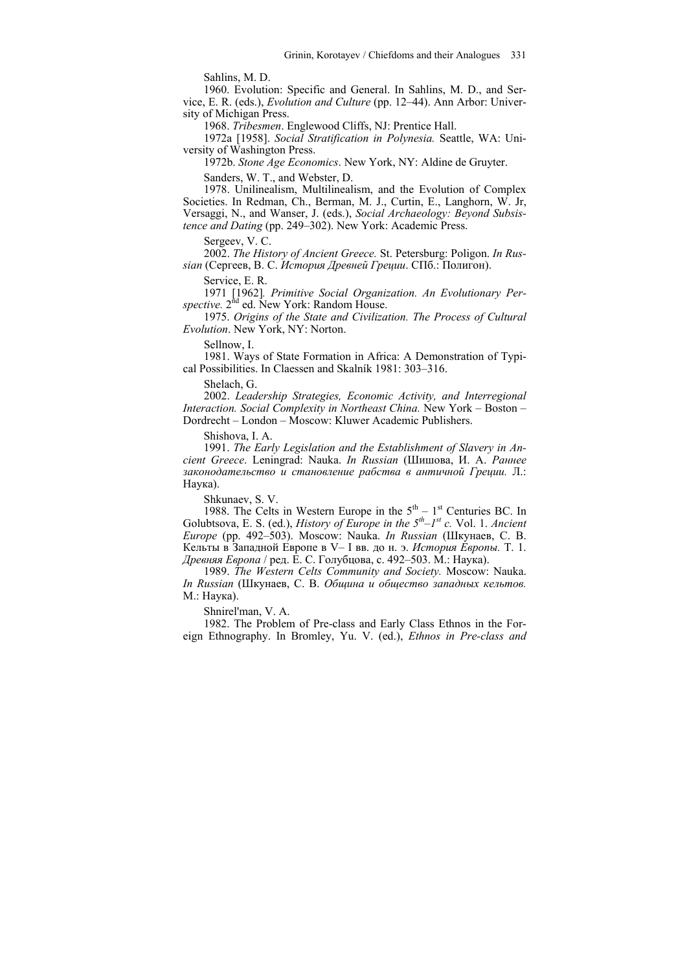Sahlins, M. D.

1960. Evolution: Specific and General. In Sahlins, M. D., and Service, E. R. (eds.), *Evolution and Culture* (pp. 12–44). Ann Arbor: University of Michigan Press.

1968. *Tribesmen*. Englewood Cliffs, NJ: Prentice Hall.

1972a [1958]. *Social Stratification in Polynesia.* Seattle, WA: University of Washington Press.

1972b. *Stone Age Economics*. New York, NY: Aldine de Gruyter.

Sanders, W. T., and Webster, D.

1978. Unilinealism, Multilinealism, and the Evolution of Complex Societies. In Redman, Ch., Berman, M. J., Curtin, E., Langhorn, W. Jr, Versaggi, N., and Wanser, J. (eds.), *Social Archaeology: Beyond Subsistence and Dating* (pp. 249–302). New York: Academic Press.

Sergeev, V. C.

2002. *The History of Ancient Greece.* St. Petersburg: Poligon. *In Russian* (Сергеев, В. С. *История Древней Греции*. СПб.: Полигон).

Service, E. R.

1971 [1962]*. Primitive Social Organization. An Evolutionary Per*spective. 2<sup>nd</sup> ed. New York: Random House.

1975. *Origins of the State and Civilization. The Process of Cultural Evolution*. New York, NY: Norton.

Sellnow, I.

1981. Ways of State Formation in Africa: A Demonstration of Typical Possibilities. In Claessen and Skalník 1981: 303–316.

Shelach, G.

2002. *Leadership Strategies, Economic Activity, and Interregional Interaction. Social Complexity in Northeast China.* New York – Boston – Dordrecht – London – Moscow: Kluwer Academic Publishers.

Shishova, I. A.

1991. *The Early Legislation and the Establishment of Slavery in Ancient Greece*. Leningrad: Nauka. *In Russian* (Шишова, И. А. *Раннее законодательство и становление рабства в античной Греции.* Л.: Наука).

Shkunaev, S. V.

1988. The Celts in Western Europe in the  $5<sup>th</sup> - 1<sup>st</sup>$  Centuries BC. In Golubtsova, E. S. (ed.), *History of Europe in the 5<sup>th</sup>*-1<sup>st</sup> c. Vol. 1. *Ancient Europe* (pp. 492–503). Moscow: Nauka. *In Russian* (Шкунаев, С. В. Кельты в Западной Европе в V– I вв. до н. э. *История Европы.* Т. 1. *Древняя Европа* / ред. Е. С. Голубцова, c. 492–503. М.: Наука).

1989. *The Western Celts Community and Society.* Moscow: Nauka. *In Russian* (Шкунаев, С. В. *Община и общество западных кельтов.* М.: Наука).

Shnirel'man, V. A.

1982. The Problem of Pre-class and Early Class Ethnos in the Foreign Ethnography. In Bromley, Yu. V. (ed.), *Ethnos in Pre-class and*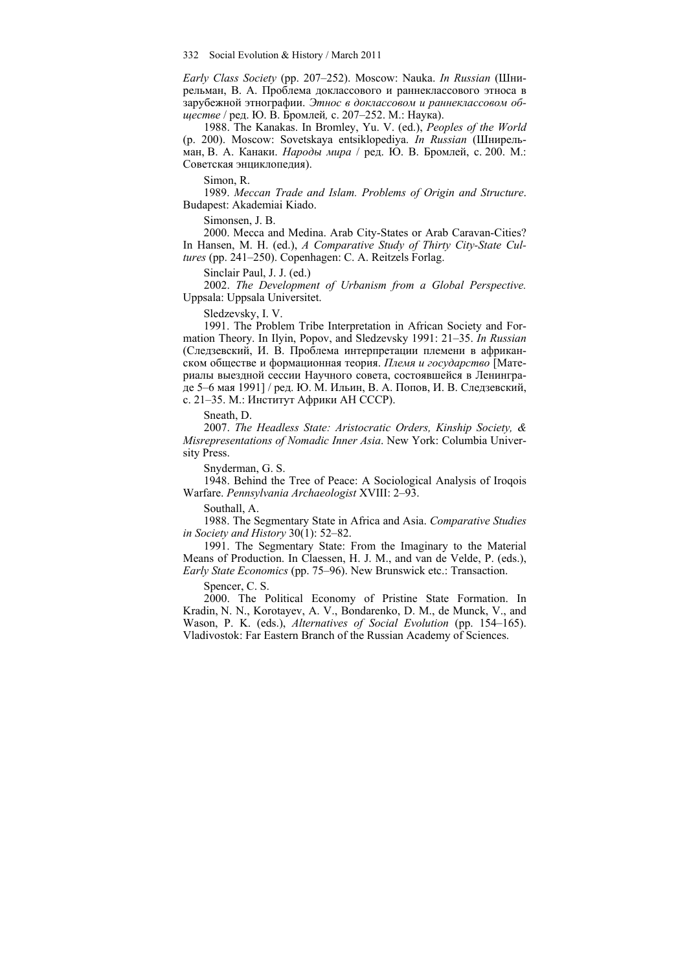*Early Class Society* (pp. 207–252). Moscow: Nauka. *In Russian* (Шнирельман, В. А. Проблема доклассового и раннеклассового этноса в зарубежной этнографии. *Этнос в доклассовом и раннеклассовом обществе* / ред. Ю. В. Бромлей*,* c. 207–252. М.: Наука).

1988. The Kanakas. In Bromley, Yu. V. (ed.), *Peoples of the World* (p. 200). Moscow: Sovetskaya entsiklopediya. *In Russian* (Шнирельман, В. А. Канаки. *Народы мира* / ред. Ю. В. Бромлей, c. 200. М.: Советская энциклопедия).

Simon, R.

1989. *Meccan Trade and Islam. Problems of Origin and Structure*. Budapest: Akademiai Kiado.

Simonsen, J. B.

2000. Mecca and Medina. Arab City-States or Arab Caravan-Cities? In Hansen, M. H. (ed.), *A Comparative Study of Thirty City-State Cultures* (pp. 241–250). Copenhagen: C. A. Reitzels Forlag.

Sinclair Paul, J. J. (ed.)

2002. *The Development of Urbanism from a Global Perspective.* Uppsala: Uppsala Universitet.

Sledzevsky, I. V.

1991. The Problem Tribe Interpretation in African Society and Formation Theory. In Ilyin, Popov, and Sledzevsky 1991: 21–35. *In Russian* (Следзевский, И. В. Проблема интерпретации племени в африканском обществе и формационная теория. *Племя и государство* [Материалы выездной сессии Научного совета, состоявшейся в Ленинграде 5–6 мая 1991] / ред. Ю. М. Ильин, В. А. Попов, И. В. Следзевский, с. 21–35. М.: Институт Африки АН СССР).

Sneath, D.

2007. *The Headless State: Aristocratic Orders, Kinship Society, & Misrepresentations of Nomadic Inner Asia*. New York: Columbia University Press.

Snyderman, G. S.

1948. Behind the Tree of Peace: A Sociological Analysis of Iroqois Warfare. *Pennsylvania Archaeologist* XVIII: 2–93.

Southall, A.

1988. The Segmentary State in Africa and Asia. *Comparative Studies in Society and History* 30(1): 52–82.

1991. The Segmentary State: From the Imaginary to the Material Means of Production. In Claessen, H. J. M., and van de Velde, P. (eds.), *Early State Economics* (pp. 75–96). New Brunswick etc.: Transaction.

Spencer, C. S.

2000. The Political Economy of Pristine State Formation. In Kradin, N. N., Korotayev, A. V., Bondarenko, D. M., de Munck, V., and Wason, P. K. (eds.), *Alternatives of Social Evolution* (pp. 154–165). Vladivostok: Far Eastern Branch of the Russian Academy of Sciences.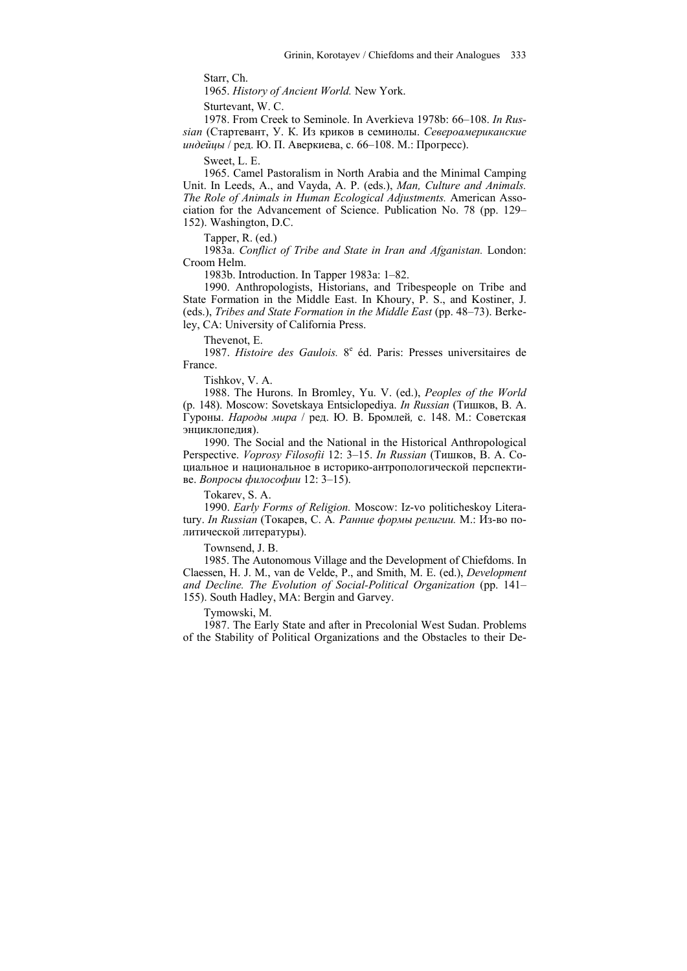Starr, Ch.

1965. *History of Ancient World.* New York.

Sturtevant, W. C.

1978. From Creek to Seminole. In Averkieva 1978b: 66–108. *In Russian* (Стартевант, У. К. Из криков в семинолы. *Североамериканские индейцы* / ред. Ю. П. Аверкиева, с. 66–108. М.: Прогресс).

Sweet, L. E.

1965. Camel Pastoralism in North Arabia and the Minimal Camping Unit. In Leeds, A., and Vayda, A. P. (eds.), *Man, Culture and Animals. The Role of Animals in Human Ecological Adjustments.* American Association for the Advancement of Science. Publication No. 78 (pp. 129– 152). Washington, D.C.

Tapper, R. (ed.)

1983a. *Conflict of Tribe and State in Iran and Afganistan.* London: Croom Helm.

1983b. Introduction. In Tapper 1983a: 1–82.

1990. Anthropologists, Historians, and Tribespeople on Tribe and State Formation in the Middle East. In Khoury, P. S., and Kostiner, J. (eds.), *Tribes and State Formation in the Middle East* (pp. 48–73). Berkeley, CA: University of California Press.

Thevenot, E.

1987. Histoire des Gaulois. 8<sup>e</sup> éd. Paris: Presses universitaires de France.

Tishkov, V. A.

1988. The Hurons. In Bromley, Yu. V. (ed.), *Peoples of the World* (p. 148). Moscow: Sovetskaya Entsiclopediya. *In Russian* (Тишков, В. А. Гуроны. *Народы мира* / ред. Ю. В. Бромлей*,* с. 148. М.: Советская энциклопедия).

1990. The Social and the National in the Historical Anthropological Perspective. *Voprosy Filosofii* 12: 3–15. *In Russian* (Тишков, В. А. Социальное и национальное в историко-антропологической перспективе. *Вопросы философии* 12: 3–15).

Tokarev, S. A.

1990. *Early Forms of Religion.* Moscow: Iz-vo politicheskoy Literatury. *In Russian* (Токарев, С. А*. Ранние формы религии.* М.: Из-во политической литературы).

Townsend, J. B.

1985. The Autonomous Village and the Development of Chiefdoms. In Claessen, H. J. M., van de Velde, P., and Smith, M. E. (ed.), *Development and Decline. The Evolution of Social-Political Organization* (pp. 141– 155). South Hadley, MA: Bergin and Garvey.

Tymowski, M.

1987. The Early State and after in Precolonial West Sudan. Problems of the Stability of Political Organizations and the Obstacles to their De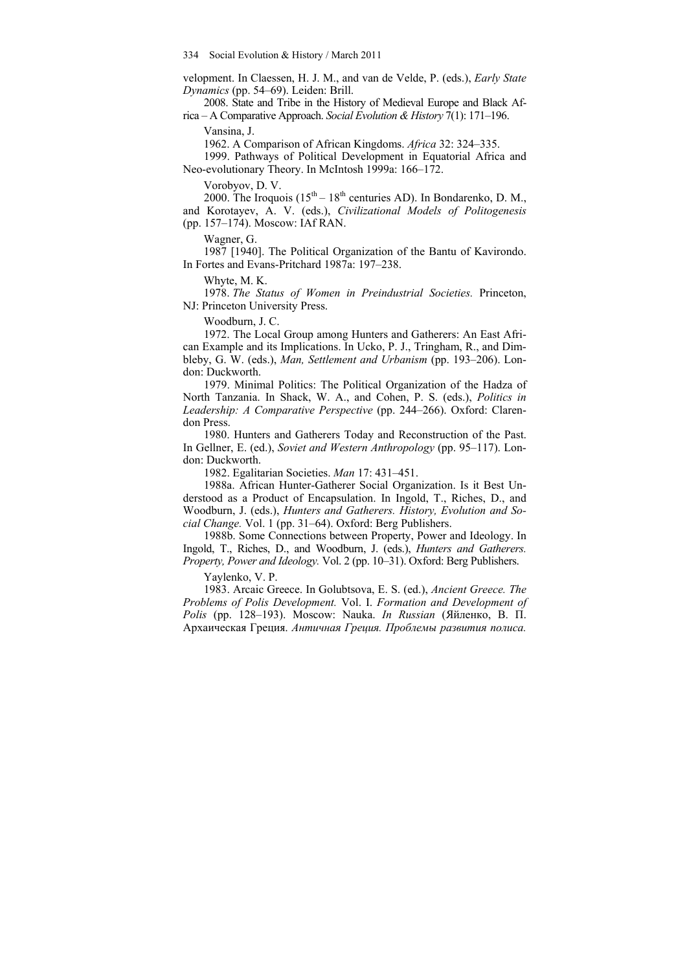velopment. In Claessen, H. J. M., and van de Velde, P. (eds.), *Early State Dynamics* (pp. 54–69). Leiden: Brill.

2008. State and Tribe in the History of Medieval Europe and Black Africa – A Comparative Approach. *Social Evolution & History* 7(1): 171–196.

Vansina, J.

1962. A Comparison of African Kingdoms. *Africa* 32: 324–335.

1999. Pathways of Political Development in Equatorial Africa and Neo-evolutionary Theory. In McIntosh 1999a: 166–172.

Vorobyov, D. V.

2000. The Iroquois  $(15<sup>th</sup> - 18<sup>th</sup>$  centuries AD). In Bondarenko, D. M., and Korotayev, A. V. (eds.), *Civilizational Models of Politogenesis*  (pp. 157–174). Moscow: IAf RAN.

Wagner, G.

1987 [1940]. The Political Organization of the Bantu of Kavirondo. In Fortes and Evans-Pritchard 1987a: 197–238.

Whyte, M. K.

1978. *The Status of Women in Preindustrial Societies.* Princeton, NJ: Princeton University Press.

Woodburn, J. С.

1972. The Local Group among Hunters and Gatherers: An East African Example and its Implications. In Ucko, P. J., Tringham, R., and Dimbleby, G. W. (eds.), *Man, Settlement and Urbanism* (pp. 193–206). London: Duckworth.

1979. Minimal Politics: The Political Organization of the Hadza of North Tanzania. In Shack, W. A., and Cohen, P. S. (eds.), *Politics in Leadership: A Comparative Perspective* (pp. 244–266). Oxford: Clarendon Press.

1980. Hunters and Gatherers Today and Reconstruction of the Past. In Gellner, E. (ed.), *Soviet and Western Anthropology* (pp. 95–117). London: Duckworth.

1982. Egalitarian Societies. *Man* 17: 431–451.

1988a. African Hunter-Gatherer Social Organization. Is it Best Understood as a Product of Encapsulation. In Ingold, Т., Riches, D., and Woodburn, J. (eds.), *Hunters and Gatherers. History, Evolution and Social Change.* Vol. 1 (pp. 31–64). Oxford: Berg Publishers.

1988b. Some Connections between Property, Power and Ideology. In Ingold, Т., Riches, D., and Woodburn, J. (eds.), *Hunters and Gatherers. Property, Power and Ideology.* Vol. 2 (pp. 10–31). Oxford: Berg Publishers.

Yaylenko, V. P.

1983. Arcaic Greece. In Golubtsova, E. S. (ed.), *Ancient Greece. The Problems of Polis Development.* Vol. I. *Formation and Development of Polis* (pp. 128–193). Moscow: Nauka. *In Russian* (Яйленко, В. П. Архаическая Греция. *Античная Греция. Проблемы развития полиса.*